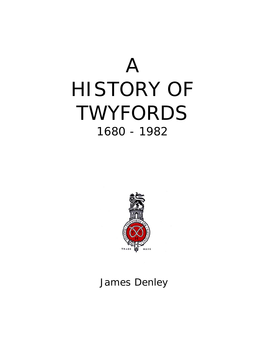



### James Denley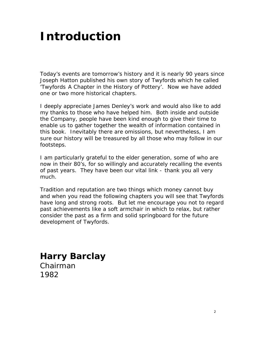## *Introduction*

Today's events are tomorrow's history and it is nearly 90 years since Joseph Hatton published his own story of Twyfords which he called 'Twyfords A Chapter in the History of Pottery'. Now we have added one or two more historical chapters.

I deeply appreciate James Denley's work and would also like to add my thanks to those who have helped him. Both inside and outside the Company, people have been kind enough to give their time to enable us to gather together the wealth of information contained in this book. Inevitably there are omissions, but nevertheless, I am sure our history will be treasured by all those who may follow in our footsteps.

I am particularly grateful to the elder generation, some of who are now in their 80's, for so willingly and accurately recalling the events of past years. They have been our vital link - thank you all very much.

Tradition and reputation are two things which money cannot buy and when you read the following chapters you will see that Twyfords have long and strong roots. But let me encourage you not to regard past achievements like a soft armchair in which to relax, but rather consider the past as a firm and solid springboard for the future development of Twyfords.

### **Harry Barclay**

Chairman 1982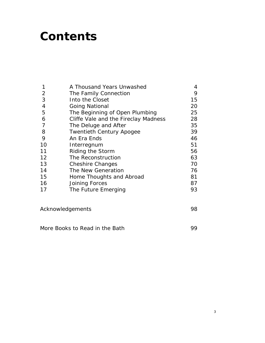## *Contents*

|    | A Thousand Years Unwashed            | 4  |
|----|--------------------------------------|----|
| 2  | The Family Connection                | 9  |
| 3  | Into the Closet                      | 15 |
| 4  | <b>Going National</b>                | 20 |
| 5  | The Beginning of Open Plumbing       | 25 |
| 6  | Cliffe Vale and the Fireclay Madness | 28 |
| 7  | The Deluge and After                 | 35 |
| 8  | <b>Twentieth Century Apogee</b>      | 39 |
| 9  | An Era Ends                          | 46 |
| 10 | Interregnum                          | 51 |
| 11 | Riding the Storm                     | 56 |
| 12 | The Reconstruction                   | 63 |
| 13 | <b>Cheshire Changes</b>              | 70 |
| 14 | The New Generation                   | 76 |
| 15 | Home Thoughts and Abroad             | 81 |
| 16 | Joining Forces                       | 87 |
| 17 | The Future Emerging                  | 93 |
|    |                                      |    |
|    |                                      |    |

Acknowledgements and the settlements of the settlements of the settlement of the settlement of the settlement of the settlement of the settlement of the settlement of the settlement of the settlement of the settlement of t

More Books to Read in the Bath 99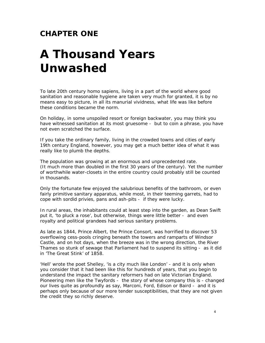#### **CHAPTER ONE**

# *A Thousand Years Unwashed*

To late 20th century homo sapiens, living in a part of the world where good sanitation and reasonable hygiene are taken very much for granted, it is by no means easy to picture, in all its manurial vividness, what life was like before these conditions became the norm.

On holiday, in some unspoiled resort or foreign backwater, you may think you have witnessed sanitation at its most gruesome - but to coin a phrase, you have not even scratched the surface.

If you take the ordinary family, living in the crowded towns and cities of early 19th century England, however, you may get a much better idea of what it was really like to plumb the depths.

The population was growing at an enormous and unprecedented rate. (It much more than doubled in the first 30 years of the century). Yet the number of worthwhile water-closets in the entire country could probably still be counted in thousands.

Only the fortunate few enjoyed the salubrious benefits of the bathroom, or even fairly primitive sanitary apparatus, while most, in their teeming garrets, had to cope with sordid privies, pans and ash-pits - if they were lucky.

In rural areas, the inhabitants could at least step into the garden, as Dean Swift put it, 'to pluck a rose', but otherwise, things were little better - and even royalty and political grandees had serious sanitary problems.

As late as 1844, Prince Albert, the Prince Consort, was horrified to discover 53 overflowing cess-pools cringing beneath the towers and ramparts of Windsor Castle, and on hot days, when the breeze was in the wrong direction, the River Thames so stunk of sewage that Parliament had to suspend its sitting - as it did in 'The Great Stink' of 1858.

'Hell' wrote the poet Shelley, 'is a city much like London' - and it is only when you consider that it had been like this for hundreds of years, that you begin to understand the impact the sanitary reformers had on late Victorian England. Pioneering men like the Twyfords - the story of whose company this is - changed our lives quite as profoundly as say, Marconi, Ford, Edison or Baird - and it is perhaps only because of our more tender susceptibilities, that they are not given the credit they so richly deserve.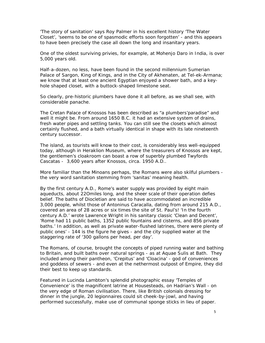'The story of sanitation' says Roy Palmer in his excellent history 'The Water Closet', 'seems to be one of spasmodic efforts soon forgotten' - and this appears to have been precisely the case all down the long and insanitary years.

One of the oldest surviving privies, for example, at Mohenjo Daro in India, is over 5,000 years old.

Half-a-dozen, no less, have been found in the second millennium Sumerian Palace of Sargon, King of Kings, and in the City of Akhenaten, at Tel-ek-Armana; we know that at least one ancient Egyptian enjoyed a shower bath, and a keyhole shaped closet, with a buttock-shaped limestone seat.

So clearly, pre-historic plumbers have done it all before, as we shall see, with considerable panache.

The Cretan Palace of Knossos has been described as "a plumbers'paradise" and well it might be. From around 1650 B.C. it had an extensive system of drains, fresh water pipes and settling tanks. You can still see the closets which almost certainly flushed, and a bath virtually identical in shape with its late nineteenth century successor.

The island, as tourists will know to their cost, is considerably less well-equipped today, although in Heraklion Museum, where the treasurers of Knossos are kept, the gentlemen's cloakroom can boast a row of superbly plumbed Twyfords Cascatas - 3,600 years after Knossos, circa. 1950 A.D..

More familiar than the Minoans perhaps, the Romans were also skilful plumbers the very word sanitation stemming from 'sanitas' meaning health.

By the first century A.D., Rome's water supply was provided by eight main aqueducts, about 22Omiles long, and the sheer scale of their operation defies belief. The baths of Diocletian are said to have accommodated an incredible 3,000 people, whilst those of Antoninus Caracalla, dating from around 215 A.D., covered an area of 28 acres or six times the site of St. Paul's! 'In the fourth century A.D.' wrote Lawrence Wright in his sanitary classic 'Clean and Decent', 'Rome had 11 public baths, 1352 public fountains and cisterns, and 856 private baths.' In addition, as well as private water-flushed latrines, there were plenty of public ones' - 144 is the figure he gives - and the city supplied water at the staggering rate of '300 gallons per head, per day'.

The Romans, of course, brought the concepts of piped running water and bathing to Britain, and built baths over natural springs - as at Aquae Sulis at Bath. They included among their pantheon, 'Crepitus' and 'Cloacina' - god of conveniences and goddess of sewers - and even at the nethermost outpost of Empire, they did their best to keep up standards.

Featured in Lucinda Lambton's splendid photographic essay 'Temples of Convenience' is the magnificent latrine at Housesteads, on Hadrian's Wall - on the very edge of Roman civilisation. There, like British colonials dressing for dinner in the jungle, 20 legionnaires could sit cheek-by-jowl, and having performed successfully, make use of communal sponge sticks in lieu of paper.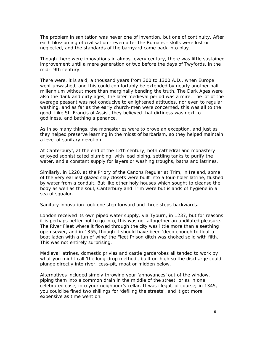The problem in sanitation was never one of invention, but one of continuity. After each blossoming of civilisation - even after the Romans - skills were lost or neglected, and the standards of the barnyard came back into play.

Though there were innovations in almost every century, there was little sustained improvement until a mere generation or two before the days of Twyfords, in the mid-19th century.

There were, it is said, a thousand years from 300 to 1300 A.D., when Europe went unwashed, and this could comfortably be extended by nearly another half millennium without more than marginally bending the truth. The Dark Ages were also the dank and dirty ages; the later medieval period was a mire. The lot of the average peasant was not conducive to enlightened attitudes, nor even to regular washing, and as far as the early church-men were concerned, this was all to the good. Like St. Francis of Assisi, they believed that dirtiness was next to godliness, and bathing a penance.

As in so many things, the monasteries were to prove an exception, and just as they helped preserve learning in the midst of barbarism, so they helped maintain a level of sanitary devotion.

At Canterbury', at the end of the 12th century, both cathedral and monastery enjoyed sophisticated plumbing, with lead piping, settling tanks to purify the water, and a constant supply for layers or washing troughs, baths and latrines.

Similarly, in 1220, at the Priory of the Canons Regular at Trim, in Ireland, some of the very earliest glazed clay closets were built into a four-holer latrine, flushed by water from a conduit. But like other holy houses which sought to cleanse the body as well as the soul, Canterbury and Trim were but islands of hygiene in a sea of squalor.

Sanitary innovation took one step forward and three steps backwards.

London received its own piped water supply, via Tyburn, in 1237, but for reasons it is perhaps better not to go into, this was not altogether an undiluted pleasure. The River Fleet where it flowed through the city was little more than a seething open sewer, and in 1355, though it should have been 'deep enough to float a boat laden with a tun of wine' the Fleet Prison ditch was choked solid with filth. This was not entirely surprising.

Medieval latrines, domestic privies and castle garderobes all tended to work by what you might call 'the long-drop method', built on-high so the discharge could plunge directly into river, cess-pit, moat or midden below.

Alternatives included simply throwing your 'annoyances' out of the window, piping them into a common drain in the middle of the street, or as in one celebrated case, into your neighbour's cellar. It was illegal, of course; in 1345, you could be fined two shillings for 'defiling the streets', and it got more expensive as time went on.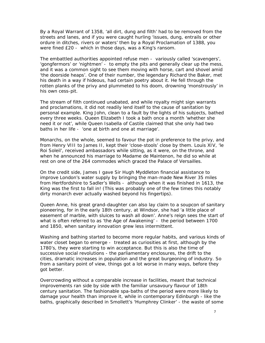By a Royal Warrant of 1358, 'all dirt, dung and filth' had to be removed from the streets and lanes, and if you were caught hurling 'issues, dung, entrails or other ordure in ditches, rivers or waters' then by a Royal Proclamation of 1388, you were fined £20 - which in those days, was a King's ransom.

The embattled authorities appointed refuse men - variously called 'scavengers', 'gongfermors' or 'nightmen' - to empty the pits and generally clear up the mess, and it was a common sight to see them moving with horse, cart and shovel amid 'the doorside heaps'. One of their number, the legendary Richard the Baker, met his death in a way if hideous, had certain poetry about it. He fell through the rotten planks of the privy and plummeted to his doom, drowning 'monstrously' in his own cess-pit.

The stream of filth continued unabated, and while royalty might sign warrants and proclamations, it did not readily lend itself to the cause of sanitation by personal example. King John, clean to a fault by the lights of his subjects, bathed every three weeks. Queen Elizabeth I took a bath once a month 'whether she need it or not', while Queen Isabella of Castile claimed that she only had two baths in her life - 'one at birth and one at marriage'.

Monarchs, on the whole, seemed to favour the pot in preference to the privy, and from Henry VIII to James II, kept their 'close-stools' close by them. Louis XIV, 'le Roi Soleil', received ambassadors while sitting, as it were, on the throne, and when he announced his marriage to Madame de Maintenon, he did so while at rest on one of the 264 commodes which graced the Palace of Versailles.

On the credit side, James I gave Sir Hugh Myddleton financial assistance to improve London's water supply by bringing the man-made New River 35 miles from Hertfordshire to Sadler's Wells - although when it was finished in 1613, the King was the first to fall in! (This was probably one of the few times this notably dirty monarch ever actually washed beyond his fingertips).

Queen Anne, his great grand-daughter can also lay claim to a soupcon of sanitary pioneering, for in the early 18th century, at Windsor, she had 'a little place of easement of marble, with sluices to wash all down'. Anne's reign sees the start of what is often referred to as 'the Age of Awakening' - the period between 1700 and 1850, when sanitary innovation grew less intermittent.

Washing and bathing started to become more regular habits, and various kinds of water closet began to emerge - treated as curiosities at first, although by the 1780's, they were starting to win acceptance. But this is also the time of successive social revolutions - the parliamentary enclosures, the drift to the cities, dramatic increases in population and the great burgeoning of industry. So from a sanitary point of view, things got a lot worse in many ways, before they got better.

Overcrowding without a comparable increase in facilities, meant that technical improvements ran side by side with the familiar unsavoury flavour of 18th century sanitation. The fashionable spa-baths of the period were more likely to damage your health than improve it, while in contemporary Edinburgh - like the baths, graphically described in Smollett's 'Humphrey Clinker' - the waste of some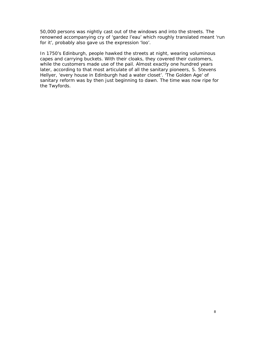50,000 persons was nightly cast out of the windows and into the streets. The renowned accompanying cry of 'gardez l'eau' which roughly translated meant 'run for it', probably also gave us the expression 'loo'.

In 1750's Edinburgh, people hawked the streets at night, wearing voluminous capes and carrying buckets. With their cloaks, they covered their customers, while the customers made use of the pail. Almost exactly one hundred years later, according to that most articulate of all the sanitary pioneers, S. Stevens Hellyer, 'every house in Edinburgh had a water closet'. 'The Golden Age' of sanitary reform was by then just beginning to dawn. The time was now ripe for the Twyfords.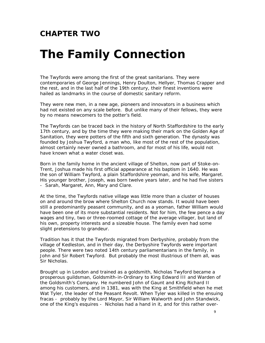#### **CHAPTER TWO**

### *The Family Connection*

The Twyfords were among the first of the great sanitarians. They were contemporaries of George Jennings, Henry Doulton, Hellyer, Thomas Crapper and the rest, and in the last half of the 19th century, their finest inventions were hailed as landmarks in the course of domestic sanitary reform.

They were new men, in a new age, pioneers and innovators in a business which had not existed on any scale before. But unlike many of their fellows, they were by no means newcomers to the potter's field.

The Twyfords can be traced back in the history of North Staffordshire to the early 17th century, and by the time they were making their mark on the Golden Age of Sanitation, they were potters of the fifth and sixth generation. The dynasty was founded by Joshua Twyford, a man who, like most of the rest of the population, almost certainly never owned a bathroom, and for most of his life, would not have known what a water closet was.

Born in the family home in the ancient village of Shelton, now part of Stoke-on-Trent, Joshua made his first official appearance at his baptism in 1640. He was the son of William Twyford, a plain Staffordshire yeoman, and his wife, Margaret. His younger brother, Joseph, was born twelve years later, and he had five sisters - Sarah, Margaret, Ann, Mary and Clare.

At the time, the Twyfords native village was little more than a cluster of houses on and around the brow where Shelton Church now stands. It would have been still a predominantly peasant community, and as a yeoman, father William would have been one of its more substantial residents. Not for him, the few pence a day wages and tiny, two or three-roomed cottage of the average villager, but land of his own, property interests and a sizeable house. The family even had some slight pretensions to grandeur.

Tradition has it that the Twyfords migrated from Derbyshire, probably from the village of Kedleston, and in their day, the Derbyshire Twyfords were important people. There were two noted 14th century parliamentarians in the family, in John and Sir Robert Twyford. But probably the most illustrious of them all, was Sir Nicholas.

Brought up in London and trained as a goldsmith, Nicholas Twyford became a prosperous guildsman, Goldsmith-in-Ordinary to King Edward III and Warden of the Goldsmith's Company. He numbered John of Gaunt and King Richard II among his customers, and in 1381, was with the King at Smithfield when he met Wat Tyler, the leader of the Peasant Revolt. When Tyler was killed in the ensuing fracas - probably by the Lord Mayor, Sir William Walworth and John Standwick, one of the King's esquires - Nicholas had a hand in it, and for this rather over-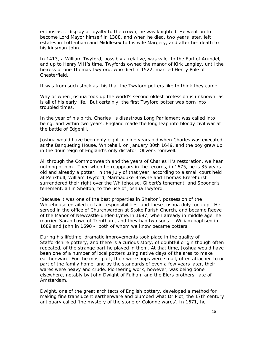enthusiastic display of loyalty to the crown, he was knighted. He went on to become Lord Mayor himself in 1388, and when he died, two years later, left estates in Tottenham and Middlesex to his wife Margery, and after her death to his kinsman John.

In 1413, a William Twyford, possibly a relative, was valet to the Earl of Arundel, and up to Henry VIII's time, Twyfords owned the manor of Kirk Langley, until the heiress of one Thomas Twyford, who died in 1522, married Henry Pole of Chesterfield.

It was from such stock as this that the Twyford potters like to think they came.

Why or when Joshua took up the world's second oldest profession is unknown, as is all of his early life. But certainly, the first Twyford potter was born into troubled times.

In the year of his birth, Charles I's disastrous Long Parliament was called into being, and within two years, England made the long leap into bloody civil war at the battle of Edgehill.

Joshua would have been only eight or nine years old when Charles was executed at the Banqueting House, Whitehall, on January 30th 1649, and the boy grew up in the dour reign of England's only dictator, Oliver Cromwell.

All through the Commonwealth and the years of Charles II's restoration, we hear nothing of him. Then when he reappears in the records, in 1675, he is 35 years old and already a potter. In the July of that year, according to a small court held at Penkhull, William Twyford, Marmaduke Browne and Thomas Brerehurst surrendered their right over the Whitehouse, Gilbert's tenement, and Spooner's tenement, all in Shelton, to the use of Joshua Twyford.

'Because it was one of the best properties in Shelton', possession of the Whitehouse entailed certain responsibilities, and these Joshua duly took up. He served in the office of Churchwarden at Stoke Parish Church, and became Reeve of the Manor of Newcastle-under-Lyme.In 1687, when already in middle age, he married Sarah Lowe of Trentham, and they had two sons - William baptised in 1689 and John in 1690 - both of whom we know became potters.

During his lifetime, dramatic improvements took place in the quality of Staffordshire pottery, and there is a curious story, of doubtful origin though often repeated, of the strange part he played in them. At that time, Joshua would have been one of a number of local potters using native clays of the area to make earthenware. For the most part, their workshops were small, often attached to or part of the family home, and by the standards of even a few years later, their wares were heavy and crude. Pioneering work, however, was being done elsewhere, notably by John Dwight of Fulham and the Elers brothers, late of Amsterdam.

Dwight, one of the great architects of English pottery, developed a method for making fine translucent earthenware and plumbed what Dr Plot, the 17th century antiquary called 'the mystery of the stone or Cologne wares'. In 1671, he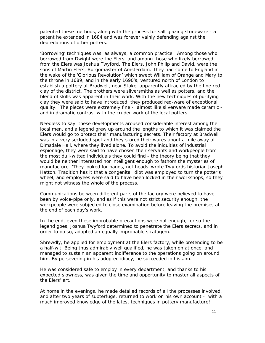patented these methods, along with the process for salt glazing stoneware - a patent he extended in 1684 and was forever vainly defending against the depredations of other potters.

'Borrowing' techniques was, as always, a common practice. Among those who borrowed from Dwight were the Elers, and among those who likely borrowed from the Elers was Joshua Twyford. The Elers, John Philip and David, were the sons of Martin Elers, Burgomaster of Amsterdam. They had come to England in the wake of the 'Glorious Revolution' which swept William of Orange and Mary to the throne in 1689, and in the early 1690's, ventured north of London to establish a pottery at Bradwell, near Stoke, apparently attracted by the fine red clay of the district. The brothers were silversmiths as well as potters, and the blend of skills was apparent in their work. With the new techniques of purifying clay they were said to have introduced, they produced red-ware of exceptional quality. The pieces were extremely fine - almost like silverware made ceramic and in dramatic contrast with the cruder work of the local potters.

Needless to say, these developments aroused considerable interest among the local men, and a legend grew up around the lengths to which it was claimed the Elers would go to protect their manufacturing secrets. Their factory at Bradwell was in a very secluded spot and they stored their wares about a mile away at Dimsdale Hall, where they lived alone. To avoid the iniquities of industrial espionage, they were said to have chosen their servants and workpeople from the most dull-witted individuals they could find - the theory being that they would be neither interested nor intelligent enough to fathom the mysteries of manufacture. 'They looked for hands, not heads' wrote Twyfords historian Joseph Hatton. Tradition has it that a congenital idiot was employed to turn the potter's wheel, and employees were said to have been locked in their workshops, so they might not witness the whole of the process.

Communications between different parts of the factory were believed to have been by voice-pipe only, and as if this were not strict security enough, the workpeople were subjected to close examination before leaving the premises at the end of each day's work.

In the end, even these improbable precautions were not enough, for so the legend goes, Joshua Twyford determined to penetrate the Elers secrets, and in order to do so, adopted an equally improbable stratagem.

Shrewdly, he applied for employment at the Elers factory, while pretending to be a half-wit. Being thus admirably well qualified, he was taken on at once, and managed to sustain an apparent indifference to the operations going on around him. By persevering in his adopted idiocy, he succeeded in his aim.

He was considered safe to employ in every department, and thanks to his expected slowness, was given the time and opportunity to master all aspects of the Elers' art.

At home in the evenings, he made detailed records of all the processes involved, and after two years of subterfuge, returned to work on his own account - with a much improved knowledge of the latest techniques in pottery manufacture!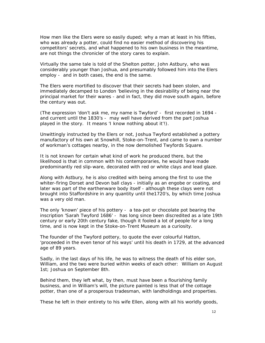How men like the Elers were so easily duped; why a man at least in his fifties, who was already a potter, could find no easier method of discovering his competitors' secrets, and what happened to his own business in the meantime, are not things the chronicler of the story cares to explain.

Virtually the same tale is told of the Shelton potter, John Astbury, who was considerably younger than Joshua, and presumably followed him into the Elers employ - and in both cases, the end is the same.

The Elers were mortified to discover that their secrets had been stolen, and immediately decamped to London 'believing in the desirability of being near the principal market for their wares - and in fact, they did move south again, before the century was out.

(The expression 'don't ask me, my name is Twyford' - first recorded in 1694 and current until the 1830's - may well have derived from the part Joshua played in the story. It means 'I know nothing about it'!).

Unwittingly instructed by the Elers or not, Joshua Twyford established a pottery manufactory of his own at Snowhill, Stoke-on-Trent, and came to own a number of workman's cottages nearby, in the now demolished Twyfords Square.

It is not known for certain what kind of work he produced there, but the likelihood is that in common with his contemporaries, he would have made predominantly red slip-ware, decorated with red or white clays and lead glaze.

Along with Astbury, he is also credited with being among the first to use the whiter-firing Dorset and Devon ball clays - initially as an engobe or coating, and later was part of the earthenware body itself - although these clays were not brought into Staffordshire in any quantity until the1720's, by which time Joshua was a very old man.

The only 'known' piece of his pottery - a tea-pot or chocolate pot bearing the inscription 'Sarah Twyford 1686' - has long since been discredited as a late 19th century or early 20th century fake, though it fooled a lot of people for a long time, and is now kept in the Stoke-on-Trent Museum as a curiosity.

The founder of the Twyford pottery, to quote the ever colourful Hatton, 'proceeded in the even tenor of his ways' until his death in 1729, at the advanced age of 89 years.

Sadly, in the last days of his life, he was to witness the death of his elder son, William, and the two were buried within weeks of each other: William on August 1st; Joshua on September 8th.

Behind them, they left what, by then, must have been a flourishing family business, and in William's will, the picture painted is less that of the cottage potter, than one of a prosperous tradesman, with landholdings and properties.

These he left in their entirety to his wife Ellen, along with all his worldly goods,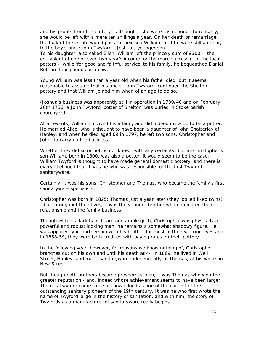and his profits from the pottery - although if she were rash enough to remarry, she would be left with a mere ten shillings a year. On her death or remarriage, the bulk of the estate would pass to their son William, or if he were still a minor, to the boy's uncle John Twyford - Joshua's younger son.

To his daughter, also called Ellen, William left the princely sum of £300 - the equivalent of one or even two year's income for the more successful of the local potters - while 'for good and faithful service' to his family, he bequeathed Daniel Botham four pounds or a cow.

Young William was less than a year old when his father died, but it seems reasonable to assume that his uncle, John Twyford, continued the Shelton pottery and that William joined him when of an age to do so.

(Joshua's business was apparently still in operation in 1739/40 and on February 26th 1756, a John Twyford 'potter of Shelton' was buried in Stoke parish churchyard).

At all events, William survived his infancy and did indeed grow up to be a potter. He married Alice, who is thought to have been a daughter of John Chatterley of Hanley, and when he died aged 69 in 1797, he left two sons, Christopher and John, to carry on the business.

Whether they did so or not, is not known with any certainty, but as Christopher's son William, born in 1800, was also a potter, it would seem to be the case. William Twyford is thought to have made general domestic pottery, and there is every likelihood that it was he who was responsible for the first Twyford sanitaryware.

Certainly, it was his sons, Christopher and Thomas, who became the family's first sanitaryware specialists.

Christopher was born in 1825; Thomas just a year later (they looked liked twins) - but throughout their lives, it was the younger brother who dominated their relationship and the family business.

Though with his dark hair, beard and ample girth, Christopher was physically a powerful and robust looking man, he remains a somewhat shadowy figure. He was apparently in partnership with his brother for most of their working lives and in 1858-59, they were both credited with paying rates on their pottery.

In the following year, however, for reasons we know nothing of, Christopher branches out on his own and until his death at 44 in 1869, he lived in Well Street, Hanley, and made sanitaryware independently of Thomas, at his works in New Street.

But though both brothers became prosperous men, it was Thomas who won the greater reputation - and, indeed whose achievement seems to have been larger. Thomas Twyford came to be acknowledged as one of the earliest of the outstanding sanitary pioneers of the 19th century. It was he who first wrote the name of Twyford large in the history of sanitation, and with him, the story of Twyfords as a manufacturer of sanitaryware really begins.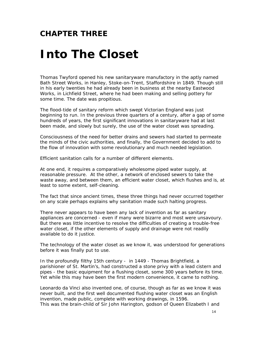#### **CHAPTER THREE**

## *Into The Closet*

Thomas Twyford opened his new sanitaryware manufactory in the aptly named Bath Street Works, in Hanley, Stoke-on-Trent, Staffordshire in 1849. Though still in his early twenties he had already been in business at the nearby Eastwood Works, in Lichfield Street, where he had been making and selling pottery for some time. The date was propitious.

The flood-tide of sanitary reform which swept Victorian England was just beginning to run. In the previous three quarters of a century, after a gap of some hundreds of years, the first significant innovations in sanitaryware had at last been made, and slowly but surely, the use of the water closet was spreading.

Consciousness of the need for better drains and sewers had started to permeate the minds of the civic authorities, and finally, the Government decided to add to the flow of innovation with some revolutionary and much needed legislation.

Efficient sanitation calls for a number of different elements.

At one end, it requires a comparatively wholesome piped water supply, at reasonable pressure. At the other, a network of enclosed sewers to take the waste away, and between them, an efficient water closet, which flushes and is, at least to some extent, self-cleaning.

The fact that since ancient times, these three things had never occurred together on any scale perhaps explains why sanitation made such halting progress.

There never appears to have been any lack of invention as far as sanitary appliances are concerned - even if many were bizarre and most were unsavoury. But there was little incentive to resolve the difficulties of creating a trouble-free water closet, if the other elements of supply and drainage were not readily available to do it justice.

The technology of the water closet as we know it, was understood for generations before it was finally put to use.

In the profoundly filthy 15th century - in 1449 - Thomas Brightfield, a parishioner of St. Martin's, had constructed a stone privy with a lead cistern and pipes - the basic equipment for a flushing closet, some 300 years before its time. Yet while this may have been the first modern convenience, it came to nothing.

Leonardo da Vinci also invented one, of course, though as far as we know it was never built, and the first well documented flushing water closet was an English invention, made public, complete with working drawings, in 1596. This was the brain-child of Sir John Harington, godson of Queen Elizabeth I and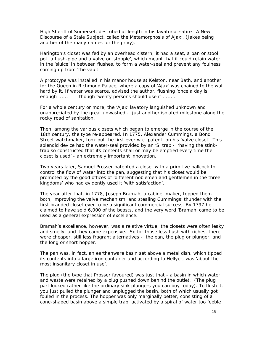High Sheriff of Somerset, described at length in his lavatorial satire ' A New Discourse of a Stale Subject, called the Metamorphosis of Ajax'. (Jakes being another of the many names for the privy).

Harington's closet was fed by an overhead cistern; it had a seat, a pan or stool pot, a flush-pipe and a valve or 'stopple', which meant that it could retain water in the 'sluice' in between flushes, to form a water-seal and prevent any foulness coming up from 'the vault'

A prototype was installed in his manor house at Kelston, near Bath, and another for the Queen in Richmond Palace, where a copy of 'Ajax' was chained to the wall hard by it. If water was scarce, advised the author, flushing 'once a day is enough ...... though twenty persons should use it ......'.

For a whole century or more, the 'Ajax' lavatory languished unknown and unappreciated by the great unwashed - just another isolated milestone along the rocky road of sanitation.

Then, among the various closets which began to emerge in the course of the 18th century, the type re-appeared. In 1775, Alexander Cummings, a Bond Street watchmaker, took out the first ever w.c. patent, on his 'valve closet'. This splendid device had the water-seal provided by an 'S' trap - 'having the stinktrap so constructed that its contents shall or may be emptied every time the closet is used' - an extremely important innovation.

Two years later, Samuel Prosser patented a closet with a primitive ballcock to control the flow of water into the pan, suggesting that his closet would be promoted by the good offices of 'different noblemen and gentlemen in the three kingdoms' who had evidently used it 'with satisfaction'.

The year after that, in 1778, Joseph Bramah, a cabinet maker, topped them both, improving the valve mechanism, and stealing Cummings' thunder with the first branded closet ever to be a significant commercial success. By 1797 he claimed to have sold 6,000 of the beasts, and the very word 'Bramah' came to be used as a general expression of excellence.

Bramah's excellence, however, was a relative virtue; the closets were often leaky and smelly, and they came expensive. So for those less flush with riches, there were cheaper, still less fragrant alternatives - the pan, the plug or plunger, and the long or short hopper.

The pan was, in fact, an earthenware basin set above a metal dish, which tipped its contents into a large iron container and according to Hellyer, was 'about the most insanitary closet in use'.

The plug (the type that Prosser favoured) was just that - a basin in which water and waste were retained by a plug pushed down behind the outlet. (The plug part looked rather like the ordinary sink plungers you can buy today). To flush it, you just pulled the plunger and unplugged the basin, both of which usually got fouled in the process. The hopper was only marginally better, consisting of a cone-shaped basin above a simple trap, activated by a spiral of water too feeble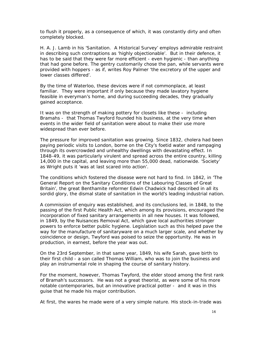to flush it properly, as a consequence of which, it was constantly dirty and often completely blocked.

H. A. J. Lamb in his 'Sanitation. A Historical Survey' employs admirable restraint in describing such contraptions as 'highly objectionable'. But in their defence, it has to be said that they were far more efficient - even hygienic - than anything that had gone before. The gentry customarily chose the pan, while servants were provided with hoppers - as if, writes Roy Palmer 'the excretory of the upper and lower classes differed'.

By the time of Waterloo, these devices were if not commonplace, at least familiar. They were important if only because they made lavatory hygiene feasible in everyman's home, and during succeeding decades, they gradually gained acceptance.

It was on the strength of making pottery for closets like these - including Bramahs - that Thomas Twyford founded his business, at the very time when events in the wider field of sanitation were about to make their use more widespread than ever before.

The pressure for improved sanitation was growing. Since 1832, cholera had been paying periodic visits to London, borne on the City's foetid water and rampaging through its overcrowded and unhealthy dwellings with devastating effect. In 1848-49, it was particularly virulent and spread across the entire country, killing 14,000 in the capital, and leaving more than 55,000 dead, nationwide. 'Society' as Wright puts it 'was at last scared into action'.

The conditions which fostered the disease were not hard to find. In 1842, in 'The General Report on the Sanitary Conditions of the Labouring Classes of Great Britain', the great Benthamite reformer Edwin Chadwick had described in all its sordid glory, the dismal state of sanitation in the world's leading industrial nation.

A commission of enquiry was established, and its conclusions led, in 1848, to the passing of the first Public Health Act, which among its provisions, encouraged the incorporation of fixed sanitary arrangements in all new houses. It was followed, in 1849, by the Nuisances Removal Act, which gave local authorities stronger powers to enforce better public hygiene. Legislation such as this helped pave the way for the manufacture of sanitaryware on a much larger scale, and whether by coincidence or design, Twyford was poised to seize the opportunity. He was in production, in earnest, before the year was out.

On the 23rd September, in that same year, 1849, his wife Sarah, gave birth to their first child - a son called Thomas William, who was to join the business and play an instrumental role in shaping the course of sanitary history.

For the moment, however, Thomas Twyford, the elder stood among the first rank of Bramah's successors. He was not a great theorist, as were some of his more notable contemporaries, but an innovative practical potter - and it was in this guise that he made his major contribution.

At first, the wares he made were of a very simple nature. His stock-in-trade was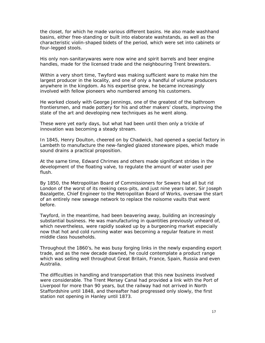the closet, for which he made various different basins. He also made washhand basins, either free-standing or built into elaborate washstands, as well as the characteristic violin-shaped bidets of the period, which were set into cabinets or four-legged stools.

His only non-sanitarywares were now wine and spirit barrels and beer engine handles, made for the licensed trade and the neighbouring Trent brewsters.

Within a very short time, Twyford was making sufficient ware to make him the largest producer in the locality, and one of only a handful of volume producers anywhere in the kingdom. As his expertise grew, he became increasingly involved with fellow pioneers who numbered among his customers.

He worked closely with George Jennings, one of the greatest of the bathroom frontiersmen, and made pottery for his and other makers' closets, improving the state of the art and developing new techniques as he went along.

These were yet early days, but what had been until then only a trickle of innovation was becoming a steady stream.

In 1845, Henry Doulton, cheered on by Chadwick, had opened a special factory in Lambeth to manufacture the new-fangled glazed stoneware pipes, which made sound drains a practical proposition.

At the same time, Edward Chrimes and others made significant strides in the development of the floating valve, to regulate the amount of water used per flush.

By 1850, the Metropolitan Board of Commissioners for Sewers had all but rid London of the worst of its reeking cess-pits, and just nine years later, Sir Joseph Bazalgette, Chief Engineer to the Metropolitan Board of Works, oversaw the start of an entirely new sewage network to replace the noisome vaults that went before.

Twyford, in the meantime, had been beavering away, building an increasingly substantial business. He was manufacturing in quantities previously unheard of, which nevertheless, were rapidly soaked up by a burgeoning market especially now that hot and cold running water was becoming a regular feature in most middle class households.

Throughout the 1860's, he was busy forging links in the newly expanding export trade, and as the new decade dawned, he could contemplate a product range which was selling well throughout Great Britain, France, Spain, Russia and even Australia.

The difficulties in handling and transportation that this new business involved were considerable. The Trent Mersey Canal had provided a link with the Port of Liverpool for more than 90 years, but the railway had not arrived in North Staffordshire until 1848, and thereafter had progressed only slowly, the first station not opening in Hanley until 1873.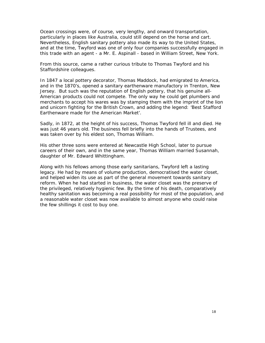Ocean crossings were, of course, very lengthy, and onward transportation, particularly in places like Australia, could still depend on the horse and cart. Nevertheless, English sanitary pottery also made its way to the United States, and at the time, Twyford was one of only four companies successfully engaged in this trade with an agent - a Mr. E. Aspinall - based in William Street, New York.

From this source, came a rather curious tribute to Thomas Twyford and his Staffordshire colleagues.

In 1847 a local pottery decorator, Thomas Maddock, had emigrated to America, and in the 1870's, opened a sanitary earthenware manufactory in Trenton, New Jersey. But such was the reputation of English pottery, that his genuine all-American products could not compete. The only way he could get plumbers and merchants to accept his wares was by stamping them with the imprint of the lion and unicorn fighting for the British Crown, and adding the legend: 'Best Stafford Earthenware made for the American Market'.

Sadly, in 1872, at the height of his success, Thomas Twyford fell ill and died. He was just 46 years old. The business fell briefly into the hands of Trustees, and was taken over by his eldest son, Thomas William.

His other three sons were entered at Newcastle High School, later to pursue careers of their own, and in the same year, Thomas William married Susannah, daughter of Mr. Edward Whittingham.

Along with his fellows among those early sanitarians, Twyford left a lasting legacy. He had by means of volume production, democratised the water closet, and helped widen its use as part of the general movement towards sanitary reform. When he had started in business, the water closet was the preserve of the privileged, relatively hygienic few. By the time of his death, comparatively healthy sanitation was becoming a real possibility for most of the population, and a reasonable water closet was now available to almost anyone who could raise the few shillings it cost to buy one.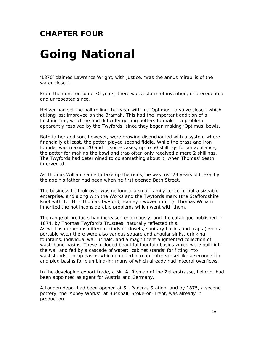### **CHAPTER FOUR**

# *Going National*

'1870' claimed Lawrence Wright, with justice, 'was the annus mirabilis of the water closet'.

From then on, for some 30 years, there was a storm of invention, unprecedented and unrepeated since.

Hellyer had set the ball rolling that year with his 'Optimus', a valve closet, which at long last improved on the Bramah. This had the important addition of a flushing rim, which he had difficulty getting potters to make - a problem apparently resolved by the Twyfords, since they began making 'Optimus' bowls.

Both father and son, however, were growing disenchanted with a system where financially at least, the potter played second fiddle. While the brass and iron founder was making 20 and in some cases, up to 50 shillings for an appliance, the potter for making the bowl and trap often only received a mere 2 shillings. The Twyfords had determined to do something about it, when Thomas' death intervened.

As Thomas William came to take up the reins, he was just 23 years old, exactly the age his father had been when he first opened Bath Street.

The business he took over was no longer a small family concern, but a sizeable enterprise, and along with the Works and the Twyfords mark (the Staffordshire Knot with T.T.H. - Thomas Twyford, Hanley - woven into it), Thomas William inherited the not inconsiderable problems which went with them.

The range of products had increased enormously, and the catalogue published in 1874, by Thomas Twyford's Trustees, naturally reflected this. As well as numerous different kinds of closets, sanitary basins and traps (even a portable w.c.) there were also various square and angular sinks, drinking fountains, individual wall urinals, and a magnificent augmented collection of wash-hand basins. These included beautiful fountain basins which were built into the wall and fed by a cascade of water; 'cabinet stands' for fitting into washstands, tip-up basins which emptied into an outer vessel like a second skin and plug basins for plumbing-in; many of which already had integral overflows.

In the developing export trade, a Mr. A. Rieman of the Zeiterstrasse, Leipzig, had been appointed as agent for Austria and Germany.

A London depot had been opened at St. Pancras Station, and by 1875, a second pottery, the 'Abbey Works', at Bucknall, Stoke-on-Trent, was already in production.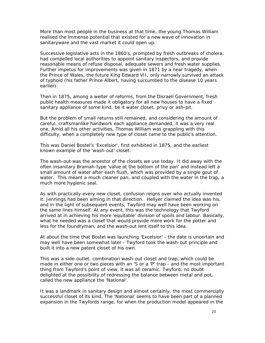More than most people in the business at that time, the young Thomas William realised the immense potential that existed for a new wave of innovation in sanitaryware and the vast market it could open up.

Successive legislative acts in the 1860's, prompted by fresh outbreaks of cholera, had compelled local authorities to appoint sanitary inspectors, and provide reasonable means of refuse disposal, adequate sewers and fresh water supplies. Further impetus for improvements was given in 1871 by a near tragedy, when the Prince of Wales, the future King Edward VII, only narrowly survived an attack of typhoid (his father Prince Albert, having succumbed to the disease 10 years earlier).

Then in 1875, among a welter of reforms, from the Disraeli Government, fresh public health measures made it obligatory for all new houses to have a fixed sanitary appliance of some kind, be it water closet, privy or ash-pit.

But the problem of small returns still remained, and considering the amount of careful, craftsmanlike handwork each appliance demanded, it was a very real one. Amid all his other activities, Thomas William was grappling with this difficulty, when a completely new type of closet came to the public's attention.

This was Daniel Bostel's 'Excelsior', first exhibited in 1875, and the earliest known example of the 'wash-out' closet.

The wash-out was the ancestor of the closets we use today. It did away with the often insanitary Bramah-type 'valve at the bottom of the pan' and instead left a small amount of water after each flush, which was provided by a single gout of water. This meant a much cleaner pan, and coupled with the water in the trap, a much more hygienic seal.

As with practically every new closet, confusion reigns over who actually invented it. Jennings had been aiming in that direction. Hellyer claimed the idea was his, and in the light of subsequent events, Twyford may well have been working on the same lines himself. At any event, this was the technology that Twyford arrived at in achieving his more 'equitable' division of spoils and labour. Basically, what he needed was a closet that would provide more work for the potter and less for the foundryman, and the wash-out lent itself to this idea.

At about the time that Bostel was launching 'Excelsior' - the date is uncertain and may well have been somewhat later - Twyford took the wash-out principle and built it into a new patent closet of his own.

This was a side-outlet, combination wash-out closet and trap, which could be made in either one or two pieces with an 'S or a 'P' trap - and the most important thing from Twyford's point of view, it was all ceramic. Twyford, no doubt delighted at the possibility of redressing the balance between metal and pot, called the new appliance the 'National'.

It was a landmark in sanitary design and almost certainly, the most commercially successful closet of its kind. The 'National' seems to have been part of a planned expansion in the Twyfords range, for when the production model appeared in the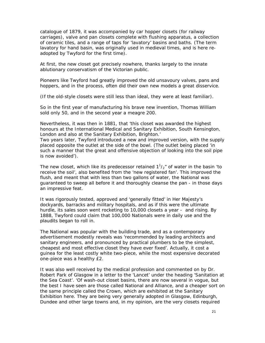catalogue of 1879, it was accompanied by car hopper closets (for railway carriages), valve and pan closets complete with flushing apparatus, a collection of ceramic tiles, and a range of taps for 'lavatory' basins and baths. (The term lavatory for hand basin, was originally used in medieval times, and is here readopted by Twyford for the first time).

At first, the new closet got precisely nowhere, thanks largely to the innate ablutionary conservatism of the Victorian public.

Pioneers like Twyford had greatly improved the old unsavoury valves, pans and hoppers, and in the process, often did their own new models a great disservice.

(If the old-style closets were still less than ideal, they were at least familiar).

So in the first year of manufacturing his brave new invention, Thomas William sold only 50, and in the second year a meagre 200.

Nevertheless, it was then in 1881, that 'this closet was awarded the highest honours at the International Medical and Sanitary Exhibition, South Kensington, London and also at the Sanitary Exhibition, Brighton.'

Two years later, Twyford introduced a new and improved version, with the supply placed opposite the outlet at the side of the bowl. (The outlet being placed 'in such a manner that the great and offensive objection of looking into the soil pipe is now avoided').

The new closet, which like its predecessor retained  $1^{1}/_{2}$ " of water in the basin 'to receive the soil', also benefited from the 'new registered fan'. This improved the flush, and meant that with less than two gallons of water, the National was guaranteed to sweep all before it and thoroughly cleanse the pan - in those days an impressive feat.

It was rigorously tested, approved and 'generally fitted' in Her Majesty's dockyards, barracks and military hospitals, and as if this were the ultimate hurdle, its sales soon went rocketing to 10,000 closets a year - and rising. By 1888, Twyford could claim that 100,000 Nationals were in daily use and the plaudits began to roll in.

The National was popular with the building trade, and as a contemporary advertisement modestly reveals was 'recommended by leading architects and sanitary engineers, and pronounced by practical plumbers to be the simplest, cheapest and most effective closet they have ever fixed'. Actually, it cost a guinea for the least costly white two-piece, while the most expensive decorated one-piece was a healthy £2.

It was also well received by the medical profession and commented on by Dr. Robert Park of Glasgow in a letter to the 'Lancet' under the heading 'Sanitation at the Sea Coast'. 'Of wash-out closet basins, there are now several in vogue, but the best I have seen are those called National and Alliance, and a cheaper sort on the same principle called the Crown, which are exhibited at the Sanitary Exhibition here. They are being very generally adopted in Glasgow, Edinburgh, Dundee and other large towns and, in my opinion, are the very closets required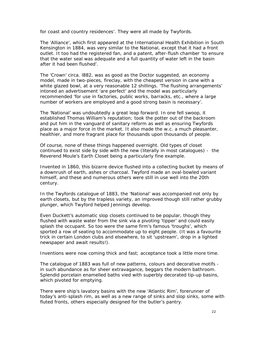for coast and country residences'. They were all made by Twyfords.

The 'Alliance', which first appeared at the International Health Exhibition in South Kensington in 1884, was very similar to the National, except that it had a front outlet. It too had the registered fan, and a patent, after-flush chamber 'to ensure that the water seal was adequate and a full quantity of water left in the basin after it had been flushed'.

The 'Crown' circa. l882, was as good as the Doctor suggested, an economy model, made in two-pieces, fireclay, with the cheapest version in cane with a white glazed bowl, at a very reasonable 12 shillings. 'The flushing arrangements' intoned an advertisement 'are perfect' and the model was particularly recommended 'for use in factories, public works, barracks, etc., where a large number of workers are employed and a good strong basin is necessary'.

The 'National' was undoubtedly a great leap forward. In one fell swoop, it established Thomas William's reputation; took the potter out of the backroom and put him in the vanguard of sanitary reform as well as ensuring Twyfords place as a major force in the market. It also made the w.c. a much pleasanter, healthier, and more fragrant place for thousands upon thousands of people.

Of course, none of these things happened overnight. Old types of closet continued to exist side by side with the new (literally in most catalogues) - the Reverend Moule's Earth Closet being a particularly fine example.

Invented in 1860, this bizarre device flushed into a collecting bucket by means of a downrush of earth, ashes or charcoal. Twyford made an oval-bowled variant himself, and these and numerous others were still in use well into the 20th century.

In the Twyfords catalogue of 1883, the 'National' was accompanied not only by earth closets, but by the trapless variety, an improved though still rather grubby plunger, which Twyford helped Jennings develop.

Even Duckett's automatic slop closets continued to be popular, though they flushed with waste water from the sink via a pivoting 'tipper' and could easily splash the occupant. So too were the same firm's famous 'troughs', which sported a row of seating to accommodate up to eight people. (It was a favourite trick in certain London clubs and elsewhere, to sit 'upstream', drop in a lighted newspaper and await results!).

Inventions were now coming thick and fast; acceptance took a little more time.

The catalogue of 1883 was full of new patterns, colours and decorative motifs in such abundance as for sheer extravagance, beggars the modern bathroom. Splendid porcelain enamelled baths vied with superbly decorated tip-up basins, which pivoted for emptying.

There were ship's lavatory basins with the new 'Atlantic Rim', forerunner of today's anti-splash rim, as well as a new range of sinks and slop sinks, some with fluted fronts, others especially designed for the butler's pantry.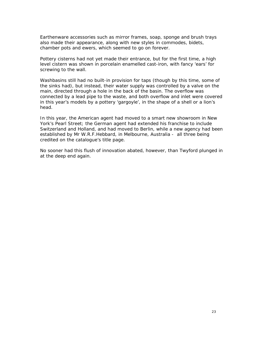Earthenware accessories such as mirror frames, soap, sponge and brush trays also made their appearance, along with new styles in commodes, bidets, chamber pots and ewers, which seemed to go on forever.

Pottery cisterns had not yet made their entrance, but for the first time, a high level cistern was shown in porcelain enamelled cast-iron, with fancy 'ears' for screwing to the wall.

Washbasins still had no built-in provision for taps (though by this time, some of the sinks had), but instead, their water supply was controlled by a valve on the main, directed through a hole in the back of the basin. The overflow was connected by a lead pipe to the waste, and both overflow and inlet were covered in this year's models by a pottery 'gargoyle', in the shape of a shell or a lion's head.

In this year, the American agent had moved to a smart new showroom in New York's Pearl Street; the German agent had extended his franchise to include Switzerland and Holland, and had moved to Berlin, while a new agency had been established by Mr W.R.F.Hebbard, in Melbourne, Australia - all three being credited on the catalogue's title page.

No sooner had this flush of innovation abated, however, than Twyford plunged in at the deep end again.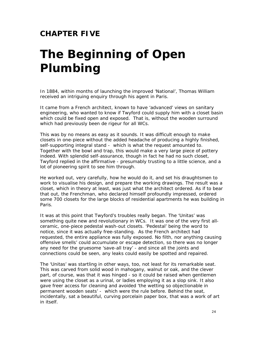#### **CHAPTER FIVE**

# *The Beginning of Open Plumbing*

In 1884, within months of launching the improved 'National', Thomas William received an intriguing enquiry through his agent in Paris.

It came from a French architect, known to have 'advanced' views on sanitary engineering, who wanted to know if Twyford could supply him with a closet basin which could be fixed open and exposed. That is, without the wooden surround which had previously been de rigeur for all WCs.

This was by no means as easy as it sounds. It was difficult enough to make closets in one-piece without the added headache of producing a highly finished, self-supporting integral stand - which is what the request amounted to. Together with the bowl and trap, this would make a very large piece of pottery indeed. With splendid self-assurance, though in fact he had no such closet, Twyford replied in the affirmative - presumably trusting to a little science, and a lot of pioneering spirit to see him through.

He worked out, very carefully, how he would do it, and set his draughtsmen to work to visualise his design, and prepare the working drawings. The result was a closet, which in theory at least, was just what the architect ordered. As if to bear that out, the Frenchman, who declared himself profoundly impressed, ordered some 700 closets for the large blocks of residential apartments he was building in Paris.

It was at this point that Twyford's troubles really began. The 'Unitas' was something quite new and revolutionary in WCs. It was one of the very first allceramic, one-piece pedestal wash-out closets. 'Pedestal' being the word to notice, since it was actually free-standing. As the French architect had requested, the entire appliance was fully exposed. No filth, nor anything causing offensive smells' could accumulate or escape detection, so there was no longer any need for the gruesome 'save-all tray' - and since all the joints and connections could be seen, any leaks could easily be spotted and repaired.

The 'Unitas' was startling in other ways, too, not least for its remarkable seat. This was carved from solid wood in mahogany, walnut or oak, and the clever part, of course, was that it was hinged - so it could be raised when gentlemen were using the closet as a urinal, or ladies employing it as a slop sink. It also gave freer access for cleaning and avoided 'the wetting so objectionable in permanent wooden seats' - which were the rule before. Behind the seat, incidentally, sat a beautiful, curving porcelain paper box, that was a work of art in itself.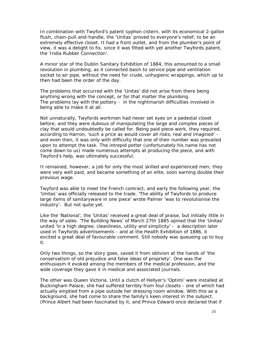In combination with Twyford's patent syphon cistern, with its economical 2-gallon flush, chain-pull-and-handle, the 'Unitas' proved to everyone's relief, to be an extremely effective closet. It had a front outlet, and from the plumber's point of view, it was a delight to fix, since it was fitted with yet another Twyfords patent, the 'India Rubber Connection'.

A minor star of the Dublin Sanitary Exhibition of 1884, this amounted to a small revolution in plumbing, as it connected basin to service pipe and ventilation socket to air pipe, without the need for crude, unhygienic wrappings, which up to then had been the order of the day.

The problems that occurred with the 'Unitas' did not arise from there being anything wrong with the concept, or for that matter the plumbing. The problems lay with the pottery - in the nightmarish difficulties involved in being able to make it at all.

Not unnaturally, Twyfords workmen had never set eyes on a pedestal closet before, and they were dubious of manipulating the large and complex pieces of clay that would undoubtedly be called for. Being paid piece-work, they required, according to Harron, 'such a price as would cover all risks, real and imagined' and even then, it was only with difficulty that one of their number was prevailed upon to attempt the task. The intrepid potter (unfortunately his name has not come down to us) made numerous attempts at producing the piece, and with Twyford's help, was ultimately successful.

It remained, however, a job for only the most skilled and experienced men; they were very well paid, and became something of an elite, soon earning double their previous wage.

Twyford was able to meet the French contract, and early the following year, the 'Unitas' was officially released to the trade. 'The ability of Twyfords to produce large items of sanitaryware in one piece' wrote Palmer 'was to revolutionise the industry'. But not quite yet.

Like the 'National', the 'Unitas' received a great deal of praise, but initially little in the way of sales. 'The Building News' of March 27th 1885 opined that the 'Unitas' united 'in a high degree, cleanliness, utility and simplicity' - a description later used in Twyfords advertisements - and at the Health Exhibition of 1886, it excited a great deal of favourable comment. Still nobody was queueing up to buy it.

Only two things, so the story goes, saved it from oblivion at the hands of 'the conservatism of old prejudice and false ideas of propriety'. One was the enthusiasm it evoked among the members of the medical profession, and the wide coverage they gave it in medical and associated journals.

The other was Queen Victoria. Until a clutch of Hellyer's 'Optimi' were installed at Buckingham Palace, she had suffered terribly from foul closets - one of which had actually emptied from a pipe outside her dressing room window. With this as a background, she had come to share the family's keen interest in the subject. (Prince Albert had been fascinated by it, and Prince Edward once declared that if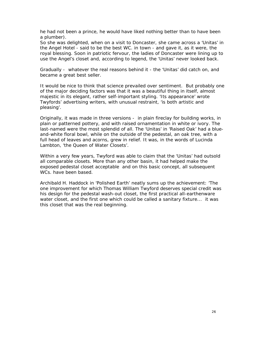he had not been a prince, he would have liked nothing better than to have been a plumber).

So she was delighted, when on a visit to Doncaster, she came across a 'Unitas' in the Angel Hotel - said to be the best WC. in town - and gave it, as it were, the royal blessing. Soon in patriotic fervour, the ladies of Doncaster were lining up to use the Angel's closet and, according to legend, the 'Unitas' never looked back.

Gradually - whatever the real reasons behind it - the 'Unitas' did catch on, and became a great best seller.

It would be nice to think that science prevailed over sentiment. But probably one of the major deciding factors was that it was a beautiful thing in itself, almost majestic in its elegant, rather self-important styling. 'Its appearance' wrote Twyfords' advertising writers, with unusual restraint, 'is both artistic and pleasing'.

Originally, it was made in three versions - in plain fireclay for building works, in plain or patterned pottery, and with raised ornamentation in white or ivory. The last-named were the most splendid of all. The 'Unitas' in 'Raised Oak' had a blueand-white floral bowl, while on the outside of the pedestal, an oak tree, with a full head of leaves and acorns, grew in relief. It was, in the words of Lucinda Lambton, 'the Queen of Water Closets'.

Within a very few years, Twyford was able to claim that the 'Unitas' had outsold all comparable closets. More than any other basin, it had helped make the exposed pedestal closet acceptable and on this basic concept, all subsequent WCs. have been based.

Archibald H. Haddock in 'Polished Earth' neatly sums up the achievement: 'The one improvement for which Thomas William Twyford deserves special credit was his design for the pedestal wash-out closet, the first practical all-earthenware water closet, and the first one which could be called a sanitary fixture... it was this closet that was the real beginning.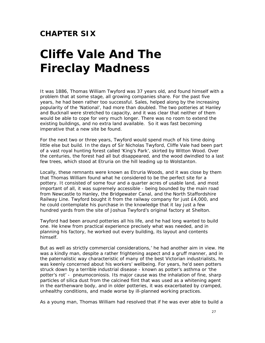#### **CHAPTER SIX**

# *Cliffe Vale And The Fireclay Madness*

It was 1886, Thomas William Twyford was 37 years old, and found himself with a problem that at some stage, all growing companies share. For the past five years, he had been rather too successful. Sales, helped along by the increasing popularity of the 'National', had more than doubled. The two potteries at Hanley and Bucknall were stretched to capacity, and it was clear that neither of them would be able to cope for very much longer. There was no room to extend the existing buildings, and no extra land available. So it was fast becoming imperative that a new site be found.

For the next two or three years, Twyford would spend much of his time doing little else but build. In the days of Sir Nicholas Twyford, Cliffe Vale had been part of a vast royal hunting forest called 'King's Park', skirted by Witton Wood. Over the centuries, the forest had all but disappeared, and the wood dwindled to a last few trees, which stood at Etruria on the hill leading up to Wolstanton.

Locally, these remnants were known as Etruria Woods, and it was close by them that Thomas William found what he considered to be the perfect site for a pottery. It consisted of some four and a quarter acres of usable land, and most important of all, it was supremely accessible - being bounded by the main road from Newcastle to Hanley, the Bridgewater Canal, and the North Staffordshire Railway Line. Twyford bought it from the railway company for just £4,000, and he could contemplate his purchase in the knowledge that it lay just a few hundred yards from the site of Joshua Twyford's original factory at Shelton.

Twyford had been around potteries all his life, and he had long wanted to build one. He knew from practical experience precisely what was needed, and in planning his factory, he worked out every building, its layout and contents himself.

But as well as strictly commercial considerations,' he had another aim in view. He was a kindly man, despite a rather frightening aspect and a gruff manner, and in the paternalistic way characteristic of many of the best Victorian industrialists, he was keenly concerned about his workers' wellbeing. For years, he'd seen potters struck down by a terrible industrial disease - known as potter's asthma or 'the potter's rot' - pneumoconiosis. Its major cause was the inhalation of fine, sharp particles of silica dust from the calcined flint that was used as a whitening agent in the earthenware body, and in older potteries, it was exacerbated by cramped, unhealthy conditions, and made worse by ill-planned working practices.

As a young man, Thomas William had resolved that if he was ever able to build a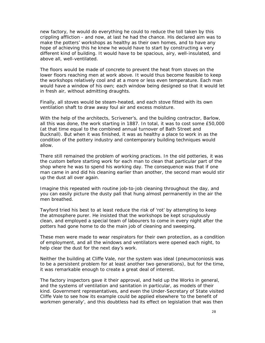new factory, he would do everything he could to reduce the toll taken by this crippling affliction - and now, at last he had the chance. His declared aim was to make the potters' workshops as healthy as their own homes, and to have any hope of achieving this he knew he would have to start by constructing a very different kind of building. It would have to be spacious, airy, well-insulated, and above all, well-ventilated.

The floors would be made of concrete to prevent the heat from stoves on the lower floors reaching men at work above. It would thus become feasible to keep the workshops relatively cool and at a more or less even temperature. Each man would have a window of his own; each window being designed so that it would let in fresh air, without admitting draughts.

Finally, all stoves would be steam-heated, and each stove fitted with its own ventilation shaft to draw away foul air and excess moisture.

With the help of the architects, Scrivener's, and the building contractor, Barlow, all this was done, the work starting in 1887. In total, it was to cost some £50,000 (at that time equal to the combined annual turnover of Bath Street and Bucknall). But when it was finished, it was as healthy a place to work in as the condition of the pottery industry and contemporary building techniques would allow.

There still remained the problem of working practices. In the old potteries, it was the custom before starting work for each man to clean that particular part of the shop where he was to spend his working day. The consequence was that if one man came in and did his cleaning earlier than another, the second man would stir up the dust all over again.

Imagine this repeated with routine job-to-job cleaning throughout the day, and you can easily picture the dusty pall that hung almost permanently in the air the men breathed.

Twyford tried his best to at least reduce the risk of 'rot' by attempting to keep the atmosphere purer. He insisted that the workshops be kept scrupulously clean, and employed a special team of labourers to come in every night after the potters had gone home to do the main job of cleaning and sweeping.

These men were made to wear respirators for their own protection, as a condition of employment, and all the windows and ventilators were opened each night, to help clear the dust for the next day's work.

Neither the building at Cliffe Vale, nor the system was ideal (pneumoconiosis was to be a persistent problem for at least another two generations), but for the time, it was remarkable enough to create a great deal of interest.

The factory inspectors gave it their approval, and held up the Works in general, and the systems of ventilation and sanitation in particular, as models of their kind. Government representatives, and even the Under-Secretary of State visited Cliffe Vale to see how its example could be applied elsewhere 'to the benefit of workmen generally', and this doubtless had its effect on legislation that was then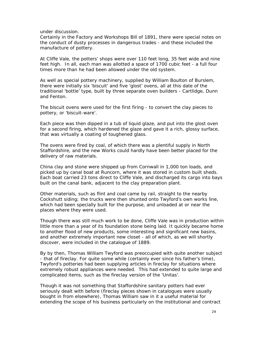under discussion.

Certainly in the Factory and Workshops Bill of 1891, there were special notes on the conduct of dusty processes in dangerous trades - and these included the manufacture of pottery.

At Cliffe Vale, the potters' shops were over 110 feet long, 35 feet wide and nine feet high. In all, each man was allotted a space of 1700 cubic feet - a full four times more than he had been allowed under the old system.

As well as special pottery machinery, supplied by William Boulton of Burslem, there were initially six 'biscuit' and five 'glost' ovens, all at this date of the traditional 'bottle' type, built by three separate oven builders - Cartlidge, Dunn and Fenton.

The biscuit ovens were used for the first firing - to convert the clay pieces to pottery, or 'biscuit-ware'.

Each piece was then dipped in a tub of liquid glaze, and put into the glost oven for a second firing, which hardened the glaze and gave it a rich, glossy surface, that was virtually a coating of toughened glass.

The ovens were fired by coal, of which there was a plentiful supply in North Staffordshire, and the new Works could hardly have been better placed for the delivery of raw materials.

China clay and stone were shipped up from Cornwall in 1,000 ton loads, and picked up by canal boat at Runcorn, where it was stored in custom built sheds. Each boat carried 23 tons direct to Cliffe Vale, and discharged its cargo into bays built on the canal bank, adjacent to the clay preparation plant.

Other materials, such as flint and coal came by rail, straight to the nearby Cockshutt siding; the trucks were then shunted onto Twyford's own works line, which had been specially built for the purpose, and unloaded at or near the places where they were used.

Though there was still much work to be done, Cliffe Vale was in production within little more than a year of its foundation stone being laid. It quickly became home to another flood of new products, some interesting and significant new basins, and another extremely important new closet - all of which, as we will shortly discover, were included in the catalogue of 1889.

By by then, Thomas William Twyford was preoccupied with quite another subject - that of fireclay. For quite some while (certainly ever since his father's time), Twyford's potteries had been supplying articles in fireclay for situations where extremely robust appliances were needed. This had extended to quite large and complicated items, such as the fireclay version of the 'Unitas'.

Though it was not something that Staffordshire sanitary potters had ever seriously dealt with before (fireclay pieces shown in catalogues were usually bought in from elsewhere), Thomas William saw in it a useful material for extending the scope of his business particularly on the institutional and contract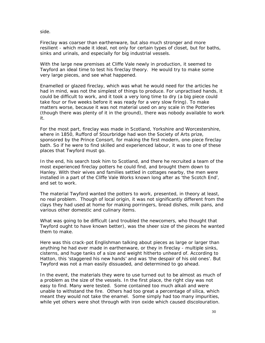side.

Fireclay was coarser than earthenware, but also much stronger and more resilient - which made it ideal, not only for certain types of closet, but for baths, sinks and urinals, and especially for big industrial vessels.

With the large new premises at Cliffe Vale newly in production, it seemed to Twyford an ideal time to test his fireclay theory. He would try to make some very large pieces, and see what happened.

Enamelled or glazed fireclay, which was what he would need for the articles he had in mind, was not the simplest of things to produce. For unpractised hands, it could be difficult to work, and it took a very long time to dry (a big piece could take four or five weeks before it was ready for a very slow firing). To make matters worse, because it was not material used on any scale in the Potteries (though there was plenty of it in the ground), there was nobody available to work it.

For the most part, fireclay was made in Scotland, Yorkshire and Worcestershire, where in 1850, Rufford of Stourbridge had won the Society of Arts prize, sponsored by the Prince Consort, for making the first modern, one-piece fireclay bath. So if he were to find skilled and experienced labour, it was to one of these places that Twyford must go.

In the end, his search took him to Scotland, and there he recruited a team of the most experienced fireclay potters he could find, and brought them down to Hanley. With their wives and families settled in cottages nearby, the men were installed in a part of the Cliffe Vale Works known long after as 'the Scotch End', and set to work.

The material Twyford wanted the potters to work, presented, in theory at least, no real problem. Though of local origin, it was not significantly different from the clays they had used at home for making porringers, bread dishes, milk pans, and various other domestic and culinary items.

What was going to be difficult (and troubled the newcomers, who thought that Twyford ought to have known better), was the sheer size of the pieces he wanted them to make.

Here was this crack-pot Englishman talking about pieces as large or larger than anything he had ever made in earthenware, or they in fireclay - multiple sinks, cisterns, and huge tanks of a size and weight hitherto unheard of. According to Hatton, this 'staggered his new hands' and was 'the despair of his old ones'. But Twyford was not a man easily dissuaded, and determined to go ahead.

In the event, the materials they were to use turned out to be almost as much of a problem as the size of the vessels. In the first place, the right clay was not easy to find. Many were tested. Some contained too much alkali and were unable to withstand the fire. Others had too great a percentage of silica, which meant they would not take the enamel. Some simply had too many impurities, while yet others were shot through with iron oxide which caused discolouration.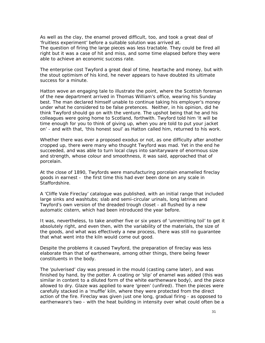As well as the clay, the enamel proved difficult, too, and took a great deal of 'fruitless experiment' before a suitable solution was arrived at.

The question of firing the large pieces was less tractable. They could be fired all right but it was a case of hit and miss, and some time elapsed before they were able to achieve an economic success rate.

The enterprise cost Twyford a great deal of time, heartache and money, but with the stout optimism of his kind, he never appears to have doubted its ultimate success for a minute.

Hatton wove an engaging tale to illustrate the point, where the Scottish foreman of the new department arrived in Thomas William's office, wearing his Sunday best. The man declared himself unable to continue taking his employer's money under what he considered to be false pretences. Neither, in his opinion, did he think Twyford should go on with the venture. The upshot being that he and his colleagues were going home to Scotland, forthwith. Twyford told him 'it will be time enough for you to think of giving up, when you are told to put your jacket on' - and with that, 'this honest soul' as Hatton called him, returned to his work.

Whether there was ever a proposed exodus or not, as one difficulty after another cropped up, there were many who thought Twyford was mad. Yet in the end he succeeded, and was able to turn local clays into sanitaryware of enormous size and strength, whose colour and smoothness, it was said, approached that of porcelain.

At the close of 1890, Twyfords were manufacturing porcelain enamelled fireclay goods in earnest - the first time this had ever been done on any scale in Staffordshire.

A 'Cliffe Vale Fireclay' catalogue was published, with an initial range that included large sinks and washtubs; slab and semi-circular urinals, long latrines and Twyford's own version of the dreaded trough closet - all flushed by a new automatic cistern, which had been introduced the year before.

It was, nevertheless, to take another five or six years of 'unremitting toil' to get it absolutely right, and even then, with the variability of the materials, the size of the goods, and what was effectively a new process, there was still no guarantee that what went into the kiln would come out good.

Despite the problems it caused Twyford, the preparation of fireclay was less elaborate than that of earthenware, among other things, there being fewer constituents in the body.

The 'pulverised' clay was pressed in the mould (casting came later), and was finished by hand, by the potter. A coating or 'slip' of enamel was added (this was similar in content to a diluted form of the white earthenware body), and the piece allowed to dry. Glaze was applied to ware 'green' (unfired). Then the pieces were carefully stacked in a 'muffle' kiln, where they were protected from the direct action of the fire. Fireclay was given just one long, gradual firing - as opposed to earthenware's two - with the heat building in intensity over what could often be a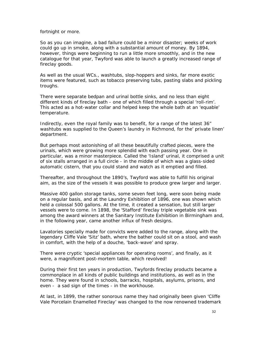fortnight or more.

So as you can imagine, a bad failure could be a minor disaster; weeks of work could go up in smoke, along with a substantial amount of money. By 1894, however, things were beginning to run a little more smoothly, and in the new catalogue for that year, Twyford was able to launch a greatly increased range of fireclay goods.

As well as the usual WCs., washtubs, slop-hoppers and sinks, far more exotic items were featured, such as tobacco preserving tubs, pasting slabs and pickling troughs.

There were separate bedpan and urinal bottle sinks, and no less than eight different kinds of fireclay bath - one of which filled through a special 'roll-rim'. This acted as a hot-water collar and helped keep the whole bath at an 'equable' temperature.

Indirectly, even the royal family was to benefit, for a range of the latest 36" washtubs was supplied to the Queen's laundry in Richmond, for the' private linen' department.

But perhaps most astonishing of all these beautifully crafted pieces, were the urinals, which were growing more splendid with each passing year. One in particular, was a minor masterpiece. Called the 'Island' urinal, it comprised a unit of six stalls arranged in a full circle - in the middle of which was a glass-sided automatic cistern, that you could stand and watch as it emptied and filled.

Thereafter, and throughout the 1890's, Twyford was able to fulfill his original aim, as the size of the vessels it was possible to produce grew larger and larger.

Massive 400 gallon storage tanks, some seven feet long, were soon being made on a regular basis, and at the Laundry Exhibition of 1896, one was shown which held a colossal 500 gallons. At the time, it created a sensation, but still larger vessels were to come. In 1898, the 'Stafford' fireclay triple vegetable sink was among the award winners at the Sanitary Institute Exhibition in Birmingham and, in the following year, came another influx of fresh designs.

Lavatories specially made for convicts were added to the range, along with the legendary Cliffe Vale 'Sitz' bath, where the bather could sit on a stool, and wash in comfort, with the help of a douche, 'back-wave' and spray.

There were cryptic 'special appliances for operating rooms', and finally, as it were, a magnificent post-mortem table, which revolved!

During their first ten years in production, Twyfords fireclay products became a commonplace in all kinds of public buildings and institutions, as well as in the home. They were found in schools, barracks, hospitals, asylums, prisons, and even - a sad sign of the times - in the workhouse.

At last, in 1899, the rather sonorous name they had originally been given 'Cliffe Vale Porcelain Enamelled Fireclay' was changed to the now renowned trademark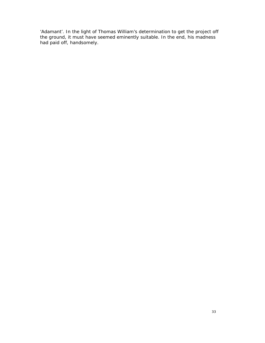'Adamant'. In the light of Thomas William's determination to get the project off the ground, it must have seemed eminently suitable. In the end, his madness had paid off, handsomely.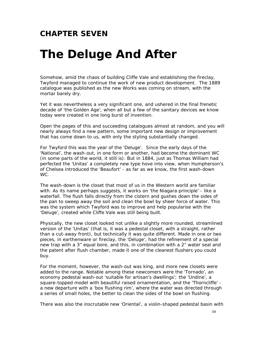### **CHAPTER SEVEN**

## *The Deluge And After*

Somehow, amid the chaos of building Cliffe Vale and establishing the fireclay, Twyford managed to continue the work of new product development. The 1889 catalogue was published as the new Works was coming on stream, with the mortar barely dry.

Yet it was nevertheless a very significant one, and ushered in the final frenetic decade of 'the Golden Age', when all but a few of the sanitary devices we know today were created in one long burst of invention.

Open the pages of this and succeeding catalogues almost at random, and you will nearly always find a new pattern, some important new design or improvement that has come down to us, with only the styling substantially changed.

For Twyford this was the year of the 'Deluge'. Since the early days of the 'National', the wash-out, in one form or another, had become the dominant WC (in some parts of the world, it still is). But in 1884, just as Thomas William had perfected the 'Unitas' a completely new type hove into view, when Humpherson's of Chelsea introduced the 'Beaufort' - as far as we know, the first wash-down WC.

The wash-down is the closet that most of us in the Western world are familiar with. As its name perhaps suggests, it works on 'the Niagara principle' - like a waterfall. The flush falls directly from the cistern and gushes down the sides of the pan to sweep away the soil and clean the bowl by sheer force of water. This was the system which Twyford was to improve and help popularise with the 'Deluge', created while Cliffe Vale was still being built.

Physically, the new closet looked not unlike a slightly more rounded, streamlined version of the 'Unitas' (that is, it was a pedestal closet, with a straight, rather than a cut-away front), but technically it was quite different. Made in one or two pieces, in earthenware or fireclay, the 'Deluge', had the refinement of a special new trap with a 3" equal bore, and this, in combination with a 2" water seal and the patent after flush chamber, made it one of the cleanest flushers you could buy.

For the moment, however, the wash-out was king, and more new closets were added to the range. Notable among these newcomers were the 'Tornado', an economy pedestal wash-out 'suitable for artisan's dwellings'; the 'Undine', a square-topped model with beautiful raised ornamentation, and the 'Thorncliffe' a new departure with a 'box flushing rim', where the water was directed through a series of small holes, the better to clean the sides of the bowl on flushing.

There was also the inscrutable new 'Oriental', a violin-shaped pedestal basin with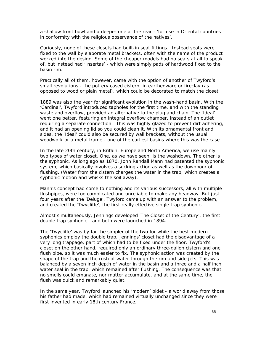a shallow front bowl and a deeper one at the rear - 'for use in Oriental countries in conformity with the religious observance of the natives'.

Curiously, none of these closets had built-in seat fittings. Instead seats were fixed to the wall by elaborate metal brackets, often with the name of the product worked into the design. Some of the cheaper models had no seats at all to speak of, but instead had 'Insertas' - which were simply pads of hardwood fixed to the basin rim.

Practically all of them, however, came with the option of another of Twyford's small revolutions - the pottery cased cistern, in earthenware or fireclay (as opposed to wood or plain metal), which could be decorated to match the closet.

1889 was also the year for significant evolution in the wash-hand basin. With the 'Cardinal', Twyford introduced tapholes for the first time, and with the standing waste and overflow, provided an alternative to the plug and chain. The 'Ideal' went one better, featuring an integral overflow chamber, instead of an outlet requiring a separate connection. This was highly glazed to prevent dirt adhering, and it had an opening lid so you could clean it. With its ornamental front and sides, the 'Ideal' could also be secured by wall brackets, without the usual woodwork or a metal frame - one of the earliest basins where this was the case.

In the late 20th century, in Britain, Europe and North America, we use mainly two types of water closet. One, as we have seen, is the washdown. The other is the syphonic. As long ago as 1870, John Randall Mann had patented the syphonic system, which basically involves a sucking action as well as the downpour of flushing. (Water from the cistern charges the water in the trap, which creates a syphonic motion and whisks the soil away).

Mann's concept had come to nothing and its various successors, all with multiple flushpipes, were too complicated and unreliable to make any headway. But just four years after the 'Deluge', Twyford came up with an answer to the problem, and created the 'Twycliffe', the first really effective single trap syphonic.

Almost simultaneously, Jennings developed 'The Closet of the Century', the first double trap syphonic - and both were launched in 1894.

The 'Twycliffe' was by far the simpler of the two for while the best modern syphonics employ the double trap, Jennings' closet had the disadvantage of a very long trappage, part of which had to be fixed under the floor. Twyford's closet on the other hand, required only an ordinary three-gallon cistern and one flush pipe, so it was much easier to fix. The syphonic action was created by the shape of the trap and the rush of water through the rim and side jets. This was balanced by a seven inch depth of water in the basin and a three and a half inch water seal in the trap, which remained after flushing. The consequence was that no smells could emanate, nor matter accumulate, and at the same time, the flush was quick and remarkably quiet.

In the same year, Twyford launched his 'modern' bidet - a world away from those his father had made, which had remained virtually unchanged since they were first invented in early 18th century France.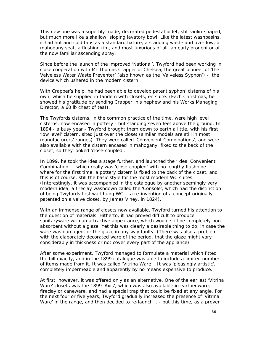This new one was a superbly made, decorated pedestal bidet, still violin-shaped, but much more like a shallow, sloping lavatory bowl. Like the latest washbasins, it had hot and cold taps as a standard fixture, a standing waste and overflow, a mahogany seat, a flushing rim, and most luxurious of all, an early progenitor of the now familiar ascending spray.

Since before the launch of the improved 'National', Twyford had been working in close cooperation with Mr Thomas Crapper of Chelsea, the great pioneer of 'the Valveless Water Waste Preventer' (also known as the 'Valveless Syphon') - the device which ushered in the modern cistern.

With Crapper's help, he had been able to develop patent syphon' cisterns of his own, which he supplied in tandem with closets, en suite. (Each Christmas, he showed his gratitude by sending Crapper, his nephew and his Works Managing Director, a 60 lb chest of tea!).

The Twyfords cisterns, in the common practice of the time, were high level cisterns, now encased in pottery - but standing seven feet above the ground. In 1894 - a busy year - Twyford brought them down to earth a little, with his first 'low level' cistern, sited just over the closet (similar models are still in most manufacturers' ranges). They were called 'Convenient Combinations', and were also available with the cistern encased in mahogany, fixed to the back of the closet, so they looked 'close-coupled'.

In 1899, he took the idea a stage further, and launched the 'Ideal Convenient Combination' - which really was 'close-coupled' with no lengthy flushpipe where for the first time, a pottery cistern is fixed to the back of the closet, and this is of course, still the basic style for the most modern WC suites. (Interestingly, it was accompanied in the catalogue by another seemingly very modern idea, a fireclay washdown called the 'Console', which had the distinction of being Twyfords first wall-hung WC. - a re-invention of a concept originally patented on a valve closet, by James Viney, in 1824).

With an immense range of closets now available, Twyford turned his attention to the question of materials. Hitherto, it had proved difficult to produce sanitaryware with an attractive appearance, which would still be completely nonabsorbent without a glaze. Yet this was clearly a desirable thing to do, in case the ware was damaged, or the glaze in any way faulty. (There was also a problem with the elaborately decorated ware of the period, that the glaze might vary considerably in thickness or not cover every part of the appliance).

After some experiment, Twyford managed to formulate a material which fitted the bill exactly, and in the 1899 catalogue was able to include a limited number of items made from it. It was called 'Vitrina Ware'. It was 'pleasingly artistic', completely impermeable and apparently by no means expensive to produce.

At first, however, it was offered only as an alternative. One of the earliest 'Vitrina Ware' closets was the 1899 'Axis', which was also available in earthenware, fireclay or caneware, and had a special trap that could be fixed at any angle. For the next four or five years, Twyford gradually increased the presence of 'Vitrina Ware' in the range, and then decided to re-launch it - but this time, as a proven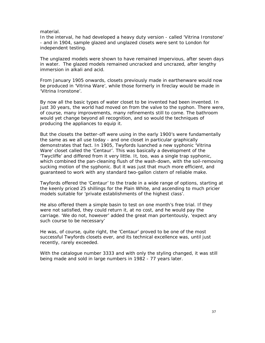#### material.

In the interval, he had developed a heavy duty version - called 'Vitrina Ironstone' - and in 1904, sample glazed and unglazed closets were sent to London for independent testing.

The unglazed models were shown to have remained impervious, after seven days in water. The glazed models remained uncracked and uncrazed, after lengthy immersion in alkali and acid.

From January 1905 onwards, closets previously made in earthenware would now be produced in 'Vitrina Ware', while those formerly in fireclay would be made in 'Vitrina Ironstone'.

By now all the basic types of water closet to be invented had been invented. In just 30 years, the world had moved on from the valve to the syphon. There were, of course, many improvements, many refinements still to come. The bathroom would yet change beyond all recognition, and so would the techniques of producing the appliances to equip it.

But the closets the better-off were using in the early 1900's were fundamentally the same as we all use today - and one closet in particular graphically demonstrates that fact. In 1905, Twyfords luanched a new syphonic 'Vitrina Ware' closet called the 'Centaur'. This was basically a development of the 'Twycliffe' and differed from it very little. It, too, was a single trap syphonic, which combined the pan-cleaning flush of the wash-down, with the soil-removing sucking motion of the syphonic. But it was just that much more efficient, and guaranteed to work with any standard two-gallon cistern of reliable make.

Twyfords offered the 'Centaur' to the trade in a wide range of options, starting at the keenly priced 25 shillings for the Plain White, and ascending to much pricier models suitable for 'private establishments of the highest class'.

He also offered them a simple basin to test on one month's free trial. If they were not satisfied, they could return it, at no cost, and he would pay the carriage. 'We do not, however' added the great man portentously, 'expect any such course to be necessary'

He was, of course, quite right, the 'Centaur' proved to be one of the most successful Twyfords closets ever, and its technical excellence was, until just recently, rarely exceeded.

With the catalogue number 3333 and with only the styling changed, it was still being made and sold in large numbers in 1982 - 77 years later.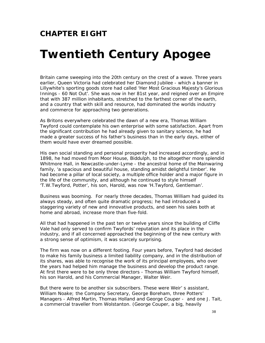### **CHAPTER EIGHT**

### *Twentieth Century Apogee*

Britain came sweeping into the 20th century on the crest of a wave. Three years earlier, Queen Victoria had celebrated her Diamond Jubilee - which a banner in Lillywhite's sporting goods store had called 'Her Most Gracious Majesty's Glorious Innings - 60 Not Out'. She was now in her 81st year, and reigned over an Empire that with 387 million inhabitants, stretched to the farthest corner of the earth, and a country that with skill and resource, had dominated the worlds industry and commerce for approaching two generations.

As Britons everywhere celebrated the dawn of a new era, Thomas William Twyford could contemplate his own enterprise with some satisfaction. Apart from the significant contribution he had already given to sanitary science, he had made a greater success of his father's business than in the early days, either of them would have ever dreamed possible.

His own social standing and personal prosperity had increased accordingly, and in 1898, he had moved from Moor House, Biddulph, to the altogether more splendid Whitmore Hall, in Newcastle-under-Lyme - the ancestral home of the Mainwaring family, 'a spacious and beautiful house, standing amidst delightful timber'. He had become a pillar of local society, a multiple office holder and a major figure in the life of the community, and although he continued to style himself 'T.W.Twyford, Potter', his son, Harold, was now 'H.Twyford, Gentleman'.

Business was booming. For nearly three decades, Thomas William had guided its always steady, and often quite dramatic progress; he had introduced a staggering variety of new and innovative products, and seen his sales both at home and abroad, increase more than five-fold.

All that had happened in the past ten or twelve years since the building of Cliffe Vale had only served to confirm Twyfords' reputation and its place in the industry, and if all concerned approached the beginning of the new century with a strong sense of optimism, it was scarcely surprising.

The firm was now on a different footing. Four years before, Twyford had decided to make his family business a limited liability company, and in the distribution of its shares, was able to recognise the work of its principal employees, who over the years had helped him manage the business and develop the product range. At first there were to be only three directors - Thomas William Twyford himself, his son Harold, and his Commercial Manager, Walter Weir.

But there were to be another six subscribers. These were Weir' s assistant, William Noake; the Company Secretary, George Boreham, three Potters' Managers - Alfred Martin, Thomas Holland and George Couper - and one J. Tait, a commercial traveller from Wolstanton. (George Couper, a big, heavily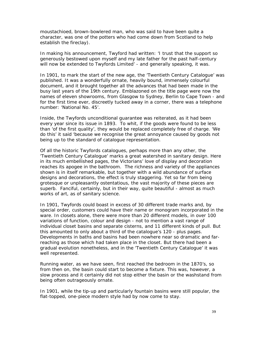moustachioed, brown-bowlered man, who was said to have been quite a character, was one of the potters who had come down from Scotland to help establish the fireclay).

In making his announcement, Twyford had written: 'I trust that the support so generously bestowed upon myself and my late father for the past half-century will now be extended to Twyfords Limited' - and generally speaking, it was.

In 1901, to mark the start of the new age, the 'Twentieth Century Catalogue' was published. It was a wonderfully ornate, heavily bound, immensely colourful document, and it brought together all the advances that had been made in the busy last years of the 19th century. Emblazoned on the title page were now the names of eleven showrooms, from Glasgow to Sydney, Berlin to Cape Town - and for the first time ever, discreetly tucked away in a corner, there was a telephone number: 'National No. 45'.

Inside, the Twyfords unconditional guarantee was reiterated, as it had been every year since its issue in 1893. To whit, if the goods were found to be less than 'of the first quality', they would be replaced completely free of charge. 'We do this' it said 'because we recognise the great annoyance caused by goods not being up to the standard of catalogue representation.

Of all the historic Twyfords catalogues, perhaps more than any other, the 'Twentieth Century Catalogue' marks a great watershed in sanitary design. Here in its much embellished pages, the Victorians' love of display and decoration reaches its apogee in the bathroom. The richness and variety of the appliances shown is in itself remarkable, but together with a wild abundance of surface designs and decorations, the effect is truly staggering. Yet so far from being grotesque or unpleasantly ostentatious, the vast majority of these pieces are superb. Fanciful, certainly, but in their way, quite beautiful - almost as much works of art, as of sanitary science.

In 1901, Twyfords could boast in excess of 30 different trade marks and, by special order, customers could have their name or monogram incorporated in the ware. In closets alone, there were more than 20 different models, in over 100 variations of function, colour and design - not to mention a vast range of individual closet basins and separate cisterns, and 11 different kinds of pull. But this amounted to only about a third of the catalogue's 120 - plus pages. Developments in baths and basins had been nowhere near so dramatic and farreaching as those which had taken place in the closet. But there had been a gradual evolution nonetheless, and in the 'Twentieth Century Catalogue' it was well represented.

Running water, as we have seen, first reached the bedroom in the 1870's, so from then on, the basin could start to become a fixture. This was, however, a slow process and it certainly did not stop either the basin or the washstand from being often outrageously ornate.

In 1901, while the tip-up and particularly fountain basins were still popular, the flat-topped, one-piece modern style had by now come to stay.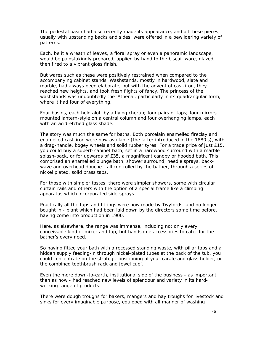The pedestal basin had also recently made its appearance, and all these pieces, usually with upstanding backs and sides, were offered in a bewildering variety of patterns.

Each, be it a wreath of leaves, a floral spray or even a panoramic landscape, would be painstakingly prepared, applied by hand to the biscuit ware, glazed, then fired to a vibrant gloss finish.

But wares such as these were positively restrained when compared to the accompanying cabinet stands. Washstands, mostly in hardwood, slate and marble, had always been elaborate, but with the advent of cast-iron, they reached new heights, and took fresh flights of fancy. The princess of the washstands was undoubtedly the 'Athena', particularly in its quadrangular form, where it had four of everything.

Four basins, each held aloft by a flying cherub; four pairs of taps; four mirrors mounted lantern-style on a central column and four overhanging lamps, each with an acid-etched glass shade.

The story was much the same for baths. Both porcelain enamelled fireclay and enamelled cast-iron were now available (the latter introduced in the 1880's), with a drag-handle, bogey wheels and solid rubber tyres. For a trade price of just £15, you could buy a superb cabinet bath, set in a hardwood surround with a marble splash-back, or for upwards of £35, a magnificent canopy or hooded bath. This comprised an enamelled plunge bath, shower surround, needle sprays, backwave and overhead douche - all controlled by the bather, through a series of nickel plated, solid brass taps.

For those with simpler tastes, there were simpler showers, some with circular curtain rails and others with the option of a special frame like a climbing apparatus which incorporated side-sprays.

Practically all the taps and fittings were now made by Twyfords, and no longer bought in - plant which had been laid down by the directors some time before, having come into production in 1900.

Here, as elsewhere, the range was immense, including not only every conceivable kind of mixer and tap, but handsome accessories to cater for the bather's every need.

So having fitted your bath with a recessed standing waste, with pillar taps and a hidden supply feeding-in through nickel-plated tubes at the back of the tub, you could concentrate on the strategic positioning of your carafe and glass holder, or the combined toothbrush rack and jewel cup'.

Even the more down-to-earth, institutional side of the business - as important then as now - had reached new levels of splendour and variety in its hardworking range of products.

There were dough troughs for bakers, mangers and hay troughs for livestock and sinks for every imaginable purpose, equipped with all manner of washing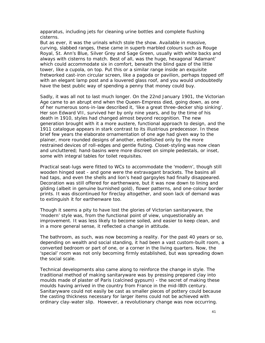apparatus, including jets for cleaning urine bottles and complete flushing cisterns.

But as ever, it was the urinals which stole the show. Available in massive, curving, slabbed ranges, these came in superb marbled colours such as Rouge Royal, St. Ann's Blue, Silver Grey and Sage Green, usually with white backs and always with cisterns to match. Best of all, was the huge, hexagonal 'Adamant' which could accommodate six in comfort, beneath the blind gaze of the little tower, like a cupola, on top. Put this or a similar range inside an exquisite fretworked cast-iron circular screen, like a pagoda or pavilion, perhaps topped off with an elegant lamp post and a louvered glass roof, and you would undoubtedly have the best public way of spending a penny that money could buy.

Sadly, it was all not to last much longer. On the 22nd January 1901, the Victorian Age came to an abrupt end when the Queen-Empress died, going down, as one of her numerous sons-in-law described it, 'like a great three-decker ship sinking'. Her son Edward VII, survived her by only nine years, and by the time of his death in 1910, styles had changed almost beyond recognition. The new generation brought with it a more austere, functional approach to design, and the 1911 catalogue appears in stark contrast to its illustrious predecessor. In these brief few years the elaborate ornamentation of one age had given way to the plainer, more rounded designs of another, embellished only by the more restrained devices of roll-edges and gentle fluting. Closet-styling was now clean and uncluttered; hand-basins were more discreet on simple pedestals, or inset, some with integral tables for toilet requisites.

Practical seat-lugs were fitted to WCs to accommodate the 'modern', though still wooden hinged seat - and gone were the extravagant brackets. The basins all had taps, and even the shells and lion's head gargoyles had finally disappeared. Decoration was still offered for earthenware, but it was now down to lining and gilding (albeit in genuine burnished gold), flower patterns, and one-colour border prints. It was discontinued for fireclay altogether, and soon lack of demand was to extinguish it for earthenware too.

Though it seems a pity to have lost the glories of Victorian sanitaryware, the 'modern' style was, from the functional point of view, unquestionably an improvement. It was less likely to become soiled, and easier to keep clean, and in a more general sense, it reflected a change in attitude.

The bathroom, as such, was now becoming a reality. For the past 40 years or so, depending on wealth and social standing, it had been a vast custom-built room, a converted bedroom or part of one, or a corner in the living quarters. Now, the 'special' room was not only becoming firmly established, but was spreading down the social scale.

Technical developments also came along to reinforce the change in style. The traditional method of making sanitaryware was by pressing prepared clay into moulds made of plaster of Paris (calcined gypsum) - the secret of making these moulds having arrived in the country from France in the mid-l8th century. Sanitaryware could not easily be cast as smaller pieces of pottery could because the casting thickness necessary for larger items could not be achieved with ordinary clay-water slip. However, a revolutionary change was now occurring.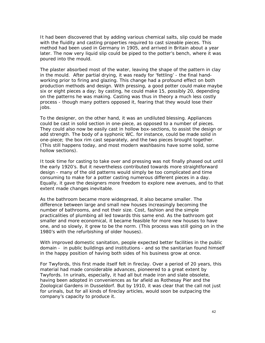It had been discovered that by adding various chemical salts, slip could be made with the fluidity and casting properties required to cast sizeable pieces. This method had been used in Germany in 1905, and arrived in Britain about a year later. The now very liquid slip could be piped to the potter's bench, where it was poured into the mould.

The plaster absorbed most of the water, leaving the shape of the pattern in clay in the mould. After partial drying, it was ready for 'fettling' - the final handworking prior to firing and glazing. This change had a profound effect on both production methods and design. With pressing, a good potter could make maybe six or eight pieces a day; by casting, he could make 15, possibly 20, depending on the patterns he was making. Casting was thus in theory a much less costly process - though many potters opposed it, fearing that they would lose their jobs.

To the designer, on the other hand, it was an undiluted blessing. Appliances could be cast in solid section in one-piece, as opposed to a number of pieces. They could also now be easily cast in hollow box-sections, to assist the design or add strength. The body of a syphonic WC. for instance, could be made solid in one-piece; the box rim cast separately, and the two pieces brought together. (This still happens today, and most modern washbasins have some solid, some hollow sections).

It took time for casting to take over and pressing was not finally phased out until the early 1920's. But it nevertheless contributed towards more straightforward design - many of the old patterns would simply be too complicated and time consuming to make for a potter casting numerous different pieces in a day. Equally, it gave the designers more freedom to explore new avenues, and to that extent made changes inevitable.

As the bathroom became more widespread, it also became smaller. The difference between large and small new houses increasingly becoming the number of bathrooms, and not their size. Cost, fashion and the simple practicalities of plumbing all led towards this same end. As the bathroom got smaller and more economical, it became feasible for more new houses to have one, and so slowly, it grew to be the norm. (This process was still going on in the 1980's with the refurbishing of older houses).

With improved domestic sanitation, people expected better facilities in the public domain - in public buildings and institutions - and so the sanitarian found himself in the happy position of having both sides of his business grow at once.

For Twyfords, this first made itself felt in fireclay. Over a period of 20 years, this material had made considerable advances, pioneered to a great extent by Twyfords. In urinals, especially, it had all but made iron and slate obsolete, having been adopted in conveniences as far afield as Rothesay Pier and the Zoological Gardens in Dusseldorf. But by 1910, it was clear that the call not just for urinals, but for all kinds of fireclay articles, would soon be outpacing the company's capacity to produce it.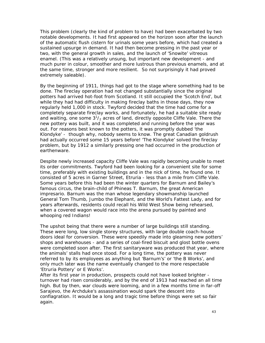This problem (clearly the kind of problem to have) had been exacerbated by two notable developments. It had first appeared on the horizon soon after the launch of the automatic flush cistern for urinals some years before, which had created a sustained upsurge in demand. It had then become pressing in the past year or two, with the general growth in sales, and the launch of 'Snowite' vitreous enamel. (This was a relatively unsung, but important new development - and much purer in colour, smoother and more lustrous than previous enamels, and at the same time, stronger and more resilient. So not surprisingly it had proved extremely saleable).

By the beginning of 1911, things had got to the stage where something had to be done. The fireclay operation had not changed substantially since the original potters had arrived hot-foot from Scotland. It still occupied the 'Scotch End', but while they had had difficulty in making fireclay baths in those days, they now regularly held 1,000 in stock. Twyford decided that the time had come for a completely separate fireclay works, and fortunately, he had a suitable site ready and waiting, one some  $3^{1}/_{2}$  acres of land, directly opposite Cliffe Vale. There the new pottery was built, and it was completed and running before the year was out. For reasons best known to the potters, it was promptly dubbed 'the Klondyke' - though why, nobody seems to know. The great Canadian goldrush had actually occurred some 15 years before! 'The Klondyke' solved the fireclay problem, but by 1912 a similarly pressing one had occurred in the production of earthenware.

Despite newly increased capacity Cliffe Vale was rapidly becoming unable to meet its order commitments. Twyford had been looking for a convenient site for some time, preferably with existing buildings and in the nick of time, he found one. It consisted of 5 acres in Garner Street, Etruria - less than a mile from Cliffe Vale. Some years before this had been the winter quarters for Barnum and Bailey's famous circus, the brain-child of Phineas T. Barnum, the great American impresario. Barnum was the man whose legendary showmanship launched General Tom Thumb, Jumbo the Elephant, and the World's Fattest Lady, and for years afterwards, residents could recall his Wild West Show being rehearsed, when a covered wagon would race into the arena pursued by painted and whooping red Indians!

The upshot being that there were a number of large buildings still standing. These were long, low single storey structures, with large double coach-house doors ideal for conversion. These were speedily made into gleaming new potters' shops and warehouses - and a series of coal-fired biscuit and glost bottle ovens were completed soon after. The first sanitaryware was produced that year, where the animals' stalls had once stood. For a long time, the pottery was never referred to by its employees as anything but 'Barnum's' or 'the B Works', and only much later was the name eventually changed to the more respectable 'Etruria Pottery' or E Works'.

After its first year in production, prospects could not have looked brighter turnover had risen considerably, and by the end of 1913 had reached an all time high. But by then, war clouds were looming, and in a few months time in far-off Sarajevo, the Archduke's assassination would spark the descent into conflagration. It would be a long and tragic time before things were set so fair again.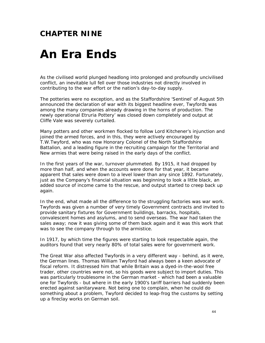### **CHAPTER NINE**

## *An Era Ends*

As the civilised world plunged headlong into prolonged and profoundly uncivilised conflict, an inevitable lull fell over those industries not directly involved in contributing to the war effort or the nation's day-to-day supply.

The potteries were no exception, and as the Staffordshire 'Sentinel' of August 5th announced the declaration of war with its biggest headline ever, Twyfords was among the many companies already drawing in the horns of production. The newly operational Etruria Pottery' was closed down completely and output at Cliffe Vale was severely curtailed.

Many potters and other workmen flocked to follow Lord Kitchener's injunction and joined the armed forces, and in this, they were actively encouraged by T.W.Twyford, who was now Honorary Colonel of the North Staffordshire Battalion, and a leading figure in the recruiting campaign for the Territorial and New armies that were being raised in the early days of the conflict.

In the first years of the war, turnover plummeted. By 1915, it had dropped by more than half, and when the accounts were done for that year, it became apparent that sales were down to a level lower than any since 1892. Fortunately, just as the Company's financial situation was beginning to look a little black, an added source of income came to the rescue, and output started to creep back up again.

In the end, what made all the difference to the struggling factories was war work. Twyfords was given a number of very timely Government contracts and invited to provide sanitary fixtures for Government buildings, barracks, hospitals, convalescent homes and asylums, and to send overseas. The war had taken the sales away; now it was giving some of them back again and it was this work that was to see the company through to the armistice.

In 1917, by which time the figures were starting to look respectable again, the auditors found that very nearly 80% of total sales were for government work.

The Great War also affected Twyfords in a very different way - behind, as it were, the German lines. Thomas William Twyford had always been a keen advocate of fiscal reform. It distressed him that while Britain was a dyed-in-the-wool free trader, other countries were not, so his goods were subject to import duties. This was particularly troublesome in the German market - which had been a valuable one for Twyfords - but where in the early 1900's tariff barriers had suddenly been erected against sanitaryware. Not being one to complain, when he could do something about a problem, Twyford decided to leap-frog the customs by setting up a fireclay works on German soil.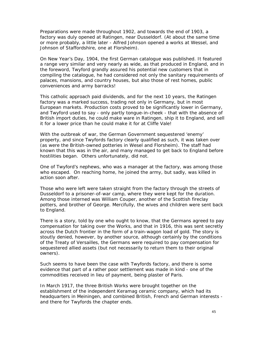Preparations were made throughout 1902, and towards the end of 1903, a factory was duly opened at Ratingen, near Dusseldorf. (At about the same time or more probably, a little later - Alfred Johnson opened a works at Wessel, and Johnson of Staffordshire, one at Florsheim).

On New Year's Day, 1904, the first German catalogue was published. It featured a range very similar and very nearly as wide, as that produced in England, and in the foreword, Twyford grandly assured his potential new customers that in compiling the catalogue, he had considered not only the sanitary requirements of palaces, mansions, and country houses, but also those of rest homes, public conveniences and army barracks!

This catholic approach paid dividends, and for the next 10 years, the Ratingen factory was a marked success, trading not only in Germany, but in most European markets. Production costs proved to be significantly lower in Germany, and Twyford used to say - only partly tongue-in-cheek - that with the absence of British import duties, he could make ware in Ratingen, ship it to England, and sell it for a lower price than he could make it for at Cliffe Vale!

With the outbreak of war, the German Government sequestered 'enemy' property, and since Twyfords factory clearly qualified as such, it was taken over (as were the British-owned potteries in Wesel and Florsheim). The staff had known that this was in the air, and many managed to get back to England before hostilities began. Others unfortunately, did not.

One of Twyford's nephews, who was a manager at the factory, was among those who escaped. On reaching home, he joined the army, but sadly, was killed in action soon after.

Those who were left were taken straight from the factory through the streets of Dusseldorf to a prisoner-of-war camp, where they were kept for the duration. Among those interned was William Couper, another of the Scottish fireclay potters, and brother of George. Mercifully, the wives and children were sent back to England.

There is a story, told by one who ought to know, that the Germans agreed to pay compensation for taking over the Works, and that in 1916, this was sent secretly across the Dutch frontier in the form of a train-wagon load of gold. The story is stoutly denied, however, by another source, although certainly by the conditions of the Treaty of Versailles, the Germans were required to pay compensation for sequestered allied assets (but not necessarily to return them to their original owners).

Such seems to have been the case with Twyfords factory, and there is some evidence that part of a rather poor settlement was made in kind - one of the commodities received in lieu of payment, being plaster of Paris.

In March 1917, the three British Works were brought together on the establishment of the independent Keramag ceramic company, which had its headquarters in Meiningen, and combined British, French and German interests and there for Twyfords the chapter ends.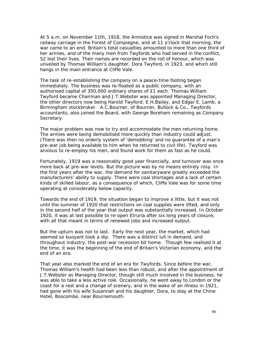At 5 a.m. on November 11th, 1918, the Armistice was signed in Marshal Foch's railway carriage in the Forest of Compiegne, and at 11 o'clock that morning, the war came to an end. Britain's total casualties amounted to more than one third of her armies, and of the many men from Twyfords who had served in the conflict, 52 lost their lives. Their names are recorded on the roll of honour, which was unveiled by Thomas William's daughter, Dora Twyford, in 1923, and which still hangs in the main entrance at Cliffe Vale.

The task of re-establishing the company on a peace-time footing began immediately. The business was re-floated as a public company, with an authorised capital of 350,000 ordinary shares of £1 each. Thomas William Twyford became Chairman and J.T.Webster was appointed Managing Director, the other directors now being Harold Twyford, E.H.Bailey, and Edgar E. Lamb, a Birmingham stockbroker. A.C.Bourner, of Bourner, Bullock & Co., Twyfords accountants, also joined the Board, with George Boreham remaining as Company Secretary.

The major problem was now to try and accommodate the men returning home. The armies were being demobilised more quickly than industry could adjust. (There was then no orderly system of 'demobbing' and no guarantee of a man's pre-war job being available to him when he returned to civil life). Twyford was anxious to re-employ his men, and found work for them as fast as he could.

Fortunately, 1919 was a reasonably good year financially, and turnover was once more back at pre-war levels. But the picture was by no means entirely rosy. In the first years after the war, the demand for sanitaryware greatly exceeded the manufacturers' ability to supply. There were coal shortages and a lack of certain kinds of skilled labour, as a consequence of which, Cliffe Vale was for some time operating at considerably below capacity.

Towards the end of 1919, the situation began to improve a little, but it was not until the summer of 1920 that restrictions on coal supplies were lifted, and only in the second half of the year that output was substantially increased. In October 1920, it was at last possible to re-open Etruria after six long years of closure, with all that meant in terms of renewed jobs and increased output.

But the upturn was not to last. Early the next year, the market, which had seemed so buoyant took a dip. There was a distinct lull in demand, and throughout industry, the post-war recession bit home. Though few realised it at the time, it was the beginning of the end of Britain's Victorian economy, and the end of an era.

That year also marked the end of an era for Twyfords. Since before the war, Thomas William's health had been less than robust, and after the appointment of J.T.Webster as Managing Director, though still much involved in the business, he was able to take a less active role. Occasionally, he went away to London or the coast for a rest and a change of scenery, and in the wake of an illness in 1921, had gone with his wife Susannah and his daughter, Dora, to stay at the Chine Hotel, Boscombe, near Bournemouth.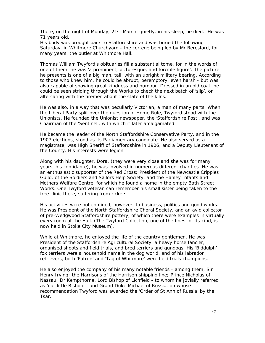There, on the night of Monday, 21st March, quietly, in his sleep, he died. He was 71 years old.

His body was brought back to Staffordshire and was buried the following Saturday, in Whitmore Churchyard - the cortege being led by Mr Beresford, for many years, the butler at Whitmore Hall.

Thomas William Twyford's obituaries fill a substantial tome, for in the words of one of them, he was 'a prominent, picturesque, and forcible figure'. The picture he presents is one of a big man, tall, with an upright military bearing. According to those who knew him, he could be abrupt, peremptory, even harsh - but was also capable of showing great kindness and humour. Dressed in an old coat, he could be seen striding through the Works to check the next batch of 'slip', or altercating with the firemen about the state of the kilns.

He was also, in a way that was peculiarly Victorian, a man of many parts. When the Liberal Party split over the question of Home Rule, Twyford stood with the Unionists. He founded the Unionist newspaper, the 'Staffordshire Post', and was Chairman of the 'Sentinel', with which it later amalgamated.

He became the leader of the North Staffordshire Conservative Party, and in the 1907 elections, stood as its Parliamentary candidate. He also served as a magistrate, was High Sheriff of Staffordshire in 1906, and a Deputy Lieutenant of the County. His interests were legion.

Along with his daughter, Dora, (they were very close and she was for many years, his confidante), he was involved in numerous different charities. He was an enthusiastic supporter of the Red Cross; President of the Newcastle Cripples Guild, of the Soldiers and Sailors Help Society, and the Hanley Infants and Mothers Welfare Centre, for which he found a home in the empty Bath Street Works. One Twyford veteran can remember his small sister being taken to the free clinic there, suffering from rickets.

His activities were not confined, however, to business, politics and good works. He was President of the North Staffordshire Choral Society, and an avid collector of pre-Wedgwood Staffordshire pottery, of which there were examples in virtually every room at the Hall. (The Twyford Collection, one of the finest of its kind, is now held in Stoke City Museum).

While at Whitmore, he enjoyed the life of the country gentlemen. He was President of the Staffordshire Agricultural Society, a heavy horse fancier, organised shoots and field trials, and bred terriers and gundogs. His 'Biddulph' fox terriers were a household name in the dog world, and of his labrador retrievers, both 'Patron' and 'Tag of Whitmore' were field trials champions.

He also enjoyed the company of his many notable friends - among them, Sir Henry Irving; the Harrisons of the Harrison shipping line; Prince Nicholas of Nassau; Dr Kempthorne, Lord Bishop of Lichfield - to whom he jovially referred as 'our little Bishop' - and Grand Duke Michael of Russia, on whose recommendation Twyford was awarded the 'Order of St Ann of Russia' by the Tsar.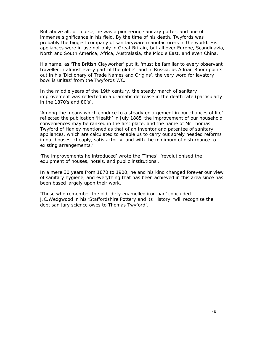But above all, of course, he was a pioneering sanitary potter, and one of immense significance in his field. By the time of his death, Twyfords was probably the biggest company of sanitaryware manufacturers in the world. His appliances were in use not only in Great Britain, but all over Europe, Scandinavia, North and South America, Africa, Australasia, the Middle East, and even China.

His name, as 'The British Clayworker' put it, 'must be familiar to every observant traveller in almost every part of the globe', and in Russia, as Adrian Room points out in his 'Dictionary of Trade Names and Origins', the very word for lavatory bowl is unitaz' from the Twyfords WC.

In the middle years of the 19th century, the steady march of sanitary improvement was reflected in a dramatic decrease in the death rate (particularly in the 1870's and 80's).

'Among the means which conduce to a steady enlargement in our chances of life' reflected the publication 'Health' in July 1885 'the improvement of our household conveniences may be ranked in the first place, and the name of Mr Thomas Twyford of Hanley mentioned as that of an inventor and patentee of sanitary appliances, which are calculated to enable us to carry out sorely needed reforms in our houses, cheaply, satisfactorily, and with the minimum of disturbance to existing arrangements.'

'The improvements he introduced' wrote the 'Times', 'revolutionised the equipment of houses, hotels, and public institutions'.

In a mere 30 years from 1870 to 1900, he and his kind changed forever our view of sanitary hygiene, and everything that has been achieved in this area since has been based largely upon their work.

'Those who remember the old, dirty enamelled iron pan' concluded J.C.Wedgwood in his 'Staffordshire Pottery and its History' 'will recognise the debt sanitary science owes to Thomas Twyford'.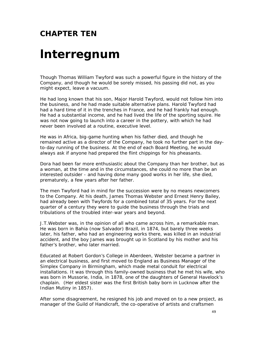### **CHAPTER TEN**

### *lnterregnum*

Though Thomas William Twyford was such a powerful figure in the history of the Company, and though he would be sorely missed, his passing did not, as you might expect, leave a vacuum.

He had long known that his son, Major Harold Twyford, would not follow him into the business, and he had made suitable alternative plans. Harold Twyford had had a hard time of it in the trenches in France, and he had frankly had enough. He had a substantial income, and he had lived the life of the sporting squire. He was not now going to launch into a career in the pottery, with which he had never been involved at a routine, executive level.

He was in Africa, big-game hunting when his father died, and though he remained active as a director of the Company, he took no further part in the dayto-day running of the business. At the end of each Board Meeting, he would always ask if anyone had prepared the flint chippings for his pheasants.

Dora had been far more enthusiastic about the Company than her brother, but as a woman, at the time and in the circumstances, she could no more than be an interested outsider - and having done many good works in her life, she died, prematurely, a few years after her father.

The men Twyford had in mind for the succession were by no means newcomers to the Company. At his death, James Thomas Webster and Ernest Henry Bailey, had already been with Twyfords for a combined total of 35 years. For the next quarter of a century they were to guide the business through the trials and tribulations of the troubled inter-war years and beyond.

J.T.Webster was, in the opinion of all who came across him, a remarkable man. He was born in Bahia (now Salvador) Brazil, in 1874, but barely three weeks later, his father, who had an engineering works there, was killed in an industrial accident, and the boy James was brought up in Scotland by his mother and his father's brother, who later married.

Educated at Robert Gordon's College in Aberdeen, Webster became a partner in an electrical business, and first moved to England as Business Manager of the Simplex Company in Birmingham, which made metal conduit for electrical installations. It was through this family-owned business that he met his wife, who was born in Mussorie, India, in 1878, one of the daughters of General Havelock's chaplain. (Her eldest sister was the first British baby born in Lucknow after the Indian Mutiny in 1857).

After some disagreement, he resigned his job and moved on to a new project, as manager of the Guild of Handicraft, the co-operative of artists and craftsmen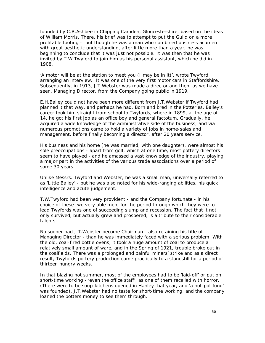founded by C.R.Ashbee in Chipping Camden, Gloucestershire, based on the ideas of William Morris. There, his brief was to attempt to put the Guild on a more profitable footing - but though he was a man who combined business acumen with great aesthetic understanding, after little more than a year, he was beginning to conclude that it was just not possible. It was then that he was invited by T.W.Twyford to join him as his personal assistant, which he did in 1908.

'A motor will be at the station to meet you (I may be in it)', wrote Twyford, arranging an interview. It was one of the very first motor cars in Staffordshire. Subsequently, in 1913, J.T.Webster was made a director and then, as we have seen, Managing Director, from the Company going public in 1919.

E.H.Bailey could not have been more different from J.T.Webster if Twyford had planned it that way, and perhaps he had. Born and bred in the Potteries, Bailey's career took him straight from school to Twyfords, where in 1899, at the age of 14, he got his first job as an office boy and general factotum. Gradually, he acquired a wide knowledge of the administrative side of the business, and via numerous promotions came to hold a variety of jobs in home-sales and management, before finally becoming a director, after 20 years service.

His business and his home (he was married, with one daughter), were almost his sole preoccupations - apart from golf, which at one time, most pottery directors seem to have played - and he amassed a vast knowledge of the industry, playing a major part in the activities of the various trade associations over a period of some 30 years.

Unlike Messrs. Twyford and Webster, he was a small man, universally referred to as 'Little Bailey' - but he was also noted for his wide-ranging abilities, his quick intelligence and acute judgement.

T.W.Twyford had been very provident - and the Company fortunate - in his choice of these two very able men, for the period through which they were to lead Twyfords was one of succeeding slump and recession. The fact that it not only survived, but actually grew and prospered, is a tribute to their considerable talents.

No sooner had J.T.Webster become Chairman - also retaining his title of Managing Director - than he was immediately faced with a serious problem. With the old, coal-fired bottle ovens, it took a huge amount of coal to produce a relatively small amount of ware, and in the Spring of 1921, trouble broke out in the coalfields. There was a prolonged and painful miners' strike and as a direct result, Twyfords pottery production came practically to a standstill for a period of thirteen hungry weeks.

In that blazing hot summer, most of the employees had to be 'laid-off' or put on short-time working - 'even the office staff', as one of them recalled with horror. (There were to be soup-kitchens opened in Hanley that year, and 'a hot-pot fund' was founded). J.T.Webster had no taste for short-time working, and the company loaned the potters money to see them through.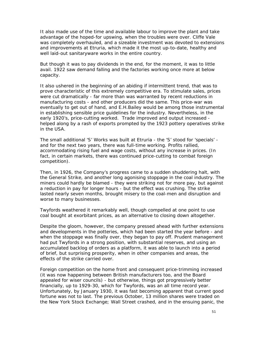It also made use of the time and available labour to improve the plant and take advantage of the hoped-for upswing, when the troubles were over. Cliffe Vale was completely overhauled, and a sizeable investment was devoted to extensions and improvements at Etruria, which made it the most up-to-date, healthy and well laid-out sanitaryware works in the entire country.

But though it was to pay dividends in the end, for the moment, it was to little avail. 1922 saw demand falling and the factories working once more at below capacity.

It also ushered in the beginning of an abiding if intermittent trend, that was to prove characteristic of this extremely competitive era. To stimulate sales, prices were cut dramatically - far more than was warranted by recent reductions in manufacturing costs - and other producers did the same. This price-war was eventually to get out of hand, and E.H.Bailey would be among those instrumental in establishing sensible price guidelines for the industry. Nevertheless, in the early 1920's, price-cutting worked. Trade improved and output increased helped along by a rash of exports prompted by the 1923 pottery operatives strike in the USA.

The small additional 'S' Works was built at Etruria - the 'S' stood for 'specials' and for the next two years, there was full-time working. Profits rallied, accommodating rising fuel and wage costs, without any increase in prices. (In fact, in certain markets, there was continued price-cutting to combat foreign competition).

Then, in 1926, the Company's progress came to a sudden shuddering halt, with the General Strike, and another long agonising stoppage in the coal industry. The miners could hardly be blamed - they were striking not for more pay, but against a reduction in pay for longer hours - but the effect was crushing. The strike lasted nearly seven months, brought misery to the coal-men and disruption and worse to many businesses.

Twyfords weathered it remarkably well, though compelled at one point to use coal bought at exorbitant prices, as an alternative to closing down altogether.

Despite the gloom, however, the company pressed ahead with further extensions and developments in the potteries, which had been started the year before - and when the stoppage was finally over, they began to pay off. Prudent management had put Twyfords in a strong position, with substantial reserves, and using an accumulated backlog of orders as a platform, it was able to launch into a period of brief, but surprising prosperity, when in other companies and areas, the effects of the strike carried over.

Foreign competition on the home front and consequent price-trimming increased (it was now happening between British manufacturers too, and the Board appealed for wiser councils) - but otherwise, things got progressively better financially, up to 1929-30, which for Twyfords, was an all time record year. Unfortunately, by January 1930, it was fast becoming apparent that current good fortune was not to last. The previous October, 13 million shares were traded on the New York Stock Exchange; Wall Street crashed, and in the ensuing panic, the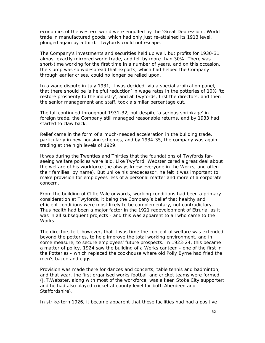economics of the western world were engulfed by the 'Great Depression'. World trade in manufactured goods, which had only just re-attained its 1913 level, plunged again by a third. Twyfords could not escape.

The Company's investments and securities held up well, but profits for 1930-31 almost exactly mirrored world trade, and fell by more than 30%. There was short-time working for the first time in a number of years, and on this occasion, the slump was so widespread that exports, which had helped the Company through earlier crises, could no longer be relied upon.

In a wage dispute in July 1931, it was decided, via a special arbitration panel, that there should be 'a helpful reduction' in wage rates in the potteries of 10% 'to restore prosperity to the industry', and at Twyfords, first the directors, and then the senior management and staff, took a similar percentage cut.

The fall continued throughout 1931-32, but despite 'a serious shrinkage' in foreign trade, the Company still managed reasonable returns, and by 1933 had started to claw back.

Relief came in the form of a much-needed acceleration in the building trade, particularly in new housing schemes, and by 1934-35, the company was again trading at the high levels of 1929.

It was during the Twenties and Thirties that the foundations of Twyfords farseeing welfare policies were laid. Like Twyford, Webster cared a great deal about the welfare of his workforce (he always knew everyone in the Works, and often their families, by name). But unlike his predecessor, he felt it was important to make provision for employees less of a personal matter and more of a corporate concern.

From the building of Cliffe Vale onwards, working conditions had been a primary consideration at Twyfords, it being the Company's belief that healthy and efficient conditions were most likely to be complementary, not contradictory. Thus health had been a major factor in the 1921 redevelopment of Etruria, as it was in all subsequent projects - and this was apparent to all who came to the Works.

The directors felt, however, that it was time the concept of welfare was extended beyond the potteries, to help improve the total working environment, and in some measure, to secure employees' future prospects. In 1923-24, this became a matter of policy. 1924 saw the building of a Works canteen - one of the first in the Potteries - which replaced the cookhouse where old Polly Byrne had fried the men's bacon and eggs.

Provision was made there for dances and concerts, table tennis and badminton, and that year, the first organised works football and cricket teams were formed. (J.T.Webster, along with most of the workforce, was a keen Stoke City supporter; and he had also played cricket at county level for both Aberdeen and Staffordshire).

In strike-torn 1926, it became apparent that these facilities had had a positive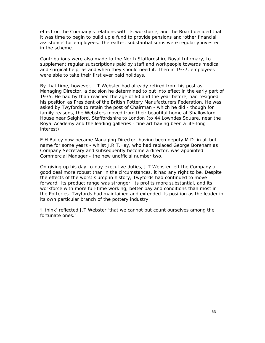effect on the Company's relations with its workforce, and the Board decided that it was time to begin to build up a fund to provide pensions and 'other financial assistance' for employees. Thereafter, substantial sums were regularly invested in the scheme.

Contributions were also made to the North Staffordshire Royal Infirmary, to supplement regular subscriptions paid by staff and workpeople towards medical and surgical help, as and when they should need it. Then in 1937, employees were able to take their first ever paid holidays.

By that time, however, J.T.Webster had already retired from his post as Managing Director, a decision he determined to put into effect in the early part of 1935. He had by than reached the age of 60 and the year before, had resigned his position as President of the British Pottery Manufacturers Federation. He was asked by Twyfords to retain the post of Chairman - which he did - though for family reasons, the Websters moved from their beautiful home at Shallowford House near Seighford, Staffordshire to London (to 44 Lowndes Square, near the Royal Academy and the leading galleries - fine art having been a life-long interest).

E.H.Bailey now became Managing Director, having been deputy M.D. in all but name for some years - whilst J.R.T.Hay, who had replaced George Boreham as Company Secretary and subsequently become a director, was appointed Commercial Manager - the new unofficial number two.

On giving up his day-to-day executive duties, J.T.Webster left the Company a good deal more robust than in the circumstances, it had any right to be. Despite the effects of the worst slump in history, Twyfords had continued to move forward. Its product range was stronger, its profits more substantial, and its workforce with more full-time working, better pay and conditions than most in the Potteries. Twyfords had maintained and extended its position as the leader in its own particular branch of the pottery industry.

'I think' reflected J.T.Webster 'that we cannot but count ourselves among the fortunate ones.'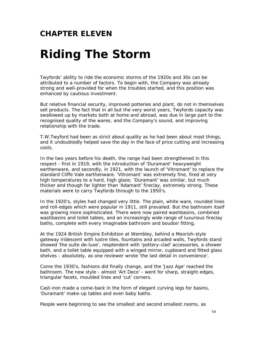#### **CHAPTER ELEVEN**

# *Riding The Storm*

Twyfords' ability to ride the economic storms of the 1920s and 30s can be attributed to a number of factors. To begin with, the Company was already strong and well-provided for when the troubles started, and this position was enhanced by cautious investment.

But relative financial security, improved potteries and plant, do not in themselves sell products. The fact that in all but the very worst years, Twyfords capacity was swallowed up by markets both at home and abroad, was due in large part to the recognised quality of the wares, and the Company's sound, and improving relationship with the trade.

T.W.Twyford had been as strict about quality as he had been about most things, and it undoubtedly helped save the day in the face of price cutting and increasing costs.

In the two years before his death, the range had been strengthened in this respect - first in 1919, with the introduction of 'Duramant' heavyweight earthenware, and secondly, in 1921, with the launch of 'Vitromant' to replace the standard Cliffe Vale earthenware. 'Vitromant' was extremely fine, fired at very high temperatures to a hard, high glaze; 'Duramant' was similar, but much thicker and though far lighter than 'Adamant' fireclay, extremely strong. These materials were to carry Twyfords through to the 1950's.

In the 1920's, styles had changed very little. The plain, white ware, rounded lines and roll-edges which were popular in 1911, still prevailed. But the bathroom itself was growing more sophisticated. There were now paired washbasins, combined washbasins and toilet tables, and an increasingly wide range of luxurious fireclay baths, complete with every imaginable bathroom and boudoir fitting.

At the 1924 British Empire Exhibition at Wembley, behind a Moorish-style gateway iridescent with lustre tiles, fountains and arcaded walls, Twyfords stand showed 'the suite de-luxe', resplendent with 'pottery-clad' accessories, a shower bath, and a toilet table equipped with a winged mirror, cupboard and fitted glass shelves - absolutely, as one reviewer wrote 'the last detail in convenience'.

Come the 1930's, fashions did finally change, and the 'Jazz Age' reached the bathroom. The new style - almost 'Art Deco' - went for sharp, straight edges, triangular facets, moulded lines and 'cut' corners.

Cast-iron made a come-back in the form of elegant curving legs for basins, 'Duramant' make-up tables and even baby baths.

People were beginning to see the smallest and second smallest rooms, as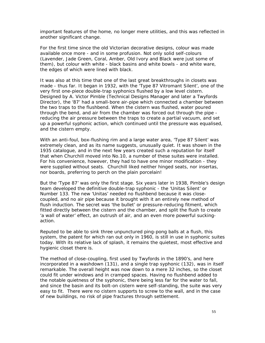important features of the home, no longer mere utilities, and this was reflected in another significant change.

For the first time since the old Victorian decorative designs, colour was made available once more - and in some profusion. Not only solid self-colours (Lavender, Jade Green, Coral, Amber, Old Ivory and Black were just some of them), but colour with white - black basins and white bowls - and white ware, the edges of which were lined with black.

It was also at this time that one of the last great breakthroughs in closets was made - thus far. It began in 1932, with the 'Type 87 Vitromant Silent', one of the very first one-piece double-trap syphonics flushed by a low level cistern. Designed by A. Victor Pimble (Technical Designs Manager and later a Twyfords Director), the '87' had a small-bore air-pipe which connected a chamber between the two traps to the flushbend. When the cistern was flushed, water poured through the bend, and air from the chamber was forced out through the pipe reducing the air pressure between the traps to create a partial vacuum, and set up a powerful syphonic action, which continued until the pressure was equalised, and the cistern empty.

With an anti-foul, box-flushing rim and a large water area, 'Type 87 Silent' was extremely clean, and as its name suggests, unusually quiet. It was shown in the 1935 catalogue, and in the next few years created such a reputation for itself that when Churchill moved into No.10, a number of these suites were installed. For his convenience, however, they had to have one minor modification - they were supplied without seats. Churchill liked neither hinged seats, nor insertas, nor boards, preferring to perch on the plain porcelain!

But the 'Type 87' was only the first stage. Six years later in 1938, Pimble's design team developed the definitive double-trap syphonic - the 'Unitas Silent' or Number 133. The new 'Unitas' needed no flushbend because it was closecoupled, and no air pipe because it brought with it an entirely new method of flush induction. The secret was 'the bullet' or pressure-reducing fitment, which fitted directly between the cistern and the chamber, and split the flush to create 'a wall of water' effect, an outrush of air, and an even more powerful suckingaction.

Reputed to be able to sink three unpunctured ping-pong balls at a flush, this system, the patent for which ran out only in 1960, is still in use in syphonic suites today. With its relative lack of splash, it remains the quietest, most effective and hygienic closet there is.

The method of close-coupling, first used by Twyfords in the 1890's, and here incorporated in a washdown (131), and a single trap syphonic (132), was in itself remarkable. The overall height was now down to a mere 32 inches, so the closet could fit under windows and in cramped spaces. Having no flushbend added to the notable quietness of the syphonic, there being less far for the water to fall, and since the basin and its bolt-on cistern were self-standing, the suite was very easy to fit. There were no cistern supports to screw to the wall, and in the case of new buildings, no risk of pipe fractures through settlement.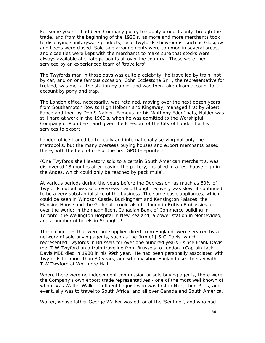For some years it had been Company policy to supply products only through the trade, and from the beginning of the 1920's, as more and more merchants took to displaying sanitaryware products, local Twyfords showrooms, such as Glasgow and Leeds were closed. Sole sale arrangements were common in several areas, and close ties were kept with the merchants to make sure that stocks were always available at strategic points all over the country. These were then serviced by an experienced team of 'travellers'.

The Twyfords man in those days was quite a celebrity; he travelled by train, not by car, and on one famous occasion, Cohn Ecclestone Snr., the representative for Ireland, was met at the station by a gig, and was then taken from account to account by pony and trap.

The London office, necessarily, was retained, moving over the next dozen years from Southampton Row to High Holborn and Kingsway, managed first by Albert Fance and then by Don S.Nalder. Famous for his 'Anthony Eden' hats, Nalder was still hard at work in the 1960's, when he was admitted to the Worshipful Company of Plumbers, and given the Freedom of the City of London for his services to export.

London office traded both locally and internationally serving not only the metropolis, but the many overseas buying houses and export merchants based there, with the help of one of the first GPO teleprinters.

(One Twyfords shelf lavatory sold to a certain South American merchant's, was discovered 18 months after leaving the pottery, installed in a rest house high in the Andes, which could only be reached by pack mule).

At various periods during the years before the Depression, as much as 60% of Twyfords output was sold overseas - and though recovery was slow, it continued to be a very substantial slice of the business. The same basic appliances, which could be seen in Windsor Castle, Buckingham and Kensington Palaces, the Mansion House and the Guildhall, could also be found in British Embassies all over the world; in the magnificent Canadian Bank of Commerce building in Toronto, the Wellington Hospital in New Zealand, a power station in Montevideo, and a number of hotels in Shanghai!

Those countries that were not supplied direct from England, were serviced by a network of sole buying agents, such as the firm of J & G Davis, which represented Twyfords in Brussels for over one hundred years - since Frank Davis met T.W.Twyford on a train traveling from Brussels to London. (Captain Jack Davis MBE died in 1980 in his 99th year. He had been personally associated with Twyfords for more than 80 years, and when visiting England used to stay with T.W.Twyford at Whitmore Hall).

Where there were no independent commission or sole buying agents, there were the Company's own export trade representatives - one of the most well known of whom was Walter Walker, a fluent linguist who was first in Nice, then Paris, and eventually was to travel to South Africa, and all over Canada and South America.

Walter, whose father George Walker was editor of the 'Sentinel', and who had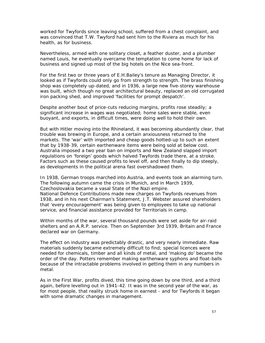worked for Twyfords since leaving school, suffered from a chest complaint, and was convinced that T.W. Twyford had sent him to the Riviera as much for his health, as for business.

Nevertheless, armed with one solitary closet, a feather duster, and a plumber named Louis, he eventually overcame the temptation to come home for lack of business and signed up most of the big hotels on the Nice sea-front.

For the first two or three years of E.H.Bailey's tenure as Managing Director, it looked as if Twyfords could only go from strength to strength. The brass finishing shop was completely up-dated, and in 1936, a large new five-storey warehouse was built, which though no great architectural beauty, replaced an old corrugated iron packing shed, and improved 'facilities for prompt despatch'.

Despite another bout of price-cuts reducing margins, profits rose steadily; a significant increase in wages was negotiated; home sales were stable, even buoyant, and exports, in difficult times, were doing well to hold their own.

But with Hitler moving into the Rhineland, it was becoming abundantly clear, that trouble was brewing in Europe, and a certain anxiousness returned to the markets. The 'war' with imported and cheap goods hotted-up to such an extent that by 1938-39, certain earthenware items were being sold at below cost. Australia imposed a two year ban on imports and New Zealand slapped import regulations on 'foreign' goods which halved Twyfords trade there, at a stroke. Factors such as these caused profits to level off, and then finally to dip steeply, as developments in the political arena fast overshadowed them.

In 1938, German troops marched into Austria, and events took an alarming turn. The following autumn came the crisis in Munich, and in March 1939, Czechoslovakia became a vasal State of the Nazi empire.

National Defence Contributions made new charges on Twyfords revenues from 1938, and in his next Chairman's Statement, J.T. Webster assured shareholders that 'every encouragement' was being given to employees to take up national service, and financial assistance provided for Territorials in camp.

Within months of the war, several thousand pounds were set aside for air-raid shelters and an A.R.P. service. Then on September 3rd 1939, Britain and France declared war on Germany.

The effect on industry was predictably drastic, and very nearly immediate. Raw materials suddenly became extremely difficult to find; special licences were needed for chemicals, timber and all kinds of metal, and 'making do' became the order of the day. Potters remember making earthenware syphons and float-balls because of the intractable problems involved in getting them in any numbers in metal.

As in the First War, profits dived, this time going down by one third, and a third again, before levelling out in 1941-42. It was in the second year of the war, as for most people, that reality struck home in earnest - and for Twyfords it began with some dramatic changes in management.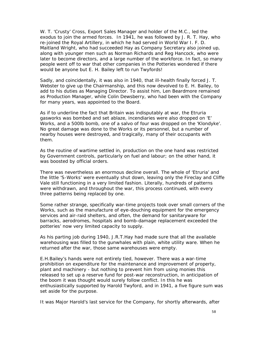W. T. 'Crusty' Cross, Export Sales Manager and holder of the M.C., led the exodus to join the armed forces. In 1941, he was followed by J. R. T. Hay, who re-joined the Royal Artillery, in which he had served in World War I. F. D. Maitland Wright, who had succeeded Hay as Company Secretary also joined up, along with younger men such as Norman Richards and Reg Hancock, who were later to become directors, and a large number of the workforce. In fact, so many people went off to war that other companies in the Potteries wondered if there would be anyone but E. H. Bailey left to run Twyfords!

Sadly, and coincidentally, it was also in 1940, that ill-health finally forced J. T. Webster to give up the Chairmanship, and this now devolved to E. H. Bailey, to add to his duties as Managing Director. To assist him, Len Beardmore remained as Production Manager, while Colin Dewsberry, who had been with the Company for many years, was appointed to the Board.

As if to underline the fact that Britain was indisputably at war, the Etruria gasworks was bombed and set ablaze, incendiaries were also dropped on 'E' Works, and a 500lb bomb, one of a salvo of four was dropped on the 'Klondyke'. No great damage was done to the Works or its personnel, but a number of nearby houses were destroyed, and tragically, many of their occupants with them.

As the routine of wartime settled in, production on the one hand was restricted by Government controls, particularly on fuel and labour; on the other hand, it was boosted by official orders.

There was nevertheless an enormous decline overall. The whole of 'Etruria' and the little 'S-Works' were eventually shut down, leaving only the Fireclay and Cliffe Vale still functioning in a very limited fashion. Literally, hundreds of patterns were withdrawn, and throughout the war, this process continued, with every three patterns being replaced by one.

Some rather strange, specifically war-time projects took over small corners of the Works, such as the manufacture of eye-douching equipment for the emergency services and air-raid shelters, and often, the demand for sanitaryware for barracks, aerodromes, hospitals and bomb-damage replacement exceeded the potteries' now very limited capacity to supply.

As his parting job during 1940, J.R.T.Hay had made sure that all the available warehousing was filled to the gunwhales with plain, white utility ware. When he returned after the war, those same warehouses were empty.

E.H.Bailey's hands were not entirely tied, however. There was a war-time prohibition on expenditure for the maintenance and improvement of property, plant and machinery - but nothing to prevent him from using monies this released to set up a reserve fund for post-war reconstruction, in anticipation of the boom it was thought would surely follow conflict. In this he was enthusiastically supported by Harold Twyford, and in 1941, a five figure sum was set aside for the purpose.

It was Major Harold's last service for the Company, for shortly afterwards, after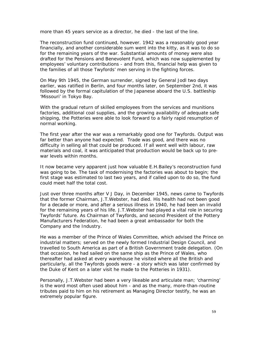more than 45 years service as a director, he died - the last of the line.

The reconstruction fund continued, however. 1942 was a reasonably good year financially, and another considerable sum went into the kitty, as it was to do so for the remaining years of the war. Substantial amounts of money were also drafted for the Pensions and Benevolent Fund, which was now supplemented by employees' voluntary contributions - and from this, financial help was given to the families of all those Twyfords' men serving in the fighting forces.

On May 9th 1945, the German surrender, signed by General Jodl two days earlier, was ratified in Berlin, and four months later, on September 2nd, it was followed by the formal capitulation of the Japanese aboard the U.S. battleship 'Missouri' in Tokyo Bay.

With the gradual return of skilled employees from the services and munitions factories, additional coal supplies, and the growing availability of adequate safe shipping, the Potteries were able to look forward to a fairly rapid resumption of normal working.

The first year after the war was a remarkably good one for Twyfords. Output was far better than anyone had expected. Trade was good, and there was no difficulty in selling all that could be produced. If all went well with labour, raw materials and coal, it was anticipated that production would be back up to prewar levels within months.

It now became very apparent just how valuable E.H.Bailey's reconstruction fund was going to be. The task of modernising the factories was about to begin; the first stage was estimated to last two years, and if called upon to do so, the fund could meet half the total cost.

Just over three months after V J Day, in December 1945, news came to Twyfords that the former Chairman, J.T.Webster, had died. His health had not been good for a decade or more, and after a serious illness in 1940, he had been an invalid for the remaining years of his life. J.T.Webster had played a vital role in securing Twyfords' future. As Chairman of Twyfords, and second President of the Pottery Manufacturers Federation, he had been a great ambassador for both the Company and the Industry.

He was a member of the Prince of Wales Committee, which advised the Prince on industrial matters; served on the newly formed Industrial Design Council, and travelled to South America as part of a British Government trade delegation. (On that occasion, he had sailed on the same ship as the Prince of Wales, who thereafter had asked at every warehouse he visited where all the British and particularly, all the Twyfords goods were - a story which was later confirmed by the Duke of Kent on a later visit he made to the Potteries in 1931).

Personally, J.T.Webster had been a very likeable and articulate man; 'charming' is the word most often used about him - and as the many, more-than-routine tributes paid to him on his retirement as Managing Director testify, he was an extremely popular figure.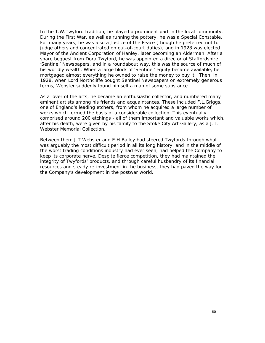In the T.W.Twyford tradition, he played a prominent part in the local community. During the First War, as well as running the pottery, he was a Special Constable. For many years, he was also a Justice of the Peace (though he preferred not to judge others and concentrated on out-of-court duties), and in 1928 was elected Mayor of the Ancient Corporation of Hanley, later becoming an Alderman. After a share bequest from Dora Twyford, he was appointed a director of Staffordshire 'Sentinel' Newspapers, and in a roundabout way, this was the source of much of his worldly wealth. When a large block of 'Sentinel' equity became available, he mortgaged almost everything he owned to raise the money to buy it. Then, in 1928, when Lord Northcliffe bought Sentinel Newspapers on extremely generous terms, Webster suddenly found himself a man of some substance.

As a lover of the arts, he became an enthusiastic collector, and numbered many eminent artists among his friends and acquaintances. These included F.L.Griggs, one of England's leading etchers, from whom he acquired a large number of works which formed the basis of a considerable collection. This eventually comprised around 200 etchings - all of them important and valuable works which, after his death, were given by his family to the Stoke City Art Gallery, as a J.T. Webster Memorial Collection.

Between them J.T.Webster and E.H.Bailey had steered Twyfords through what was arguably the most difficult period in all its long history, and in the middle of the worst trading conditions industry had ever seen, had helped the Company to keep its corporate nerve. Despite fierce competition, they had maintained the integrity of Twyfords' products, and through careful husbandry of its financial resources and steady re-investment in the business, they had paved the way for the Company's development in the postwar world.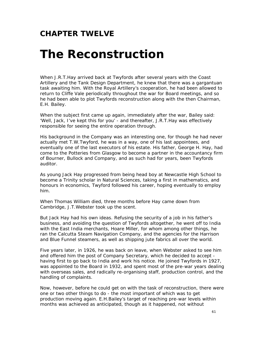#### **CHAPTER TWELVE**

### *The Reconstruction*

When J.R.T.Hay arrived back at Twyfords after several years with the Coast Artillery and the Tank Design Department, he knew that there was a gargantuan task awaiting him. With the Royal Artillery's cooperation, he had been allowed to return to Cliffe Vale periodically throughout the war for Board meetings, and so he had been able to plot Twyfords reconstruction along with the then Chairman, E.H. Bailey.

When the subject first came up again, immediately after the war, Bailey said: 'Well, Jack, I've kept this for you' - and thereafter, J.R.T.Hay was effectively responsible for seeing the entire operation through.

His background in the Company was an interesting one, for though he had never actually met T.W.Twyford, he was in a way, one of his last appointees, and eventually one of the last executors of his estate. His father, George H. Hay, had come to the Potteries from Glasgow to become a partner in the accountancy firm of Bourner, Bullock and Company, and as such had for years, been Twyfords auditor.

As young Jack Hay progressed from being head boy at Newcastle High School to become a Trinity scholar in Natural Sciences, taking a first in mathematics, and honours in economics, Twyford followed his career, hoping eventually to employ him.

When Thomas William died, three months before Hay came down from Cambridge, J.T.Webster took up the scent.

But Jack Hay had his own ideas. Refusing the security of a job in his father's business, and avoiding the question of Twyfords altogether, he went off to India with the East India merchants, Hoare Miller, for whom among other things, he ran the Calcutta Steam Navigation Company, and the agencies for the Harrison and Blue Funnel steamers, as well as shipping jute fabrics all over the world.

Five years later, in 1926, he was back on leave, when Webster asked to see him and offered him the post of Company Secretary, which he decided to accept having first to go back to India and work his notice. He joined Twyfords in 1927, was appointed to the Board in 1932, and spent most of the pre-war years dealing with overseas sales, and radically re-organising staff, production control, and the handling of complaints.

Now, however, before he could get on with the task of reconstruction, there were one or two other things to do - the most important of which was to get production moving again. E.H.Bailey's target of reaching pre-war levels within months was achieved as anticipated, though as it happened, not without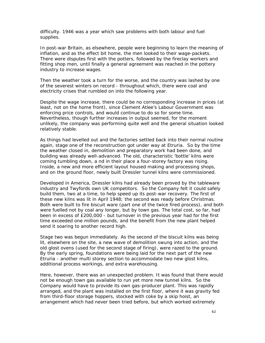difficulty. 1946 was a year which saw problems with both labour and fuel supplies.

In post-war Britain, as elsewhere, people were beginning to learn the meaning of inflation, and as the effect bit home, the men looked to their wage-packets. There were disputes first with the potters, followed by the fireclay workers and fitting shop men, until finally a general agreement was reached in the pottery industry to increase wages.

Then the weather took a turn for the worse, and the country was lashed by one of the severest winters on record - throughout which, there were coal and electricity crises that rumbled on into the following year.

Despite the wage increase, there could be no corresponding increase in prices (at least, not on the home front), since Clement Atlee's Labour Government was enforcing price controls, and would continue to do so for some time. Nevertheless, though further increases in output seemed, for the moment unlikely, the company was performing quite well and the general situation looked relatively stable.

As things had levelled out and the factories settled back into their normal routine again, stage one of the reconstruction got under way at Etruria. So by the time the weather closed in, demolition and preparatory work had been done, and building was already well-advanced. The old, characteristic 'bottle' kilns were coming tumbling down, a nd in their place a four-storey factory was rising. Inside, a new and more efficient layout housed making and processing shops, and on the ground floor, newly built Dressler tunnel kilns were commissioned.

Developed in America, Dressler kilns had already been proved by the tableware industry and Twyfords own UK competitors. So the Company felt it could safely build them, two at a time, to help speed up its post-war recovery. The first of these new kilns was lit in April 1948; the second was ready before Christmas. Both were built to fire biscuit ware (part one of the twice fired process), and both were fuelled not by coal any longer, but by town gas. The total cost, so far, had been in excess of £200,000 - but turnover in the previous year had for the first time exceeded one million pounds, and the benefit from the new plant helped send it soaring to another record high.

Stage two was begun immediately. As the second of the biscuit kilns was being lit, elsewhere on the site, a new wave of demolition swung into action, and the old glost ovens (used for the second stage of firing), were razed to the ground. By the early spring, foundations were being laid for the next part of the new Etruria - another multi storey section to accommodate two new glost kilns, additional process workings, and extra warehousing.

Here, however, there was an unexpected problem. It was found that there would not be enough town gas available to run yet more new tunnel kilns. So the Company would have to provide its own gas-producer plant. This was rapidly arranged, and the plant was installed on the first floor, where it was gravity fed from third-floor storage hoppers, stocked with coke by a skip hoist, an arrangement which had never been tried before, but which worked extremely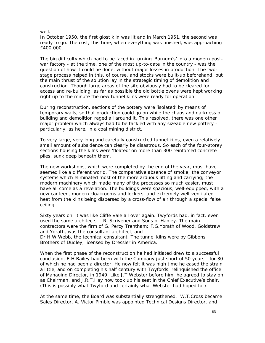well.

In October 1950, the first glost kiln was lit and in March 1951, the second was ready to go. The cost, this time, when everything was finished, was approaching £400,000.

The big difficulty which had to be faced in turning 'Barnum's' into a modern postwar factory - at the time, one of the most up-to-date in the country - was the question of how it could he done, without major losses in production. The twostage process helped in this, of course, and stocks were built-up beforehand, but the main thrust of the solution lay in the strategic timing of demolition and construction. Though large areas of the site obviously had to be cleared for access and re-building, as far as possible the old bottle ovens were kept working right up to the minute the new tunnel kilns were ready for operation.

During reconstruction, sections of the pottery were 'isolated' by means of temporary walls, so that production could go on while the chaos and darkness of building and demolition raged all around it. This resolved, there was one other major problem which always had to be tackled with any sizeable new pottery particularly, as here, in a coal mining district.

To very large, very long and carefully constructed tunnel kilns, even a relatively small amount of subsidence can clearly be disastrous. So each of the four-storey sections housing the kilns were 'floated' on more than 300 reinforced concrete piles, sunk deep beneath them.

The new workshops, which were completed by the end of the year, must have seemed like a different world. The comparative absence of smoke; the conveyor systems which eliminated most of the more arduous lifting and carrying; the modern machinery which made many of the processes so much easier, must have all come as a revelation. The buildings were spacious, well-equipped, with a new canteen, modern cloakrooms and lockers, and extremely well-ventilated heat from the kilns being dispersed by a cross-flow of air through a special false ceiling.

Sixty years on, it was like Cliffe Vale all over again. Twyfords had, in fact, even used the same architects - R. Scrivener and Sons of Hanley. The main contractors were the firm of G. Percy Trentham; F.G.Yorath of Wood, Goldstraw and Yorath, was the consultant architect, and Dr H.W.Webb, the technical consultant. The tunnel kilns were by Gibbons

Brothers of Dudley, licensed by Dressler in America.

When the first phase of the reconstruction he had initiated drew to a successful conclusion, E.H.Bailey had been with the Company just short of 50 years - for 30 of which he had been a director. He now felt it was high time he eased the strain a little, and on completing his half century with Twyfords, relinquished the office of Managing Director, in 1949. Like J.T.Webster before him, he agreed to stay on as Chairman, and J.R.T.Hay now took up his seat in the Chief Executive's chair. (This is possibly what Twyford and certainly what Webster had hoped for).

At the same time, the Board was substantially strengthened. W.T.Cross became Sales Director, A. Victor Pimble was appointed Technical Designs Director, and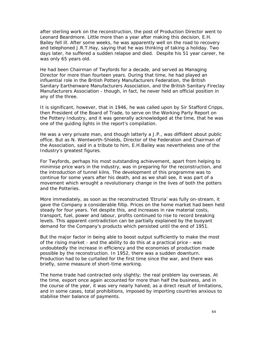after sterling work on the reconstruction, the post of Production Director went to Leonard Beardmore. Little more than a year after making this decision, E.H. Bailey fell ill. After some weeks, he was apparently well on the road to recovery and telephoned J.R.T.Hay, saying that he was thinking of taking a holiday. Two days later, he suffered a sudden relapse and died. Despite his 51 year career, he was only 65 years old.

He had been Chairman of Twyfords for a decade, and served as Managing Director for more than fourteen years. During that time, he had played an influential role in the British Pottery Manufacturers Federation, the British Sanitary Earthenware Manufacturers Association, and the British Sanitary Fireclay Manufacturers Association - though, in fact, he never held an official position in any of the three.

It is significant, however, that in 1946, he was called upon by Sir Stafford Cripps, then President of the Board of Trade, to serve on the Working Party Report on the Pottery Industry, and it was generally acknowledged at the time, that he was one of the guiding lights in the report's compilation.

He was a very private man, and though latterly a J.P., was diffident about public office. But as N. Wentworth-Shields, Director of the Federation and Chairman of the Association, said in a tribute to him, E.H.Bailey was nevertheless one of the Industry's greatest figures.

For Twyfords, perhaps his most outstanding achievement, apart from helping to minimise price wars in the industry, was in preparing for the reconstruction, and the introduction of tunnel kilns. The development of this programme was to continue for some years after his death, and as we shall see, it was part of a movement which wrought a revolutionary change in the lives of both the potters and the Potteries.

More immediately, as soon as the reconstructed 'Etruria' was fully on-stream, it gave the Company a considerable fillip. Prices on the home market had been held steady for four years. Yet despite this, and increases in raw material costs, transport, fuel, power and labour, profits continued to rise to record breaking levels. This apparent contradiction can be partially explained by the buoyant demand for the Company's products which persisted until the end of 1951.

But the major factor in being able to boost output sufficiently to make the most of the rising market - and the ability to do this at a practical price - was undoubtedly the increase in efficiency and the economies of production made possible by the reconstruction. In 1952, there was a sudden downturn. Production had to be curtailed for the first time since the war, and there was briefly, some measure of short-time working.

The home trade had contracted only slightly; the real problem lay overseas. At the time, export once again accounted for more than half the business, and in the course of the year, it was very nearly halved, as a direct result of limitations, and in some cases, total prohibitions, imposed by importing countries anxious to stabilise their balance of payments.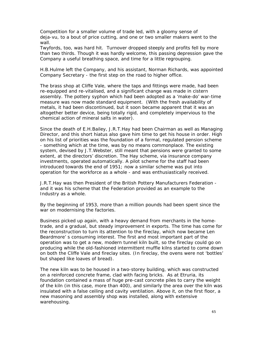Competition for a smaller volume of trade led, with a gloomy sense of deja-vu, to a bout of price cutting, and one or two smaller makers went to the wall.

Twyfords, too, was hard hit. Turnover dropped steeply and profits fell by more than two thirds. Though it was hardly welcome, this passing depression gave the Company a useful breathing space, and time for a little regrouping.

H.B.Hulme left the Company, and his assistant, Norman Richards, was appointed Company Secretary - the first step on the road to higher office.

The brass shop at Cliffe Vale, where the taps and fittings were made, had been re-equipped and re-vitalised, and a significant change was made in cistern assembly. The pottery syphon which had been adopted as a 'make-do' war-time measure was now made standard equipment. (With the fresh availability of metals, it had been discontinued, but it soon became apparent that it was an altogether better device, being totally rigid, and completely impervious to the chemical action of mineral salts in water).

Since the death of E.H.Bailey, J.R.T.Hay had been Chairman as well as Managing Director, and this short hiatus also gave him time to get his house in order. High on his list of priorities was the foundation of a formal, regulated pension scheme - something which at the time, was by no means commonplace. The existing system, devised by J.T.Webster, still meant that pensions were granted to some extent, at the directors' discretion. The Hay scheme, via insurance company investments, operated automatically. A pilot scheme for the staff had been introduced towards the end of 1951; now a similar scheme was put into operation for the workforce as a whole - and was enthusiastically received.

J.R.T.Hay was then President of the British Pottery Manufacturers Federation and it was his scheme that the Federation provided as an example to the Industry as a whole.

By the beginning of 1953, more than a million pounds had been spent since the war on modernising the factories.

Business picked up again, with a heavy demand from merchants in the hometrade, and a gradual, but steady improvement in exports. The time has come for the reconstruction to turn its attention to the fireclay, which now became Len Beardmore' s consuming interest. The first and most important part of the operation was to get a new, modern tunnel kiln built, so the fireclay could go on producing while the old-fashioned intermittent muffle kilns started to come down on both the Cliffe Vale and fireclay sites. (In fireclay, the ovens were not 'bottles' but shaped like loaves of bread).

The new kiln was to be housed in a two-storey building, which was constructed on a reinforced concrete frame, clad with facing bricks. As at Etruria, its foundation contained a mass of huge pre-cast concrete piles to carry the weight of the kiln (in this case, more than 400), and similarly the area over the kiln was insulated with a false ceiling and cavity ventilation. Above it, on the first floor, a new masoning and assembly shop was installed, along with extensive warehousing.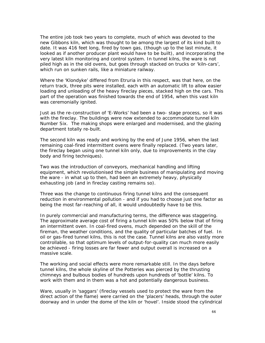The entire job took two years to complete, much of which was devoted to the new Gibbons kiln, which was thought to be among the largest of its kind built to date. It was 416 feet long, fired by town gas, (though up to the last minute, it looked as if another producer plant would have to be built), and incorporating the very latest kiln monitoring and control system. In tunnel kilns, the ware is not piled high as in the old ovens, but goes through stacked on trucks or 'kiln-cars', which run on sunken rails, like a miniature railway.

Where the 'Klondyke' differed from Etruria in this respect, was that here, on the return track, three pits were installed, each with an automatic lift to allow easier loading and unloading of the heavy fireclay pieces, stacked high on the cars. This part of the operation was finished towards the end of 1954, when this vast kiln was ceremonially ignited.

Just as the re-construction of 'E-Works' had been a two- stage process, so it was with the fireclay. The buildings were now extended to accommodate tunnel kiln Number Six. The making shops were enlarged and modernised, and the glazing department totally re-built.

The second kiln was ready and working by the end of June 1956, when the last remaining coal-fired intermittent ovens were finally replaced. (Two years later, the fireclay began using one tunnel kiln only, due to improvements in the clay body and firing techniques).

Two was the introduction of conveyors, mechanical handling and lifting equipment, which revolutionised the simple business of manipulating and moving the ware - in what up to then, had been an extremely heavy, physically exhausting job (and in fireclay casting remains so).

Three was the change to continuous firing tunnel kilns and the consequent reduction in environmental pollution - and if you had to choose just one factor as being the most far-reaching of all, it would undoubtedly have to be this.

In purely commercial and manufacturing terms, the difference was staggering. The approximate average cost of firing a tunnel kiln was 50% below that of firing an intermittent oven. In coal-fired ovens, much depended on the skill of the fireman, the weather conditions, and the quality of particular batches of fuel. In oil or gas-fired tunnel kilns, this is not the case. Tunnel kilns are also vastly more controllable, so that optimum levels of output-for-quality can much more easily be achieved - firing losses are far fewer and output overall is increased on a massive scale.

The working and social effects were more remarkable still. In the days before tunnel kilns, the whole skyline of the Potteries was pierced by the thrusting chimneys and bulbous bodies of hundreds upon hundreds of 'bottle' kilns. To work with them and in them was a hot and potentially dangerous business.

Ware, usually in 'saggars' (fireclay vessels used to protect the ware from the direct action of the flame) were carried on the 'placers' heads, through the outer doorway and in under the dome of the kiln or 'hovel'. Inside stood the cylindrical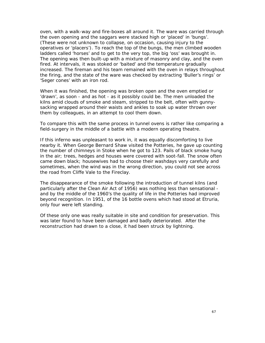oven, with a walk-way and fire-boxes all around it. The ware was carried through the oven opening and the saggars were stacked high or 'placed' in 'bungs'. (These were not unknown to collapse, on occasion, causing injury to the operatives or 'placers'). To reach the top of the bungs, the men climbed wooden ladders called 'horses' and to get to the very top, the big 'oss' was brought in. The opening was then built-up with a mixture of masonry and clay, and the oven fired. At intervals, it was stoked or 'baited' and the temperature gradually increased. The fireman and his team remained with the oven in relays throughout the firing, and the state of the ware was checked by extracting 'Buller's rings' or 'Seger cones' with an iron rod.

When it was finished, the opening was broken open and the oven emptied or 'drawn', as soon - and as hot - as it possibly could be. The men unloaded the kilns amid clouds of smoke and steam, stripped to the belt, often with gunnysacking wrapped around their waists and ankles to soak up water thrown over them by colleagues, in an attempt to cool them down.

To compare this with the same process in tunnel ovens is rather like comparing a field-surgery in the middle of a battle with a modern operating theatre.

If this inferno was unpleasant to work in, it was equally discomforting to live nearby it. When George Bernard Shaw visited the Potteries, he gave up counting the number of chimneys in Stoke when he got to 123. Pails of black smoke hung in the air; trees, hedges and houses were covered with soot-fall. The snow often came down black; housewives had to choose their washdays very carefully and sometimes, when the wind was in the wrong direction, you could not see across the road from Cliffe Vale to the Fireclay.

The disappearance of the smoke following the introduction of tunnel kilns (and particularly after the Clean Air Act of 1956) was nothing less than sensational and by the middle of the 1960's the quality of life in the Potteries had improved beyond recognition. In 1951, of the 16 bottle ovens which had stood at Etruria, only four were left standing.

Of these only one was really suitable in site and condition for preservation. This was later found to have been damaged and badly deteriorated. After the reconstruction had drawn to a close, it had been struck by lightning.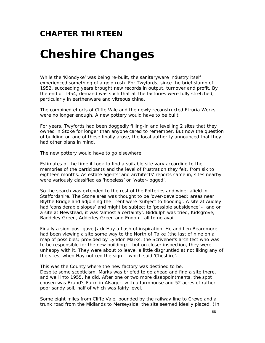### **CHAPTER THIRTEEN**

# *Cheshire Changes*

While the 'Klondyke' was being re-built, the sanitaryware industry itself experienced something of a gold rush. For Twyfords, since the brief slump of 1952, succeeding years brought new records in output, turnover and profit. By the end of 1954, demand was such that all the factories were fully stretched, particularly in earthenware and vitreous china.

The combined efforts of Cliffe Vale and the newly reconstructed Etruria Works were no longer enough. A new pottery would have to be built.

For years, Twyfords had been doggedly filling-in and levelling 2 sites that they owned in Stoke for longer than anyone cared to remember. But now the question of building on one of these finally arose, the local authority announced that they had other plans in mind.

The new pottery would have to go elsewhere.

Estimates of the time it took to find a suitable site vary according to the memories of the participants and the level of frustration they felt, from six to eighteen months. As estate agents' and architects' reports came in, sites nearby were variously classified as 'hopeless' or 'water-logged'.

So the search was extended to the rest of the Potteries and wider afield in Staffordshire. The Stone area was thought to be 'over-developed; areas near Blythe Bridge and adjoining the Trent were 'subject to flooding'. A site at Audley had 'considerable slopes' and might be subject to 'possible subsidence' - and on a site at Newstead, it was 'almost a certainty'. Biddulph was tried, Kidsgrove, Baddeley Green, Adderley Green and Endon - all to no avail.

Finally a sign-post gave Jack Hay a flash of inspiration. He and Len Beardmore had been viewing a site some way to the North of Talke (the last of nine on a map of possibles; provided by Lyndon Marks, the Scrivener's architect who was to be responsible for the new building) - but on closer inspection, they were unhappy with it. They were about to leave, a little disgruntled at not liking any of the sites, when Hay noticed the sign - which said 'Cheshire'.

This was the County where the new factory was destined to be. Despite some scepticism, Marks was briefed to go ahead and find a site there, and well into 1955, he did. After one or two more disappointments, the spot chosen was Brund's Farm in Alsager, with a farmhouse and 52 acres of rather poor sandy soil, half of which was fairly level.

Some eight miles from Cliffe Vale, bounded by the railway line to Crewe and a trunk road from the Midlands to Merseyside, the site seemed ideally placed. (In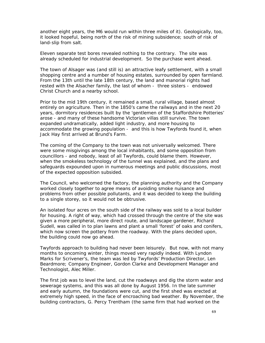another eight years, the M6 would run within three miles of it). Geologically, too, it looked hopeful, being north of the risk of mining subsidence; south of risk of land-slip from salt.

Eleven separate test bores revealed nothing to the contrary. The site was already scheduled for industrial development. So the purchase went ahead.

The town of Alsager was (and still is) an attractive leafy settlement, with a small shopping centre and a number of housing estates, surrounded by open farmland. From the 13th until the late 18th century, the land and manorial rights had rested with the Alsacher family, the last of whom - three sisters - endowed Christ Church and a nearby school.

Prior to the mid 19th century, it remained a small, rural village, based almost entirely on agriculture. Then in the 1850's came the railways and in the next 20 years, dormitory residences built by the 'gentlemen of the Staffordshire Potteries' arose - and many of these handsome Victorian villas still survive. The town expanded undramatically, added light industry, and more housing to accommodate the growing population - and this is how Twyfords found it, when Jack Hay first arrived at Brund's Farm.

The coming of the Company to the town was not universally welcomed. There were some misgivings among the local inhabitants, and some opposition from councillors - and nobody, least of all Twyfords, could blame them. However, when the smokeless technology of the tunnel was explained, and the plans and safeguards expounded upon in numerous meetings and public discussions, most of the expected opposition subsided.

The Council, who welcomed the factory, the planning authority and the Company worked closely together to agree means of avoiding smoke nuisance and problems from other possible pollutants, and it was decided to keep the building to a single storey, so it would not be obtrusive.

An isolated four acres on the south side of the railway was sold to a local builder for housing. A right of way, which had crossed through the centre of the site was given a more peripheral, more direct route, and landscape gardener, Richard Sudell, was called in to plan lawns and plant a small 'forest' of oaks and conifers, which now screen the pottery from the roadway. With the plans decided upon, the building could now go ahead.

Twyfords approach to building had never been leisurely. But now, with not many months to oncoming winter, things moved very rapidly indeed. With Lyndon Marks for Scrivener's, the team was led by Twyfords' Production Director, Len Beardmore; Company Engineer, Gordon Clarke and Development Manager and Technologist, Alec Miller.

The first job was to level the land, cut the roadways and dig the storm water and sewerage systems, and this was all done by August 1956. In the late summer and early autumn, the foundations were cut, and the first shed was erected at extremely high speed, in the face of encroaching bad weather. By November, the building contractors, G. Percy Trentham (the same firm that had worked on the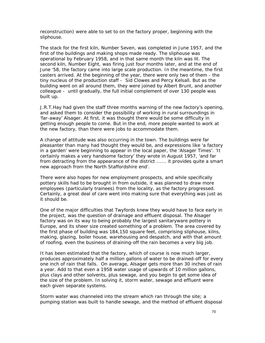reconstruction) were able to set to on the factory proper, beginning with the sliphouse.

The stack for the first kiln, Number Seven, was completed in June 1957, and the first of the buildings and making shops made ready. The sliphouse was operational by February 1958, and in that same month the kiln was lit. The second kiln, Number Eight, was firing just four months later, and at the end of June '58, the factory came into large scale production. In the meantime, the first casters arrived. At the beginning of the year, there were only two of them - the tiny nucleus of the production staff - Sid Clowes and Percy Kelsall. But as the building went on all around them, they were joined by Albert Brunt, and another colleague - until gradually, the full initial complement of over 130 people was built up.

J.R.T.Hay had given the staff three months warning of the new factory's opening, and asked them to consider the possibility of working in rural surroundings in 'far-away' Alsager. At first, it was thought there would be some difficulty in getting enough people to come. But in the end, more people wanted to work at the new factory, than there were jobs to accommodate them.

A change of attitude was also occurring in the town. The buildings were far pleasanter than many had thought they would be, and expressions like 'a factory in a garden' were beginning to appear in the local paper, the 'Alsager Times'. 'It certainly makes a very handsome factory' they wrote in August 1957, 'and far from detracting from the appearance of the district ...... it provides quite a smart new approach from the North Staffordshire end'.

There were also hopes for new employment prospects, and while specifically pottery skills had to be brought in from outside, it was planned to draw more employees (particularly trainees) from the locality, as the factory progressed. Certainly, a great deal of care went into making sure that everything was just as it should be.

One of the major difficulties that Twyfords knew they would have to face early in the project, was the question of drainage and effluent disposal. The Alsager factory was on its way to being probably the largest sanitaryware pottery in Europe, and its sheer size created something of a problem. The area covered by the first phase of building was 184,150 square feet, comprising sliphouse, kilns, making, glazing, boiler house, warehousing and despatch, and with that amount of roofing, even the business of draining-off the rain becomes a very big job.

It has been estimated that the factory, which of course is now much larger, produces approximately half a million gallons of water to be drained-off for every one inch of rain that falls. On average, Alsager gets more than 30 inches of rain a year. Add to that even a 1958 water usage of upwards of 10 million gallons, plus clays and other solvents, plus sewage, and you begin to get some idea of the size of the problem. In solving it, storm water, sewage and effluent were each given separate systems.

Storm water was channeled into the stream which ran through the site; a pumping station was built to handle sewage, and the method of effluent disposal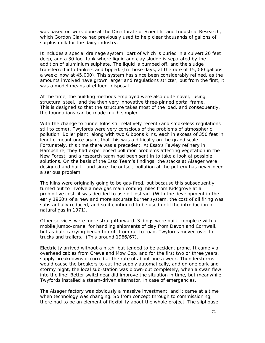was based on work done at the Directorate of Scientific and Industrial Research, which Gordon Clarke had previously used to help clear thousands of gallons of surplus milk for the dairy industry.

It includes a special drainage system, part of which is buried in a culvert 20 feet deep, and a 30 foot tank where liquid and clay sludge is separated by the addition of aluminium sulphate. The liquid is pumped off, and the sludge transferred into tankers and tipped. (In those days, at the rate of 15,000 gallons a week; now at 45,000). This system has since been considerably refined, as the amounts involved have grown larger and regulations stricter, but from the first, it was a model means of effluent disposal.

At the time, the building methods employed were also quite novel, using structural steel, and the then very innovative three-pinned portal frame. This is designed so that the structure takes most of the load, and consequently, the foundations can be made much simpler.

With the change to tunnel kilns still relatively recent (and smokeless regulations still to come), Twyfords were very conscious of the problems of atmospheric pollution. Boiler plant, along with two Gibbons kilns, each in excess of 350 feet in length, meant once again, that this was a difficulty on the grand scale. Fortunately, this time there was a precedent. At Esso's Fawley refinery in Hampshire, they had experienced pollution problems affecting vegetation in the New Forest, and a research team had been sent in to take a look at possible solutions. On the basis of the Esso Team's findings, the stacks at Alsager were designed and built - and since the outset, pollution at the pottery has never been a serious problem.

The kilns were originally going to be gas-fired, but because this subsequently turned out to involve a new gas main coming miles from Kidsgrove at a prohibitive cost, it was decided to use oil instead. (With the development in the early 1960's of a new and more accurate burner system, the cost of oil firing was substantially reduced, and so it continued to be used until the introduction of natural gas in 1971).

Other services were more straightforward. Sidings were built, complete with a mobile jumbo-crane, for handling shipments of clay from Devon and Cornwall, but as bulk carrying began to drift from rail to road, Twyfords moved over to trucks and trailers. (This around 1966/67).

Electricity arrived without a hitch, but tended to be accident prone. It came via overhead cables from Crewe and Mow Cop, and for the first two or three years, supply breakdowns occurred at the rate of about one a week. Thunderstorms would cause the breakers to cut the supply automatically, and on one dark and stormy night, the local sub-station was blown-out completely, when a swan flew into the line! Better switchgear did improve the situation in time, but meanwhile Twyfords installed a steam-driven alternator, in case of emergencies.

The Alsager factory was obviously a massive investment, and it came at a time when technology was changing. So from concept through to commissioning, there had to be an element of flexibility about the whole project. The sliphouse,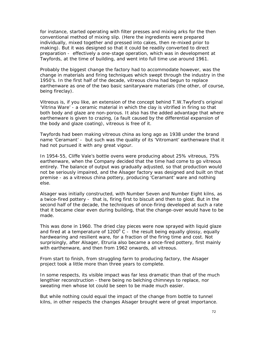for instance, started operating with filter presses and mixing arks for the then conventional method of mixing slip. (Here the ingredients were prepared individually, mixed together and pressed into cakes, then re-mixed prior to making). But it was designed so that it could be readily converted to direct preparation - effectively a one-stage operation, which was in development at Twyfords, at the time of building, and went into full time use around 1961.

Probably the biggest change the factory had to accommodate however, was the change in materials and firing techniques which swept through the industry in the 1950's. In the first half of the decade, vitreous china had begun to replace earthenware as one of the two basic sanitaryware materials (the other, of course, being fireclay).

Vitreous is, if you like, an extension of the concept behind T.W.Twyford's original 'Vitrina Ware' - a ceramic material in which the clay is vitrified in firing so that both body and glaze are non-porous. It also has the added advantage that where earthenware is given to crazing, (a fault caused by the differential expansion of the body and glaze coating), vitreous is free of it.

Twyfords had been making vitreous china as long ago as 1938 under the brand name 'Ceramant' - but such was the quality of its 'Vitromant' earthenware that it had not pursued it with any great vigour.

In 1954-55, Cliffe Vale's bottle ovens were producing about 25% vitreous, 75% earthenware, when the Company decided that the time had come to go vitreous entirely. The balance of output was gradually adjusted, so that production would not be seriously impaired, and the Alsager factory was designed and built on that premise - as a vitreous china pottery, producing 'Ceramant' ware and nothing else.

Alsager was initially constructed, with Number Seven and Number Eight kilns, as a twice-fired pottery - that is, firing first to biscuit and then to glost. But in the second half of the decade, the techniques of once-firing developed at such a rate that it became clear even during building, that the change-over would have to be made.

This was done in 1960. The dried clay pieces were now sprayed with liquid glaze and fired at a temperature of 1200 $\degree$  C - the result being equally glossy, equally hardwearing and resilient ware, for a fraction of the firing time and cost. Not surprisingly, after Alsager, Etruria also became a once-fired pottery, first mainly with earthenware, and then from 1962 onwards, all vitreous.

From start to finish, from struggling farm to producing factory, the Alsager project took a little more than three years to complete.

In some respects, its visible impact was far less dramatic than that of the much lengthier reconstruction - there being no belching chimneys to replace, nor sweating men whose lot could be seen to be made much easier.

But while nothing could equal the impact of the change from bottle to tunnel kilns, in other respects the changes Alsager brought were of great importance.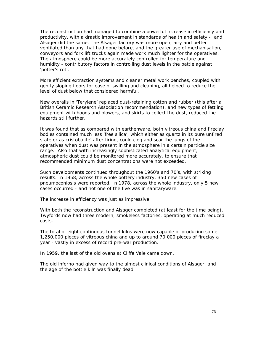The reconstruction had managed to combine a powerful increase in efficiency and productivity, with a drastic improvement in standards of health and safety - and Alsager did the same. The Alsager factory was more open, airy and better ventilated than any that had gone before, and the greater use of mechanisation, conveyors and fork lift trucks again made work much lighter for the operatives. The atmosphere could be more accurately controlled for temperature and humidity - contributory factors in controlling dust levels in the battle against 'potter's rot'.

More efficient extraction systems and cleaner metal work benches, coupled with gently sloping floors for ease of swilling and cleaning, all helped to reduce the level of dust below that considered harmful.

New overalls in 'Terylene' replaced dust-retaining cotton and rubber (this after a British Ceramic Research Association recommendation), and new types of fettling equipment with hoods and blowers, and skirts to collect the dust, reduced the hazards still further.

It was found that as compared with earthenware, both vitreous china and fireclay bodies contained much less 'free silica', which either as quartz in its pure unfired state or as cristobalite' after firing, could clog and scar the lungs of the operatives when dust was present in the atmosphere in a certain particle size range. Also that with increasingly sophisticated analytical equipment, atmospheric dust could be monitored more accurately, to ensure that recommended minimum dust concentrations were not exceeded.

Such developments continued throughout the 1960's and 70's, with striking results. In 1958, across the whole pottery industry, 350 new cases of pneumoconiosis were reported. In 1978, across the whole industry, only 5 new cases occurred - and not one of the five was in sanitaryware.

The increase in efficiency was just as impressive.

With both the reconstruction and Alsager completed (at least for the time being), Twyfords now had three modern, smokeless factories, operating at much reduced costs.

The total of eight continuous tunnel kilns were now capable of producing some 1,250,000 pieces of vitreous china and up to around 70,000 pieces of fireclay a year - vastly in excess of record pre-war production.

In 1959, the last of the old ovens at Cliffe Vale came down.

The old inferno had given way to the almost clinical conditions of Alsager, and the age of the bottle kiln was finally dead.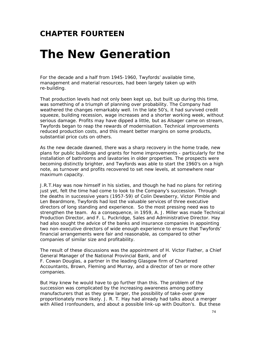### **CHAPTER FOURTEEN**

### *The New Generation*

For the decade and a half from 1945-1960, Twyfords' available time, management and material resources, had been largely taken up with re-building.

That production levels had not only been kept up, but built up during this time, was something of a triumph of planning over probability. The Company had weathered the changes remarkably well. In the late 50's, it had survived credit squeeze, building recession, wage increases and a shorter working week, without serious damage. Profits may have dipped a little, but as Alsager came on stream, Twyfords began to reap the rewards of modernisation. Technical improvements reduced production costs, and this meant better margins on some products, substantial price cuts on others.

As the new decade dawned, there was a sharp recovery in the home trade, new plans for public buildings and grants for home improvements - particularly for the installation of bathrooms and lavatories in older properties. The prospects were becoming distinctly brighter, and Twyfords was able to start the 1960's on a high note, as turnover and profits recovered to set new levels, at somewhere near maximum capacity.

J.R.T.Hay was now himself in his sixties, and though he had no plans for retiring just yet, felt the time had come to look to the Company's succession. Through the deaths in successive years (1957-59) of Colin Dewsberry, Victor Pimble and Len Beardmore, Twyfords had lost the valuable services of three executive directors of long standing and experience. So the most pressing need was to strengthen the team. As a consequence, in 1959, A. J. Miller was made Technical Production Director, and F. L. Puckridge, Sales and Administrative Director. Hay had also sought the advice of the banks and insurance companies in appointing two non-executive directors of wide enough experience to ensure that Twyfords' financial arrangements were fair and reasonable, as compared to other companies of similar size and profitability.

The result of these discussions was the appointment of H. Victor Flather, a Chief General Manager of the National Provincial Bank, and of F. Cowan Douglas, a partner in the leading Glasgow firm of Chartered Accountants, Brown, Fleming and Murray, and a director of ten or more other companies.

But Hay knew he would have to go further than this. The problem of the succession was complicated by the increasing awareness among pottery manufacturers that as they grew larger, the possibility of take-over grew proportionately more likely. J. R. T. Hay had already had talks about a merger with Allied Ironfounders, and about a possible link-up with Doulton's. But these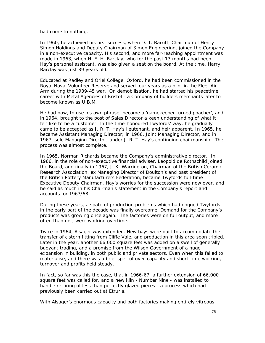had come to nothing.

In 1960, he achieved his first success, when D. T. Barritt, Chairman of Henry Simon Holdings and Deputy Chairman of Simon Engineering, joined the Company in a non-executive capacity. His second, and more far-reaching appointment was made in 1963, when H. F. H. Barclay, who for the past 13 months had been Hay's personal assistant, was also given a seat on the board. At the time, Harry Barclay was just 39 years old.

Educated at Radley and Oriel College, Oxford, he had been commissioned in the Royal Naval Volunteer Reserve and served four years as a pilot in the Fleet Air Arm during the 1939-45 war. On demobilisation, he had started his peacetime career with Metal Agencies of Bristol - a Company of builders merchants later to become known as U.B.M.

He had now, to use his own phrase, become a 'gamekeeper turned poacher', and in 1964, brought to the post of Sales Director a keen understanding of what it felt like to be a customer. In the time-honoured Twyfords' way, he gradually came to be accepted as J. R. T. Hay's lieutenant, and heir apparent. In 1965, he became Assistant Managing Director; in 1966, Joint Managing Director, and in 1967, sole Managing Director, under J. R. T. Hay's continuing chairmanship. The process was almost complete.

In 1965, Norman Richards became the Company's administrative director. In 1966, in the role of non-executive financial adviser, Leopold de Rothschild joined the Board, and finally in 1967, J. K. Warrington, Chairman of the British Ceramic Research Association, ex Managing Director of Doulton's and past president of the British Pottery Manufacturers Federation, became Twyfords full-time Executive Deputy Chairman. Hay's worries for the succession were now over, and he said as much in his Chairman's statement in the Company's report and accounts for 1967/68.

During these years, a spate of production problems which had dogged Twyfords in the early part of the decade was finally overcome. Demand for the Company's products was growing once again. The factories were on full output, and more often than not, were working overtime.

Twice in 1964, Alsager was extended. New bays were built to accommodate the transfer of cistern fitting from Cliffe Vale, and production in this area soon tripled. Later in the year, another 66,000 square feet was added on a swell of generally buoyant trading, and a promise from the Wilson Government of a huge expansion in building, in both public and private sectors. Even when this failed to materialise, and there was a brief spell of over-capacity and short-time working, turnover and profits held steady.

In fact, so far was this the case, that in 1966-67, a further extension of 66,000 square feet was called for, and a new kiln - Number Nine - was installed to handle re-firing of less than perfectly glazed pieces - a process which had previously been carried out at Etruria.

With Alsager's enormous capacity and both factories making entirely vitreous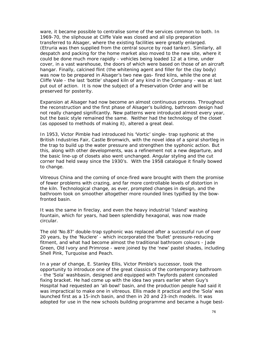ware, it became possible to centralise some of the services common to both. In 1969-70, the sliphouse at Cliffe Vale was closed and all slip preparation transferred to Alsager, where the existing facilities were greatly enlarged. (Etruria was then supplied from the central source by road tanker). Similarly, all despatch and packing for the home market also moved to the new site, where it could be done much more rapidly - vehicles being loaded 12 at a time, under cover, in a vast warehouse, the doors of which were based on those of an aircraft hangar. Finally, calcined flint (the whitening agent and filler for the clay body) was now to be prepared in Alsager's two new gas- fired kilns, while the one at Cliffe Vale - the last 'bottle' shaped kiln of any kind in the Company - was at last put out of action. It is now the subject of a Preservation Order and will be preserved for posterity.

Expansion at Alsager had now become an almost continuous process. Throughout the reconstruction and the first phase of Alsager's building, bathroom design had not really changed significantly. New patterns were introduced almost every year, but the basic style remained the same. Neither had the technology of the closet (as opposed to methods of making it), altered a great deal.

In 1953, Victor Pimble had introduced his 'Vortic' single- trap syphonic at the British Industries Fair, Castle Bromwich, with the novel idea of a spiral shortleg in the trap to build up the water pressure and strengthen the syphonic action. But this, along with other developments, was a refinement not a new departure, and the basic line-up of closets also went unchanged. Angular styling and the cut corner had held sway since the 1930's. With the 1958 catalogue it finally bowed to change.

Vitreous China and the coming of once-fired ware brought with them the promise of fewer problems with crazing, and far more controllable levels of distortion in the kiln. Technological change, as ever, prompted changes in design, and the bathroom took on smoother altogether more rounded lines typified by the bowfronted basin.

It was the same in fireclay, and even the heavy industrial 'Island' washing fountain, which for years, had been splendidly hexagonal, was now made circular.

The old 'No.87' double-trap syphonic was replaced after a successful run of over 20 years, by the 'Nuclere' - which incorporated the 'bullet' pressure-reducing fitment, and what had become almost the traditional bathroom colours - Jade Green, Old Ivory and Primrose - were joined by the 'new' pastel shades, including Shell Pink, Turquoise and Peach.

In a year of change, E. Stanley Ellis, Victor Pimble's successor, took the opportunity to introduce one of the great classics of the contemporary bathroom - the 'Sola' washbasin, designed and equipped with Twyfords patent concealed fixing bracket. He had come up with the idea two years earlier when Guy's Hospital had requested an 'all-bowl' basin, and the production people had said it was impractical to make one in vitreous. Ellis made it practical and the 'Sola' was launched first as a 15-inch basin, and then in 20 and 23-inch models. It was adopted for use in the new schools building programme and became a huge best-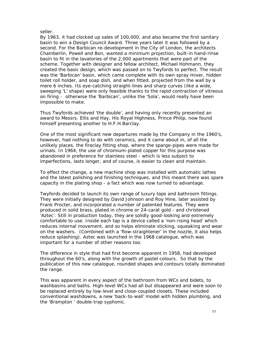#### seller.

By 1963, it had clocked up sales of 100,000, and also became the first sanitary basin to win a Design Council Award. Three years later it was followed by a second. For the Barbican re-development in the City of London, the architects Chamberlin, Powell and Bon, wanted a minimum projection, built-in hand-rinse basin to fit in the lavatories of the 2,000 apartments that were part of the scheme. Together with designer and fellow architect, Michael Hohmann, they created the basic design, which was passed on to Twyfords to perfect. The result was the 'Barbican' basin, which came complete with its own spray mixer, hidden toilet roll holder, and soap dish, and when fitted, projected from the wall by a mere 6 inches. Its eye-catching straight-lines and sharp curves (like a wide, sweeping 'L' shape) were only feasible thanks to the rapid contraction of vitreous on firing - otherwise the 'Barbican', unlike the 'Sola', would really have been impossible to make.

Thus Twyfords achieved 'the double', and having only recently presented an award to Messrs. Ellis and Hay, His Royal Highness, Prince Philip, now found himself presenting another to H.F.H.Barclay.

One of the most significant new departures made by the Company in the 1960's, however, had nothing to do with ceramics, and it came about in, of all the unlikely places, the fireclay fitting shop, where the sparge-pipes were made for urinals. In 1964, the use of chromium-plated copper for this purpose was abandoned in preference for stainless steel - which is less subject to imperfections, lasts longer, and of course, is easier to clean and maintain.

To effect the change, a new machine shop was installed with automatic lathes and the latest polishing and finishing techniques, and this meant there was spare capacity in the plating shop - a fact which was now turned to advantage.

Twyfords decided to launch its own range of luxury taps and bathroom fittings. They were initially designed by David Johnson and Roy Hine, later assisted by Frank Procter, and incorporated a number of patented features. They were produced in solid brass, plated in chrome or 24-carat gold - and christened 'Aztec'. Still in production today, they are solidly good-looking and extremely comfortable to use. Inside each tap is a device called a 'non-rising head' which reduces internal movement, and so helps eliminate sticking, squeaking and wear on the washers. (Combined with a 'flow-straightener' in the nozzle, it also helps reduce splashing). Aztec was launched in the 1968 catalogue, which was important for a number of other reasons too.

The difference in style that had first become apparent in 1958, had developed throughout the 60's, along with the growth of pastel colours. So that by the publication of this new catalogue, rounded shapes and contours totally dominated the range.

This was apparent in every aspect of the bathroom from WCs and bidets, to washbasins and baths. High-level WCs had all but disappeared and were soon to be replaced entirely by low-level and close-coupled closets. These included conventional washdowns, a new 'back-to-wall' model with hidden plumbing, and the 'Brampton ' double-trap syphonic.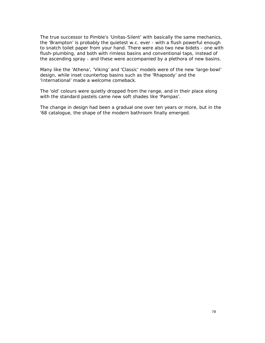The true successor to Pimble's 'Unitas-Silent' with basically the same mechanics, the 'Brampton' is probably the quietest w.c. ever - with a flush powerful enough to snatch toilet paper from your hand. There were also two new bidets - one with flush-plumbing, and both with rimless basins and conventional taps, instead of the ascending spray - and these were accompanied by a plethora of new basins.

Many like the 'Athena', 'Viking' and 'Classic' models were of the new 'large-bowl' design, while inset countertop basins such as the 'Rhapsody' and the 'International' made a welcome comeback.

The 'old' colours were quietly dropped from the range, and in their place along with the standard pastels came new soft shades like 'Pampas'.

The change in design had been a gradual one over ten years or more, but in the '68 catalogue, the shape of the modern bathroom finally emerged.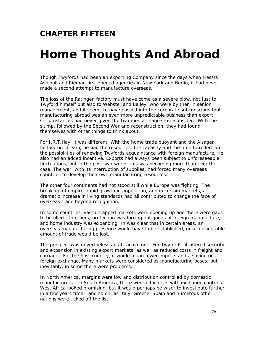### **CHAPTER FIFTEEN**

### *Home Thoughts And Abroad*

Though Twyfords had been an exporting Company since the days when Messrs Aspinall and Rieman first opened agencies in New York and Berlin, it had never made a second attempt to manufacture overseas.

The loss of the Ratingen factory must have come as a severe blow, not just to Twyford himself but also to Webster and Bailey, who were by then in senior management, and it seems to have passed into the corporate subconscious that manufacturing abroad was an even more unpredictable business than export. Circumstances had never given the two men a chance to reconsider. With the slump, followed by the Second War and reconstruction, they had found themselves with other things to think about.

For J.R.T.Hay, it was different. With the home trade buoyant and the Alsager factory on stream, he had the resources, the capacity and the time to reflect on the possibilities of renewing Twyfords acquaintance with foreign manufacture. He also had an added incentive. Exports had always been subject to unforeseeable fluctuations, but in the post-war world, this was becoming more than ever the case. The war, with its interruption of supplies, had forced many overseas countries to develop their own manufacturing resources.

The other four continents had not stood still while Europe was fighting. The break-up of empire, rapid growth in population, and in certain markets, a dramatic increase in living standards had all contributed to change the face of overseas trade beyond recognition.

In some countries, vast untapped markets were opening up and there were gaps to be filled. In others, protection was forcing out goods of foreign manufacture, and home industry was expanding. In was clear that in certain areas, an overseas manufacturing presence would have to be established, or a considerable amount of trade would be lost.

The prospect was nevertheless an attractive one. For Twyfords, it offered security and expansion in existing export markets, as well as reduced costs in freight and carriage. For the host country, it would mean fewer imports and a saving on foreign exchange. Many markets were considered as manufacturing bases, but inevitably, in some there were problems.

In North America, margins were low and distribution controlled by domestic manufacturers. In South America, there were difficulties with exchange controls. West Africa looked promising, but it would perhaps be wiser to investigate further in a few years time - and so on, as Italy, Greece, Spain and numerous other nations were ticked off the list.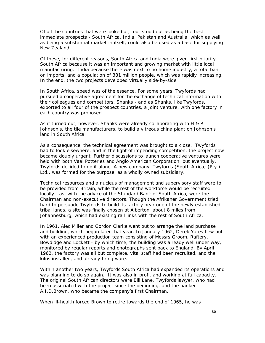Of all the countries that were looked at, four stood out as being the best immediate prospects - South Africa, India, Pakistan and Australia, which as well as being a substantial market in itself, could also be used as a base for supplying New Zealand.

Of these, for different reasons, South Africa and India were given first priority. South Africa because it was an important and growing market with little local manufacturing. India because there was next to no home industry, a total ban on imports, and a population of 381 million people, which was rapidly increasing. In the end, the two projects developed virtually side-by-side.

In South Africa, speed was of the essence. For some years, Twyfords had pursued a cooperative agreement for the exchange of technical information with their colleagues and competitors, Shanks - and as Shanks, like Twyfords, exported to all four of the prospect countries, a joint venture, with one factory in each country was proposed.

As it turned out, however, Shanks were already collaborating with H & R Johnson's, the tile manufacturers, to build a vitreous china plant on Johnson's land in South Africa.

As a consequence, the technical agreement was brought to a close. Twyfords had to look elsewhere, and in the light of impending competition, the project now became doubly urgent. Further discussions to launch cooperative ventures were held with both Vaal Potteries and Anglo American Corporation, but eventually, Twyfords decided to go it alone. A new company, Twyfords (South Africa) (Pty.) Ltd., was formed for the purpose, as a wholly owned subsidiary.

Technical resources and a nucleus of management and supervisory staff were to be provided from Britain, while the rest of the workforce would be recruited locally - as, with the advice of the Standard Bank of South Africa, were the Chairman and non-executive directors. Though the Afrikaner Government tried hard to persuade Twyfords to build its factory near one of the newly established tribal lands, a site was finally chosen at Alberton, about 8 miles from Johannesburg, which had existing rail links with the rest of South Africa.

In 1961, Alec Miller and Gordon Clarke went out to arrange the land purchase and building, which began later that year. In January 1962, Derek Yates flew out with an experienced production team consisting of Messrs Groom, Raftery, Bowdidge and Lockett - by which time, the building was already well under way, monitored by regular reports and photographs sent back to England. By April 1962, the factory was all but complete, vital staff had been recruited, and the kilns installed, and already firing ware.

Within another two years, Twyfords South Africa had expanded its operations and was planning to do so again. It was also in profit and working at full capacity. The original South African directors were Bill Lane, Twyfords lawyer, who had been associated with the project since the beginning, and the banker A.I.D.Brown, who became the company's first Chairman.

When ill-health forced Brown to retire towards the end of 1965, he was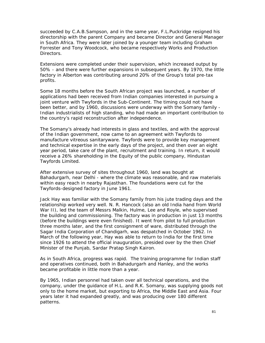succeeded by C.A.B.Sampson, and in the same year, F.L.Puckridge resigned his directorship with the parent Company and became Director and General Manager in South Africa. They were later joined by a younger team including Graham Forrester and Tony Woodcock, who became respectively Works and Production **Directors** 

Extensions were completed under their supervision, which increased output by 50% - and there were further expansions in subsequent years. By 1970, the little factory in Alberton was contributing around 20% of the Group's total pre-tax profits.

Some 18 months before the South African project was launched, a number of applications had been received from Indian companies interested in pursuing a joint venture with Twyfords in the Sub-Continent. The timing could not have been better, and by 1960, discussions were underway with the Somany family - Indian industrialists of high standing, who had made an important contribution to the country's rapid reconstruction after independence.

The Somany's already had interests in glass and textiles, and with the approval of the Indian government, now came to an agreement with Twyfords to manufacture vitreous sanitaryware. Twyfords were to provide key management and technical expertise in the early days of the project, and then over an eight year period, take care of the plant, recruitment and training. In return, it would receive a 26% shareholding in the Equity of the public company, Hindustan Twyfords Limited.

After extensive survey of sites throughout 1960, land was bought at Bahadurgarh, near Delhi - where the climate was reasonable, and raw materials within easy reach in nearby Rajasthan. The foundations were cut for the Twyfords-designed factory in June 1961.

Jack Hay was familiar with the Somany family from his jute trading days and the relationship worked very well. N. R. Hancock (also an old India hand from World War II), led the team of Messrs Malkin, Hulme, Lee and Royle, who supervised the building and commissioning. The factory was in production in just 13 months (before the buildings were even finished). It went from pilot to full production three months later, and the first consignment of ware, distributed through the Sagar India Corporation of Chandigarh, was despatched in October 1962. In March of the following year, Hay was able to return to India for the first time since 1926 to attend the official inauguration, presided over by the then Chief Minister of the Punjab, Sardar Pratap Singh Kairon.

As in South Africa, progress was rapid. The training programme for Indian staff and operatives continued, both in Bahadurgarh and Hanley, and the works became profitable in little more than a year.

By 1965, Indian personnel had taken over all technical operations, and the company, under the guidance of H.L. and R.K. Somany, was supplying goods not only to the home market, but exporting to Africa, the Middle East and Asia. Four years later it had expanded greatly, and was producing over 180 different patterns.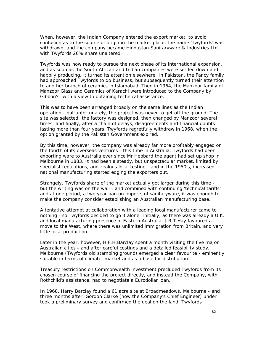When, however, the Indian Company entered the export market, to avoid confusion as to the source of origin in the market place, the name 'Twyfords' was withdrawn, and the company became Hindustan Sanitaryware & Industries Ltd., with Twyfords 26% share unaltered.

Twyfords was now ready to pursue the next phase of its international expansion, and as soon as the South African and Indian companies were settled down and happily producing, it turned its attention elsewhere. In Pakistan, the Fancy family had approached Twyfords to do business, but subsequently turned their attention to another branch of ceramics in Islamabad. Then in 1964, the Manzoor family of Manzoor Glass and Ceramics of Karachi were introduced to the Company by Gibbon's, with a view to obtaining technical assistance.

This was to have been arranged broadly on the same lines as the Indian operation - but unfortunately, the project was never to get off the ground. The site was selected; the factory was designed, then changed by Manzoor several times, and finally, after a chain of delays, disagreements and financial doubts lasting more than four years, Twyfords regretfully withdrew in 1968, when the option granted by the Pakistan Government expired.

By this time, however, the company was already far more profitably engaged on the fourth of its overseas ventures - this time in Australia. Twyfords had been exporting ware to Australia ever since Mr Hebbard the agent had set up shop in Melbourne in 1883. It had been a steady, but unspectacular market, limited by specialist regulations, and zealous local testing - and in the 1950's, increased national manufacturing started edging the exporters out.

Strangely, Twyfords share of the market actually got larger during this time but the writing was on the wall - and combined with continuing 'technical tariffs' and at one period, a two year ban on imports of sanitaryware, it was enough to make the company consider establishing an Australian manufacturing base.

A tentative attempt at collaboration with a leading local manufacturer came to nothing - so Twyfords decided to go it alone. Initially, as there was already a U.K. and local manufacturing presence in Eastern Australia, J.R.T.Hay favoured a move to the West, where there was unlimited immigration from Britain, and very little local production.

Later in the year, however, H.F.H.Barclay spent a month visiting the five major Australian cities - and after careful costings and a detailed feasibility study, Melbourne (Twyfords old stamping ground) emerged a clear favourite - eminently suitable in terms of climate, market and as a base for distribution.

Treasury restrictions on Commonwealth investment precluded Twyfords from its chosen course of financing the project directly, and instead the Company, with Rothchild's assistance, had to negotiate a Eurodollar loan.

In 1968, Harry Barclay found a 61 acre site at Broadmeadows, Melbourne - and three months after, Gordon Clarke (now the Company's Chief Engineer) under took a preliminary survey and confirmed the deal on the land. Twyfords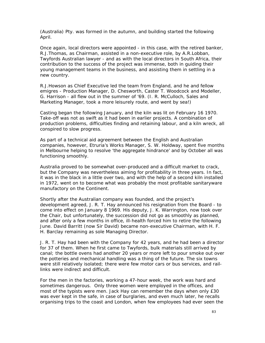(Australia) Pty. was formed in the autumn, and building started the following April.

Once again, local directors were appointed - in this case, with the retired banker, R.J.Thomas, as Chairman, assisted in a non-executive role, by A.R.Lobban, Twyfords Australian lawyer - and as with the local directors in South Africa, their contribution to the success of the project was immense, both in guiding their young management teams in the business, and assisting them in settling in a new country.

R.J.Howson as Chief Executive led the team from England, and he and fellow emigres - Production Manager, D. Chesworth, Caster T. Woodcock and Modeller, G. Harrison - all flew out in the summer of '69. (I. R. McCulloch, Sales and Marketing Manager, took a more leisurely route, and went by sea!)

Casting began the following January, and the kiln was lit on February 16 1970. Take-off was not as swift as it had been in earlier projects. A combination of production problems, difficulties finding and retaining labour, and a kiln wreck, all conspired to slow progress.

As part of a technical aid agreement between the English and Australian companies, however, Etruria's Works Manager, S. W. Holdway, spent five months in Melbourne helping to resolve 'the aggregate hindrance' and by October all was functioning smoothly.

Australia proved to be somewhat over-produced and a difficult market to crack, but the Company was nevertheless aiming for profitability in three years. In fact, it was in the black in a little over two, and with the help of a second kiln installed in 1972, went on to become what was probably the most profitable sanitaryware manufactory on the Continent.

Shortly after the Australian company was founded, and the project's development agreed, J. R. T. Hay announced his resignation from the Board - to come into effect on January 8 1969. His deputy, J. K. Warrington, now took over the Chair, but unfortunately, the succession did not go as smoothly as planned, and after only a few months in office, ill-health forced him to retire the following June. David Barritt (now Sir David) became non-executive Chairman, with H. F. H. Barclay remaining as sole Managing Director.

J. R. T. Hay had been with the Company for 42 years, and he had been a director for 37 of them. When he first came to Twyfords, bulk materials still arrived by canal; the bottle ovens had another 20 years or more left to pour smoke out over the potteries and mechanical handling was a thing of the future. The six towns were still relatively isolated; there were few motor cars or bus services, and raillinks were indirect and difficult.

For the men in the factories, working a 47-hour week, the work was hard and sometimes dangerous. Only three women were employed in the offices, and most of the typists were men. Jack Hay can remember the days when only £30 was ever kept in the safe, in case of burglaries, and even much later, he recalls organising trips to the coast and London, when few employees had ever seen the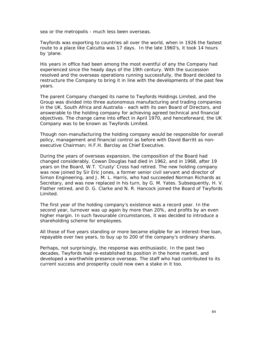sea or the metropolis - much less been overseas.

Twyfords was exporting to countries all over the world, when in 1926 the fastest route to a place like Calcutta was 17 days. In the late 1960's, it took 14 hours by 'plane.

His years in office had been among the most eventful of any the Company had experienced since the heady days of the 19th century. With the succession resolved and the overseas operations running successfully, the Board decided to restructure the Company to bring it in line with the developments of the past few years.

The parent Company changed its name to Twyfords Holdings Limited, and the Group was divided into three autonomous manufacturing and trading companies in the UK, South Africa and Australia - each with its own Board of Directors, and answerable to the holding company for achieving agreed technical and financial objectives. The change came into effect in April 1970, and henceforward, the UK Company was to be known as Twyfords Limited.

Though non-manufacturing the holding company would be responsible for overall policy, management and financial control as before with David Barritt as nonexecutive Chairman; H.F.H. Barclay as Chief Executive.

During the years of overseas expansion, the composition of the Board had changed considerably. Cowan Douglas had died in 1962, and in 1968, after 19 years on the Board, W.T. 'Crusty' Cross had retired. The new holding company was now joined by Sir Eric Jones, a former senior civil servant and director of Simon Engineering, and J. M. L. Harris, who had succeeded Norman Richards as Secretary, and was now replaced in his turn, by G. M. Yates. Subsequently, H. V. Flather retired, and D. G. Clarke and N. R. Hancock joined the Board of Twyfords Limited.

The first year of the holding company's existence was a record year. In the second year, turnover was up again by more than 20%, and profits by an even higher margin. In such favourable circumstances, it was decided to introduce a shareholding scheme for employees.

All those of five years standing or more became eligible for an interest-free loan, repayable over two years, to buy up to 200 of the company's ordinary shares.

Perhaps, not surprisingly, the response was enthusiastic. In the past two decades, Twyfords had re-established its position in the home market, and developed a worthwhile presence overseas. The staff who had contributed to its current success and prosperity could now own a stake in it too.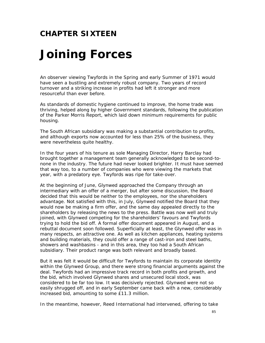### **CHAPTER SIXTEEN**

## *Joining Forces*

An observer viewing Twyfords in the Spring and early Summer of 1971 would have seen a bustling and extremely robust company. Two years of record turnover and a striking increase in profits had left it stronger and more resourceful than ever before.

As standards of domestic hygiene continued to improve, the home trade was thriving, helped along by higher Government standards, following the publication of the Parker Morris Report, which laid down minimum requirements for public housing.

The South African subsidiary was making a substantial contribution to profits, and although exports now accounted for less than 25% of the business, they were nevertheless quite healthy.

In the four years of his tenure as sole Managing Director, Harry Barclay had brought together a management team generally acknowledged to be second-tonone in the industry. The future had never looked brighter. It must have seemed that way too, to a number of companies who were viewing the markets that year, with a predatory eye. Twyfords was ripe for take-over.

At the beginning of June, Glynwed approached the Company through an intermediary with an offer of a merger, but after some discussion, the Board decided that this would be neither to the employees, nor the shareholders advantage. Not satisfied with this, in July, Glynwed notified the Board that they would now be making a firm offer, and the same day appealed directly to the shareholders by releasing the news to the press. Battle was now well and truly joined, with Glynwed competing for the shareholders' favours and Twyfords trying to hold the bid off. A formal offer document appeared in August, and a rebuttal document soon followed. Superficially at least, the Glynwed offer was in many respects, an attractive one. As well as kitchen appliances, heating systems and building materials, they could offer a range of cast-iron and steel baths, showers and washbasins - and in this area, they too had a South African subsidiary. Their product range was both relevant and broadly based.

But it was felt it would be difficult for Twyfords to maintain its corporate identity within the Glynwed Group, and there were strong financial arguments against the deal. Twyfords had an impressive track record in both profits and growth, and the bid, which involved Glynwed shares and unsecured local stock, was considered to be far too low. It was decisively rejected. Glynwed were not so easily shrugged off, and in early September came back with a new, considerably increased bid, amounting to some £11.3 million.

In the meantime, however, Reed International had intervened, offering to take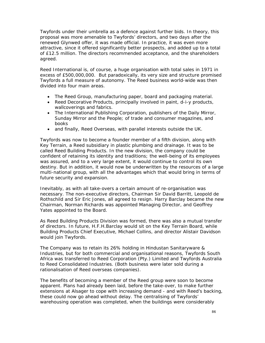Twyfords under their umbrella as a defence against further bids. In theory, this proposal was more amenable to Twyfords' directors, and two days after the renewed Glynwed offer, it was made official. In practice, it was even more attractive, since it offered significantly better prospects, and added up to a total of £12.5 million. The directors recommended acceptance, and the shareholders agreed.

Reed International is, of course, a huge organisation with total sales in 1971 in excess of £500,000,000. But paradoxically, its very size and structure promised Twyfords a full measure of autonomy. The Reed business world-wide was then divided into four main areas.

- The Reed Group, manufacturing paper, board and packaging material.
- Reed Decorative Products, principally involved in paint, d-i-y products, wallcoverings and fabrics.
- The International Publishing Corporation, publishers of the Daily Mirror, Sunday Mirror and the People; of trade and consumer magazines, and books
- and finally, Reed Overseas, with parallel interests outside the UK.

Twyfords was now to become a founder member of a fifth division, along with Key Terrain, a Reed subsidiary in plastic plumbing and drainage. It was to be called Reed Building Products. In the new division, the company could be confident of retaining its identity and traditions; the well-being of its employees was assured, and to a very large extent, it would continue to control its own destiny. But in addition, it would now be underwritten by the resources of a large multi-national group, with all the advantages which that would bring in terms of future security and expansion.

Inevitably, as with all take-overs a certain amount of re-organisation was necessary. The non-executive directors, Chairman Sir David Barritt, Leopold de Rothschild and Sir Eric Jones, all agreed to resign. Harry Barclay became the new Chairman, Norman Richards was appointed Managing Director, and Geoffrey Yates appointed to the Board.

As Reed Building Products Division was formed, there was also a mutual transfer of directors. In future, H.F.H.Barclay would sit on the Key Terrain Board, while Building Products Chief Executive, Michael Collins, and director Alistair Davidson would join Twyfords.

The Company was to retain its 26% holding in Hindustan Sanitaryware & Industries, but for both commercial and organisational reasons, Twyfords South Africa was transferred to Reed Corporation (Pty.) Limited and Twyfords Australia to Reed Consolidated Industries. (Both business were later sold during a rationalisation of Reed overseas companies).

The benefits of becoming a member of the Reed group were soon to become apparent. Plans had already been laid, before the take-over, to make further extensions at Alsager to cope with increasing demand - and with Reed's backing, these could now go ahead without delay. The centralising of Twyfords' warehousing operation was completed, when the buildings were considerably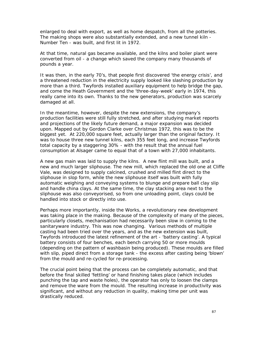enlarged to deal with export, as well as home despatch, from all the potteries. The making shops were also substantially extended, and a new tunnel kiln - Number Ten - was built, and first lit in 1972.

At that time, natural gas became available, and the kilns and boiler plant were converted from oil - a change which saved the company many thousands of pounds a year.

It was then, in the early 70's, that people first discovered 'the energy crisis', and a threatened reduction in the electricity supply looked like slashing production by more than a third. Twyfords installed auxiliary equipment to help bridge the gap, and come the Heath Government and the 'three-day-week' early in 1974, this really came into its own. Thanks to the new generators, production was scarcely damaged at all.

In the meantime, however, despite the new extensions, the company's production facilities were still fully stretched, and after studying market reports and projections of the likely future demand, a major expansion was decided upon. Mapped out by Gordon Clarke over Christmas 1972, this was to be the biggest yet. At 220,000 square feet, actually larger than the original factory. It was to house three new tunnel kilns, each 355 feet long, and increase Twyfords total capacity by a staggering 30% - with the result that the annual fuel consumption at Alsager came to equal that of a town with 27,000 inhabitants.

A new gas main was laid to supply the kilns. A new flint mill was built, and a new and much larger sliphouse. The new mill, which replaced the old one at Cliffe Vale, was designed to supply calcined, crushed and milled flint direct to the sliphouse in slop form, while the new sliphouse itself was built with fully automatic weighing and conveying systems to blunge and prepare ball clay slip and handle china clays. At the same time, the clay stacking area next to the sliphouse was also conveyorised, so from one unloading point, clays could be handled into stock or directly into use.

Perhaps more importantly, inside the Works, a revolutionary new development was taking place in the making. Because of the complexity of many of the pieces, particularly closets, mechanisation had necessarily been slow in coming to the sanitaryware industry. This was now changing. Various methods of multiple casting had been tried over the years, and as the new extension was built, Twyfords introduced the latest refinement of the art - 'battery casting'. A typical battery consists of four benches, each bench carrying 50 or more moulds (depending on the pattern of washbasin being produced). These moulds are filled with slip, piped direct from a storage tank - the excess after casting being 'blown' from the mould and re-cycled for re-processing.

The crucial point being that the process can be completely automatic, and that before the final skilled 'fettling' or hand finishing takes place (which includes punching the tap and waste holes), the operator has only to loosen the clamps and remove the ware from the mould. The resulting increase in productivity was significant, and without any reduction in quality, making time per unit was drastically reduced.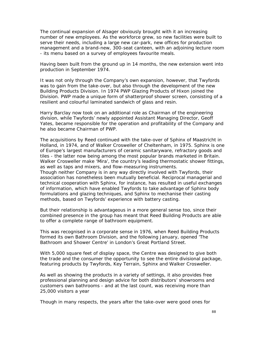The continual expansion of Alsager obviously brought with it an increasing number of new employees. As the workforce grew, so new facilities were built to serve their needs, including a large new car-park, new offices for production management and a brand-new, 300-seat canteen, with an adjoining lecture room - its menu based on a survey of employees favourite meals.

Having been built from the ground up in 14 months, the new extension went into production in September 1974.

It was not only through the Company's own expansion, however, that Twyfords was to gain from the take-over, but also through the development of the new Building Products Division. In 1974 PWP Glazing Products of Hixon joined the Division. PWP made a unique form of shatterproof shower screen, consisting of a resilient and colourful laminated sandwich of glass and resin.

Harry Barclay now took on an additional role as Chairman of the engineering division, while Twyfords' newly appointed Assistant Managing Director, Geoff Yates, became responsible for the operation and profitability of the Company and he also became Chairman of PWP.

The acquisitions by Reed continued with the take-over of Sphinx of Maastricht in Holland, in 1974, and of Walker Crosweller of Cheltenham, in 1975. Sphinx is one of Europe's largest manufacturers of ceramic sanitaryware, refractory goods and tiles - the latter now being among the most popular brands marketed in Britain. Walker Crosweller make 'Mira', the country's leading thermostatic shower fittings, as well as taps and mixers, and flow-measuring instruments. Though neither Company is in any way directly involved with Twyfords, their association has nonetheless been mutually beneficial. Reciprocal managerial and technical cooperation with Sphinx, for instance, has resulted in useful exchanges of information, which have enabled Twyfords to take advantage of Sphinx body formulations and glazing techniques, and Sphinx to mechanise their casting methods, based on Twyfords' experience with battery casting.

But their relationship is advantageous in a more general sense too, since their combined presence in the group has meant that Reed Building Products are able to offer a complete range of bathroom equipment.

This was recognised in a corporate sense in 1976, when Reed Building Products formed its own Bathroom Division, and the following January, opened 'The Bathroom and Shower Centre' in London's Great Portland Street.

With 5,000 square feet of display space, the Centre was designed to give both the trade and the consumer the opportunity to see the entire divisional package, featuring products by Twyfords, Key Terrain, Sphinx and Walker Crosweller.

As well as showing the products in a variety of settings, it also provides free professional planning and design advice for both distributors' showrooms and customers own bathrooms - and at the last count, was receiving more than 25,000 visitors a year

Though in many respects, the years after the take-over were good ones for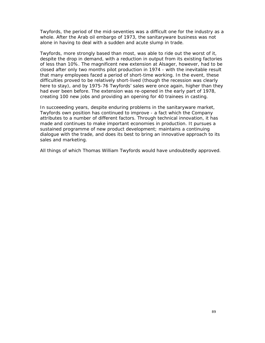Twyfords, the period of the mid-seventies was a difficult one for the industry as a whole. After the Arab oil embargo of 1973, the sanitaryware business was not alone in having to deal with a sudden and acute slump in trade.

Twyfords, more strongly based than most, was able to ride out the worst of it, despite the drop in demand, with a reduction in output from its existing factories of less than 10%. The magnificent new extension at Alsager, however, had to be closed after only two months pilot production in 1974 - with the inevitable result that many employees faced a period of short-time working. In the event, these difficulties proved to be relatively short-lived (though the recession was clearly here to stay), and by 1975-76 Twyfords' sales were once again, higher than they had ever been before. The extension was re-opened in the early part of 1978, creating 100 new jobs and providing an opening for 40 trainees in casting.

In succeeeding years, despite enduring problems in the sanitaryware market, Twyfords own position has continued to improve - a fact which the Company attributes to a number of different factors. Through technical innovation, it has made and continues to make important economies in production. It pursues a sustained programme of new product development; maintains a continuing dialogue with the trade, and does its best to bring an innovative approach to its sales and marketing.

All things of which Thomas William Twyfords would have undoubtedly approved.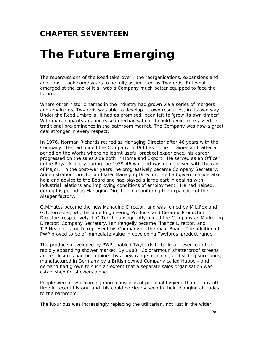### **CHAPTER SEVENTEEN**

### *The Future Emerging*

The repercussions of the Reed take-over - the reorganisations, expansions and additions - took some years to be fully assimilated by Twyfords. But what emerged at the end of it all was a Company much better equipped to face the future.

Where other historic names in the industry had grown via a series of mergers and amalgams, Twyfords was able to develop its own resources, in its own way. Under the Reed umbrella, it had as promised, been left to 'grow its own timber'. With extra capacity and increased mechanisation, it could begin to re-assert its traditional pre-eminence in the bathroom market. The Company was now a great deal stronger in every respect.

In 1976, Norman Richards retired as Managing Director after 46 years with the Company. He had joined the Company in 1930 as its first trainee and, after a period on the Works where he learnt useful practical experience, his career progressed on the sales side both in Home and Export. He served as an Officer in the Royal Artillery during the 1939-46 war and was demobilised with the rank of Major. In the post-war years, he progressively became Company Secretary, Administration Director and later Managing Director. He had given considerable help and advice to the Board and had played a large part in dealing with industrial relations and improving conditions of employment. He had helped, during his period as Managing Director, in monitoring the expansion of the Alsager factory.

G.M.Yates became the new Managing Director, and was joined by M.L.Fox and G.T.Forrester, who became Engineering Products and Ceramic Production Directors respectively. L.O.Tench subsequently joined the Company as Marketing Director; Company Secretary, Ian Pengelly became Finance Director, and T.P.Nealon, came to represent his Company on the main Board. The addition of PWP proved to be of immediate value in developing Twyfords' product range.

The products developed by PWP enabled Twyfords to build a presence in the rapidly expanding shower market. By 1980, 'Colorarmour' shatterproof screens and enclosures had been joined by a new range of folding and sliding surrounds, manufactured in Germany by a British owned Company called Huppe - and demand had grown to such an extent that a separate sales organisation was established for showers alone.

People were now becoming more conscious of personal hygiene than at any other time in recent history, and this could be clearly seen in their changing attitudes to the bathroom.

The luxurious was increasingly replacing the utilitarian, not just in the wider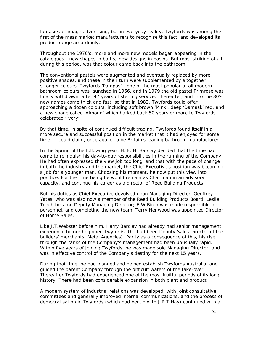fantasies of image advertising, but in everyday reality. Twyfords was among the first of the mass market manufacturers to recognise this fact, and developed its product range accordingly.

Throughout the 1970's, more and more new models began appearing in the catalogues - new shapes in baths; new designs in basins. But most striking of all during this period, was that colour came back into the bathroom.

The conventional pastels were augmented and eventually replaced by more positive shades, and these in their turn were supplemented by altogether stronger colours. Twyfords 'Pampas' - one of the most popular of all modern bathroom colours was launched in 1966, and in 1979 the old pastel Primrose was finally withdrawn, after 47 years of sterling service. Thereafter, and into the 80's, new names came thick and fast, so that in 1982, Twyfords could offer approaching a dozen colours, including soft brown 'Mink', deep 'Damask' red, and a new shade called 'Almond' which harked back 50 years or more to Twyfords celebrated 'Ivory'.

By that time, in spite of continued difficult trading, Twyfords found itself in a more secure and successful position in the market that it had enjoyed for some time. It could claim, once again, to be Britain's leading bathroom manufacturer.

In the Spring of the following year, H. F. H. Barclay decided that the time had come to relinquish his day-to-day responsibilities in the running of the Company. He had often expressed the view job too long, and that with the pace of change in both the industry and the market, the Chief Executive's position was becoming a job for a younger man. Choosing his moment, he now put this view into practice. For the time being he would remain as Chairman in an advisory capacity, and continue his career as a director of Reed Building Products.

But his duties as Chief Executive devolved upon Managing Director, Geoffrey Yates, who was also now a member of the Reed Building Products Board. Leslie Tench became Deputy Managing Director; E.W.Birch was made responsible for personnel, and completing the new team, Terry Henwood was appointed Director of Home Sales.

Like J.T.Webster before him, Harry Barclay had already had senior management experience before he joined Twyfords, (he had been Deputy Sales Director of the builders' merchants, Metal Agencies). Partly as a consequence of this, his rise through the ranks of the Company's management had been unusually rapid. Within five years of joining Twyfords, he was made sole Managing Director, and was in effective control of the Company's destiny for the next 15 years.

During that time, he had planned and helped establish Twyfords Australia, and guided the parent Company through the difficult waters of the take-over. Thereafter Twyfords had experienced one of the most fruitful periods of its long history. There had been considerable expansion in both plant and product.

A modern system of industrial relations was developed, with joint consultative committees and generally improved internal communications, and the process of democratisation in Twyfords (which had begun with J.R.T.Hay) continued with a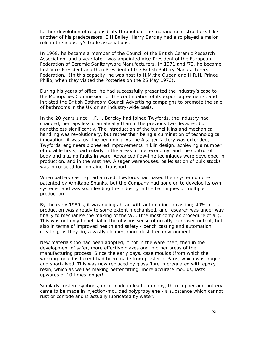further devolution of responsibility throughout the management structure. Like another of his predecessors, E.H.Bailey, Harry Barclay had also played a major role in the industry's trade associations.

In 1968, he became a member of the Council of the British Ceramic Research Association, and a year later, was appointed Vice-President of the European Federation of Ceramic Sanitaryware Manufacturers. In 1971 and '72, he became first Vice-President and then President of the British Pottery Manufacturers' Federation. (In this capacity, he was host to H.M.the Queen and H.R.H. Prince Philip, when they visited the Potteries on the 25 May 1973).

During his years of office, he had successfully presented the industry's case to the Monopolies Commission for the continuation of its export agreements, and initiated the British Bathroom Council Advertising campaigns to promote the sale of bathrooms in the UK on an industry-wide basis.

In the 20 years since H.F.H. Barclay had joined Twyfords, the industry had changed, perhaps less dramatically than in the previous two decades, but nonetheless significantly. The introduction of the tunnel kilns and mechanical handling was revolutionary, but rather than being a culmination of technological innovation, it was just the beginning. As the Alsager factory was extended, Twyfords' engineers pioneered improvements in kiln design, achieving a number of notable firsts, particularly in the areas of fuel economy, and the control of body and glazing faults in ware. Advanced flow-line techniques were developed in production, and in the vast new Alsager warehouses, palletisation of bulk stocks was introduced for container transport.

When battery casting had arrived, Twyfords had based their system on one patented by Armitage Shanks, but the Company had gone on to develop its own systems, and was soon leading the industry in the techniques of multiple production.

By the early 1980's, it was racing ahead with automation in casting; 40% of its production was already to some extent mechanised, and research was under way finally to mechanise the making of the WC. (the most complex procedure of all). This was not only beneficial in the obvious sense of greatly increased output, but also in terms of improved health and safety - bench casting and automation creating, as they do, a vastly cleaner, more dust-free environment.

New materials too had been adopted, if not in the ware itself, then in the development of safer, more effective glazes and in other areas of the manufacturing process. Since the early days, case moulds (from which the working mould is taken) had been made from plaster of Paris, which was fragile and short-lived. This was now replaced by glass fibre impregnated with epoxy resin, which as well as making better fitting, more accurate moulds, lasts upwards of 10 times longer!

Similarly, cistern syphons, once made in lead antimony, then copper and pottery, came to be made in injection-moulded polypropylene - a substance which cannot rust or corrode and is actually lubricated by water.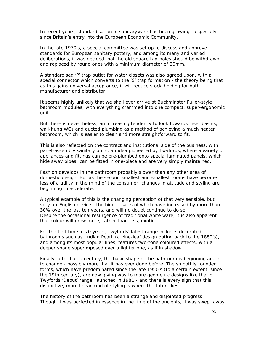In recent years, standardisation in sanitaryware has been growing - especially since Britain's entry into the European Economic Community.

In the late 1970's, a special committee was set up to discuss and approve standards for European sanitary pottery, and among its many and varied deliberations, it was decided that the old square tap-holes should be withdrawn, and replaced by round ones with a minimum diameter of 30mm.

A standardised 'P' trap outlet for water closets was also agreed upon, with a special connector which converts to the 'S' trap formation - the theory being that as this gains universal acceptance, it will reduce stock-holding for both manufacturer and distributor.

It seems highly unlikely that we shall ever arrive at Buckminster Fuller-style bathroom modules, with everything crammed into one compact, super-ergonomic unit.

But there is nevertheless, an increasing tendency to look towards inset basins, wall-hung WCs and ducted plumbing as a method of achieving a much neater bathroom, which is easier to clean and more straightforward to fit.

This is also reflected on the contract and institutional side of the business, with panel-assembly sanitary units, an idea pioneered by Twyfords, where a variety of appliances and fittings can be pre-plumbed onto special laminated panels, which hide away pipes; can be fitted in one-piece and are very simply maintained.

Fashion develops in the bathroom probably slower than any other area of domestic design. But as the second smallest and smallest rooms have become less of a utility in the mind of the consumer, changes in attitude and styling are beginning to accelerate.

A typical example of this is the changing perception of that very sensible, but very un-English device - the bidet - sales of which have increased by more than 30% over the last ten years, and will no doubt continue to do so. Despite the occasional resurgence of traditional white ware, it is also apparent that colour will grow more, rather than less, exotic.

For the first time in 70 years, Twyfords' latest range includes decorated bathrooms such as 'Indian Pearl' (a vine-leaf design dating back to the 1880's), and among its most popular lines, features two-tone coloured effects, with a deeper shade superimposed over a lighter one, as if in shadow.

Finally, after half a century, the basic shape of the bathroom is beginning again to change - possibly more that it has ever done before. The smoothly rounded forms, which have predominated since the late 1950's (to a certain extent, since the 19th century), are now giving way to more geometric designs like that of Twyfords 'Debut' range, launched in 1981 - and there is every sign that this distinctive, more linear kind of styling is where the future lies.

The history of the bathroom has been a strange and disjointed progress. Though it was perfected in essence in the time of the ancients, it was swept away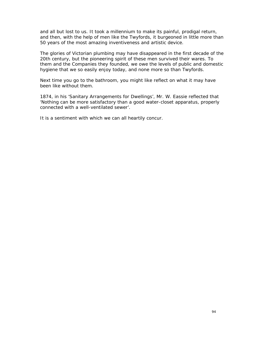and all but lost to us. It took a millennium to make its painful, prodigal return, and then, with the help of men like the Twyfords, it burgeoned in little more than 50 years of the most amazing inventiveness and artistic device.

The glories of Victorian plumbing may have disappeared in the first decade of the 20th century, but the pioneering spirit of these men survived their wares. To them and the Companies they founded, we owe the levels of public and domestic hygiene that we so easily enjoy today, and none more so than Twyfords.

Next time you go to the bathroom, you might like reflect on what it may have been like without them.

1874, in his 'Sanitary Arrangements for Dwellings', Mr. W. Eassie reflected that 'Nothing can be more satisfactory than a good water-closet apparatus, properly connected with a well-ventilated sewer'.

It is a sentiment with which we can all heartily concur.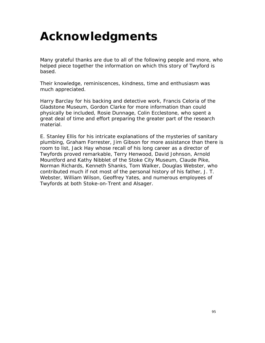## *Acknowledgments*

Many grateful thanks are due to all of the following people and more, who helped piece together the information on which this story of Twyford is based.

Their knowledge, reminiscences, kindness, time and enthusiasm was much appreciated.

Harry Barclay for his backing and detective work, Francis Celoria of the Gladstone Museum, Gordon Clarke for more information than could physically be included, Rosie Dunnage, Colin Ecclestone, who spent a great deal of time and effort preparing the greater part of the research material.

E. Stanley Ellis for his intricate explanations of the mysteries of sanitary plumbing, Graham Forrester, Jim Gibson for more assistance than there is room to list, Jack Hay whose recall of his long career as a director of Twyfords proved remarkable, Terry Henwood, David Johnson, Arnold Mountford and Kathy Nibblet of the Stoke City Museum, Claude Pike, Norman Richards, Kenneth Shanks, Tom Walker, Douglas Webster, who contributed much if not most of the personal history of his father, J. T. Webster, William Wilson, Geoffrey Yates, and numerous employees of Twyfords at both Stoke-on-Trent and Alsager.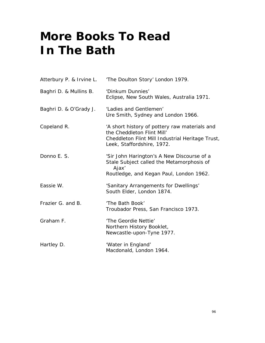# *More Books To Read In The Bath*

|                        | Atterbury P. & Irvine L. The Doulton Story' London 1979.                                                                                                      |
|------------------------|---------------------------------------------------------------------------------------------------------------------------------------------------------------|
| Baghri D. & Mullins B. | 'Dinkum Dunnies'<br>Eclipse, New South Wales, Australia 1971.                                                                                                 |
| Baghri D. & O'Grady J. | 'Ladies and Gentlemen'<br>Ure Smith, Sydney and London 1966.                                                                                                  |
| Copeland R.            | 'A short history of pottery raw materials and<br>the Cheddleton Flint Mill'<br>Cheddleton Flint Mill Industrial Heritage Trust,<br>Leek, Staffordshire, 1972. |
| Donno E. S.            | 'Sir John Harington's A New Discourse of a<br>Stale Subject called the Metamorphosis of<br>Ajax'<br>Routledge, and Kegan Paul, London 1962.                   |
| Eassie W.              | 'Sanitary Arrangements for Dwellings'<br>South Elder, London 1874.                                                                                            |
| Frazier G. and B.      | 'The Bath Book'<br>Troubador Press, San Francisco 1973.                                                                                                       |
| Graham F.              | 'The Geordie Nettie'<br>Northern History Booklet,<br>Newcastle-upon-Tyne 1977.                                                                                |
| Hartley D.             | 'Water in England'<br>Macdonald, London 1964.                                                                                                                 |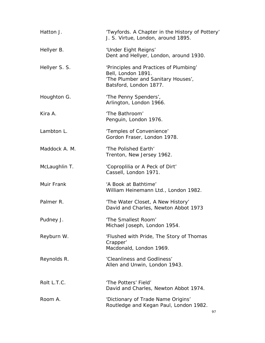| Hatton J.     | 'Twyfords. A Chapter in the History of Pottery'<br>J. S. Virtue, London, around 1895.                                        |
|---------------|------------------------------------------------------------------------------------------------------------------------------|
| Hellyer B.    | 'Under Eight Reigns'<br>Dent and Hellyer, London, around 1930.                                                               |
| Hellyer S. S. | 'Principles and Practices of Plumbing'<br>Bell, London 1891.<br>'The Plumber and Sanitary Houses',<br>Batsford, London 1877. |
| Houghton G.   | 'The Penny Spenders',<br>Arlington, London 1966.                                                                             |
| Kira A.       | 'The Bathroom'<br>Penguin, London 1976.                                                                                      |
| Lambton L.    | 'Temples of Convenience'<br>Gordon Fraser, London 1978.                                                                      |
| Maddock A. M. | 'The Polished Earth'<br>Trenton, New Jersey 1962.                                                                            |
| McLaughlin T. | 'Coproplilia or A Peck of Dirt'<br>Cassell, London 1971.                                                                     |
| Muir Frank    | 'A Book at Bathtime'<br>William Heinemann Ltd., London 1982.                                                                 |
| Palmer R.     | 'The Water Closet, A New History'<br>David and Charles, Newton Abbot 1973                                                    |
| Pudney J.     | 'The Smallest Room'<br>Michael Joseph, London 1954.                                                                          |
| Reyburn W.    | 'Flushed with Pride, The Story of Thomas<br>Crapper'<br>Macdonald, London 1969.                                              |
| Reynolds R.   | 'Cleanliness and Godliness'<br>Allen and Unwin, London 1943.                                                                 |
| Rolt L.T.C.   | 'The Potters' Field'<br>David and Charles, Newton Abbot 1974.                                                                |
| Room A.       | 'Dictionary of Trade Name Origins'<br>Routledge and Kegan Paul, London 1982.<br>97                                           |